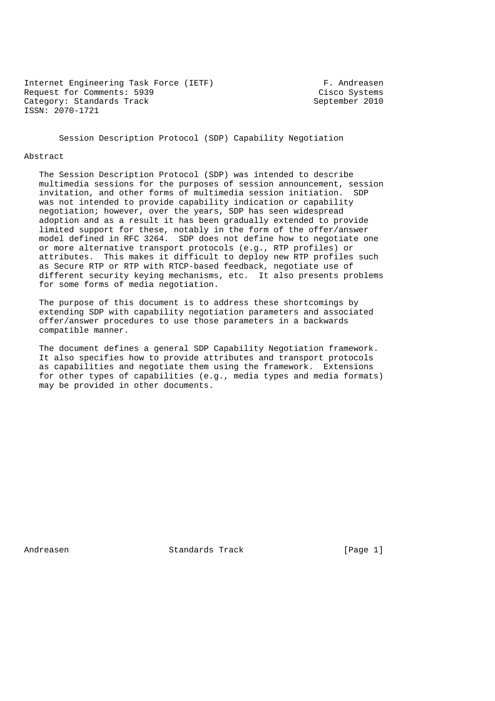Internet Engineering Task Force (IETF) F. Andreasen Request for Comments: 5939 Cisco Systems<br>
Category: Standards Track Category: Standards Track Category: Standards Track ISSN: 2070-1721

Session Description Protocol (SDP) Capability Negotiation

#### Abstract

 The Session Description Protocol (SDP) was intended to describe multimedia sessions for the purposes of session announcement, session invitation, and other forms of multimedia session initiation. SDP was not intended to provide capability indication or capability negotiation; however, over the years, SDP has seen widespread adoption and as a result it has been gradually extended to provide limited support for these, notably in the form of the offer/answer model defined in RFC 3264. SDP does not define how to negotiate one or more alternative transport protocols (e.g., RTP profiles) or attributes. This makes it difficult to deploy new RTP profiles such as Secure RTP or RTP with RTCP-based feedback, negotiate use of different security keying mechanisms, etc. It also presents problems for some forms of media negotiation.

 The purpose of this document is to address these shortcomings by extending SDP with capability negotiation parameters and associated offer/answer procedures to use those parameters in a backwards compatible manner.

 The document defines a general SDP Capability Negotiation framework. It also specifies how to provide attributes and transport protocols as capabilities and negotiate them using the framework. Extensions for other types of capabilities (e.g., media types and media formats) may be provided in other documents.

Andreasen and Standards Track (Page 1)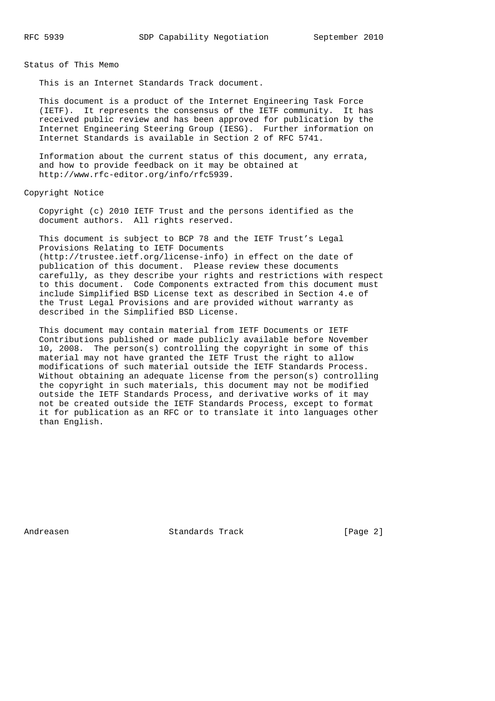Status of This Memo

This is an Internet Standards Track document.

 This document is a product of the Internet Engineering Task Force (IETF). It represents the consensus of the IETF community. It has received public review and has been approved for publication by the Internet Engineering Steering Group (IESG). Further information on Internet Standards is available in Section 2 of RFC 5741.

 Information about the current status of this document, any errata, and how to provide feedback on it may be obtained at http://www.rfc-editor.org/info/rfc5939.

Copyright Notice

 Copyright (c) 2010 IETF Trust and the persons identified as the document authors. All rights reserved.

 This document is subject to BCP 78 and the IETF Trust's Legal Provisions Relating to IETF Documents (http://trustee.ietf.org/license-info) in effect on the date of publication of this document. Please review these documents carefully, as they describe your rights and restrictions with respect to this document. Code Components extracted from this document must include Simplified BSD License text as described in Section 4.e of the Trust Legal Provisions and are provided without warranty as described in the Simplified BSD License.

 This document may contain material from IETF Documents or IETF Contributions published or made publicly available before November 10, 2008. The person(s) controlling the copyright in some of this material may not have granted the IETF Trust the right to allow modifications of such material outside the IETF Standards Process. Without obtaining an adequate license from the person(s) controlling the copyright in such materials, this document may not be modified outside the IETF Standards Process, and derivative works of it may not be created outside the IETF Standards Process, except to format it for publication as an RFC or to translate it into languages other than English.

Andreasen and Standards Track (Page 2)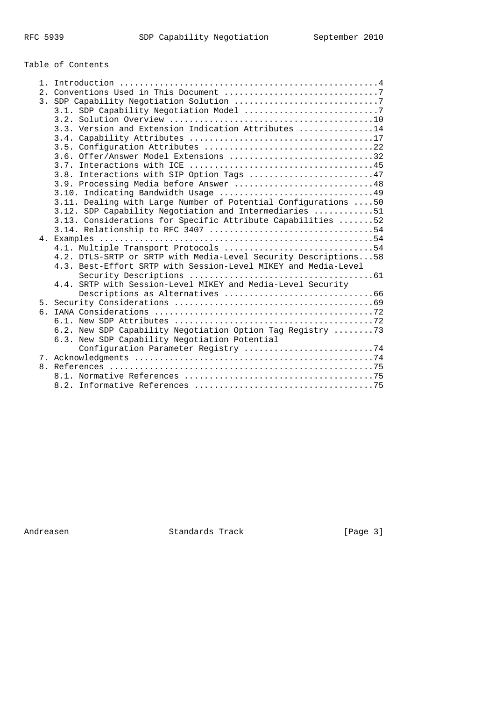# Table of Contents

|  | 3.3. Version and Extension Indication Attributes 14                                                                    |
|--|------------------------------------------------------------------------------------------------------------------------|
|  |                                                                                                                        |
|  |                                                                                                                        |
|  | 3.6. Offer/Answer Model Extensions 32                                                                                  |
|  |                                                                                                                        |
|  | 3.8. Interactions with SIP Option Tags 47                                                                              |
|  |                                                                                                                        |
|  | 3.9. Processing Media before Answer 48                                                                                 |
|  | 3.11. Dealing with Large Number of Potential Configurations  50                                                        |
|  |                                                                                                                        |
|  | 3.12. SDP Capability Negotiation and Intermediaries 51<br>3.13. Considerations for Specific Attribute Capabilities  52 |
|  |                                                                                                                        |
|  |                                                                                                                        |
|  | 4.1. Multiple Transport Protocols 54                                                                                   |
|  | 4.2. DTLS-SRTP or SRTP with Media-Level Security Descriptions58                                                        |
|  | 4.3. Best-Effort SRTP with Session-Level MIKEY and Media-Level                                                         |
|  |                                                                                                                        |
|  | 4.4. SRTP with Session-Level MIKEY and Media-Level Security                                                            |
|  |                                                                                                                        |
|  |                                                                                                                        |
|  |                                                                                                                        |
|  |                                                                                                                        |
|  | 6.2. New SDP Capability Negotiation Option Tag Registry  73                                                            |
|  | 6.3. New SDP Capability Negotiation Potential                                                                          |
|  | Configuration Parameter Registry 74                                                                                    |
|  |                                                                                                                        |
|  |                                                                                                                        |
|  |                                                                                                                        |
|  |                                                                                                                        |
|  |                                                                                                                        |

Andreasen Standards Track [Page 3]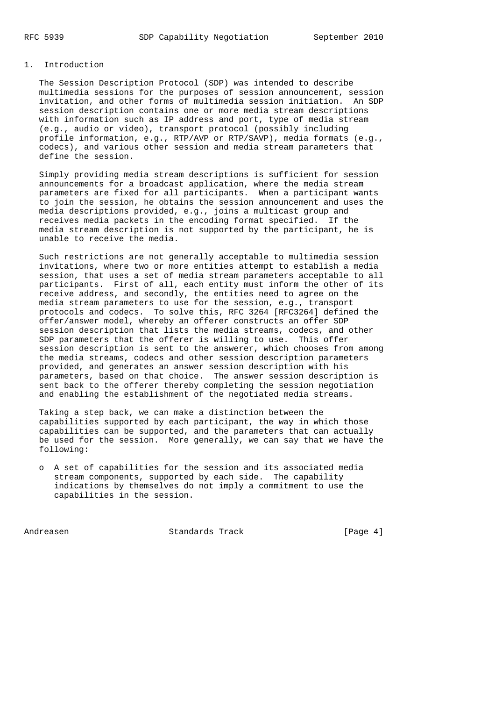### 1. Introduction

 The Session Description Protocol (SDP) was intended to describe multimedia sessions for the purposes of session announcement, session invitation, and other forms of multimedia session initiation. An SDP session description contains one or more media stream descriptions with information such as IP address and port, type of media stream (e.g., audio or video), transport protocol (possibly including profile information, e.g., RTP/AVP or RTP/SAVP), media formats (e.g., codecs), and various other session and media stream parameters that define the session.

 Simply providing media stream descriptions is sufficient for session announcements for a broadcast application, where the media stream parameters are fixed for all participants. When a participant wants to join the session, he obtains the session announcement and uses the media descriptions provided, e.g., joins a multicast group and receives media packets in the encoding format specified. If the media stream description is not supported by the participant, he is unable to receive the media.

 Such restrictions are not generally acceptable to multimedia session invitations, where two or more entities attempt to establish a media session, that uses a set of media stream parameters acceptable to all participants. First of all, each entity must inform the other of its receive address, and secondly, the entities need to agree on the media stream parameters to use for the session, e.g., transport protocols and codecs. To solve this, RFC 3264 [RFC3264] defined the offer/answer model, whereby an offerer constructs an offer SDP session description that lists the media streams, codecs, and other SDP parameters that the offerer is willing to use. This offer session description is sent to the answerer, which chooses from among the media streams, codecs and other session description parameters provided, and generates an answer session description with his parameters, based on that choice. The answer session description is sent back to the offerer thereby completing the session negotiation and enabling the establishment of the negotiated media streams.

 Taking a step back, we can make a distinction between the capabilities supported by each participant, the way in which those capabilities can be supported, and the parameters that can actually be used for the session. More generally, we can say that we have the following:

 o A set of capabilities for the session and its associated media stream components, supported by each side. The capability indications by themselves do not imply a commitment to use the capabilities in the session.

Andreasen Standards Track [Page 4]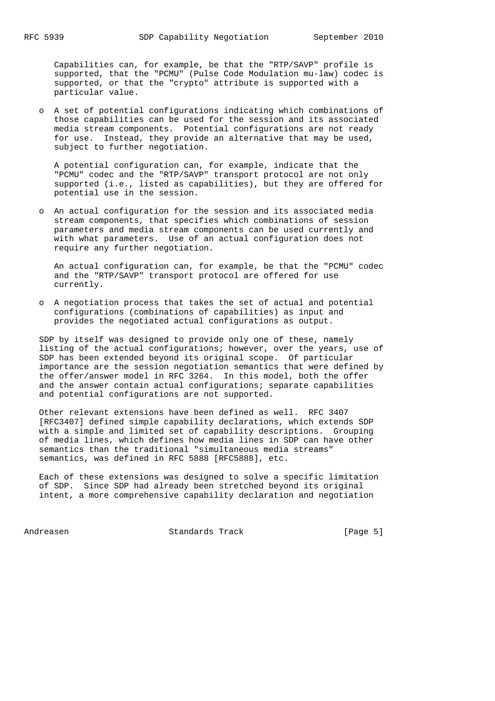Capabilities can, for example, be that the "RTP/SAVP" profile is supported, that the "PCMU" (Pulse Code Modulation mu-law) codec is supported, or that the "crypto" attribute is supported with a particular value.

 o A set of potential configurations indicating which combinations of those capabilities can be used for the session and its associated media stream components. Potential configurations are not ready for use. Instead, they provide an alternative that may be used, subject to further negotiation.

 A potential configuration can, for example, indicate that the "PCMU" codec and the "RTP/SAVP" transport protocol are not only supported (i.e., listed as capabilities), but they are offered for potential use in the session.

 o An actual configuration for the session and its associated media stream components, that specifies which combinations of session parameters and media stream components can be used currently and with what parameters. Use of an actual configuration does not require any further negotiation.

 An actual configuration can, for example, be that the "PCMU" codec and the "RTP/SAVP" transport protocol are offered for use currently.

 o A negotiation process that takes the set of actual and potential configurations (combinations of capabilities) as input and provides the negotiated actual configurations as output.

 SDP by itself was designed to provide only one of these, namely listing of the actual configurations; however, over the years, use of SDP has been extended beyond its original scope. Of particular importance are the session negotiation semantics that were defined by the offer/answer model in RFC 3264. In this model, both the offer and the answer contain actual configurations; separate capabilities and potential configurations are not supported.

 Other relevant extensions have been defined as well. RFC 3407 [RFC3407] defined simple capability declarations, which extends SDP with a simple and limited set of capability descriptions. Grouping of media lines, which defines how media lines in SDP can have other semantics than the traditional "simultaneous media streams" semantics, was defined in RFC 5888 [RFC5888], etc.

 Each of these extensions was designed to solve a specific limitation of SDP. Since SDP had already been stretched beyond its original intent, a more comprehensive capability declaration and negotiation

Andreasen Standards Track [Page 5]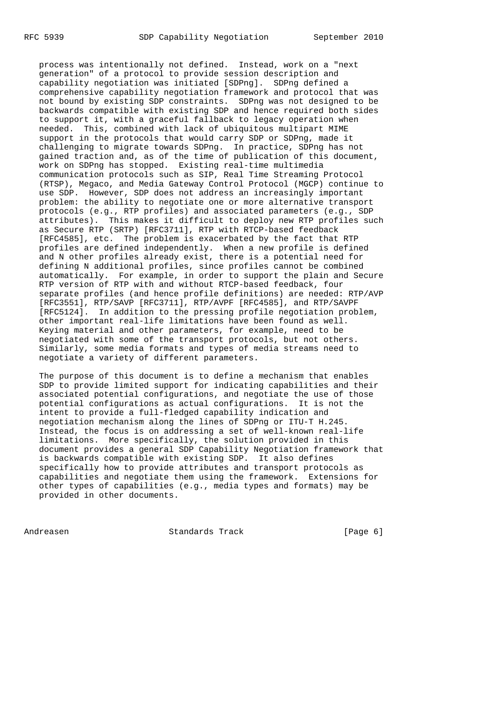process was intentionally not defined. Instead, work on a "next generation" of a protocol to provide session description and capability negotiation was initiated [SDPng]. SDPng defined a comprehensive capability negotiation framework and protocol that was not bound by existing SDP constraints. SDPng was not designed to be backwards compatible with existing SDP and hence required both sides to support it, with a graceful fallback to legacy operation when needed. This, combined with lack of ubiquitous multipart MIME support in the protocols that would carry SDP or SDPng, made it challenging to migrate towards SDPng. In practice, SDPng has not gained traction and, as of the time of publication of this document, work on SDPng has stopped. Existing real-time multimedia communication protocols such as SIP, Real Time Streaming Protocol (RTSP), Megaco, and Media Gateway Control Protocol (MGCP) continue to use SDP. However, SDP does not address an increasingly important problem: the ability to negotiate one or more alternative transport protocols (e.g., RTP profiles) and associated parameters (e.g., SDP attributes). This makes it difficult to deploy new RTP profiles such as Secure RTP (SRTP) [RFC3711], RTP with RTCP-based feedback [RFC4585], etc. The problem is exacerbated by the fact that RTP profiles are defined independently. When a new profile is defined and N other profiles already exist, there is a potential need for defining N additional profiles, since profiles cannot be combined automatically. For example, in order to support the plain and Secure RTP version of RTP with and without RTCP-based feedback, four separate profiles (and hence profile definitions) are needed: RTP/AVP [RFC3551], RTP/SAVP [RFC3711], RTP/AVPF [RFC4585], and RTP/SAVPF [RFC5124]. In addition to the pressing profile negotiation problem, other important real-life limitations have been found as well. Keying material and other parameters, for example, need to be negotiated with some of the transport protocols, but not others. Similarly, some media formats and types of media streams need to negotiate a variety of different parameters.

 The purpose of this document is to define a mechanism that enables SDP to provide limited support for indicating capabilities and their associated potential configurations, and negotiate the use of those potential configurations as actual configurations. It is not the intent to provide a full-fledged capability indication and negotiation mechanism along the lines of SDPng or ITU-T H.245. Instead, the focus is on addressing a set of well-known real-life limitations. More specifically, the solution provided in this document provides a general SDP Capability Negotiation framework that is backwards compatible with existing SDP. It also defines specifically how to provide attributes and transport protocols as capabilities and negotiate them using the framework. Extensions for other types of capabilities (e.g., media types and formats) may be provided in other documents.

Andreasen and Standards Track (Page 6)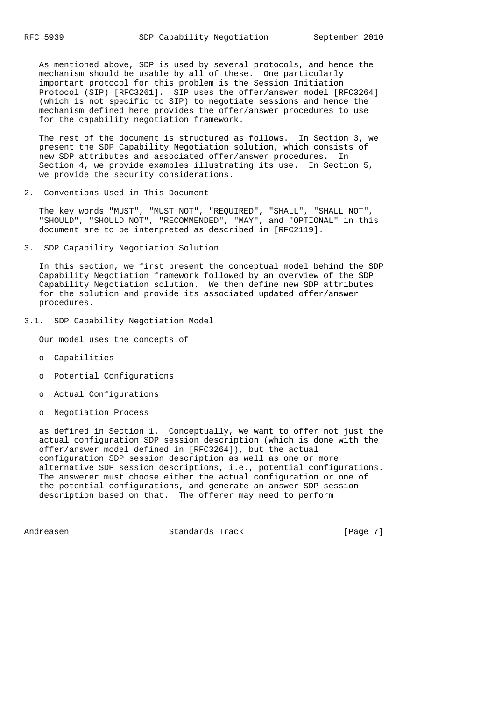As mentioned above, SDP is used by several protocols, and hence the mechanism should be usable by all of these. One particularly important protocol for this problem is the Session Initiation Protocol (SIP) [RFC3261]. SIP uses the offer/answer model [RFC3264] (which is not specific to SIP) to negotiate sessions and hence the mechanism defined here provides the offer/answer procedures to use for the capability negotiation framework.

 The rest of the document is structured as follows. In Section 3, we present the SDP Capability Negotiation solution, which consists of new SDP attributes and associated offer/answer procedures. In Section 4, we provide examples illustrating its use. In Section 5, we provide the security considerations.

2. Conventions Used in This Document

 The key words "MUST", "MUST NOT", "REQUIRED", "SHALL", "SHALL NOT", "SHOULD", "SHOULD NOT", "RECOMMENDED", "MAY", and "OPTIONAL" in this document are to be interpreted as described in [RFC2119].

3. SDP Capability Negotiation Solution

 In this section, we first present the conceptual model behind the SDP Capability Negotiation framework followed by an overview of the SDP Capability Negotiation solution. We then define new SDP attributes for the solution and provide its associated updated offer/answer procedures.

3.1. SDP Capability Negotiation Model

Our model uses the concepts of

- o Capabilities
- o Potential Configurations
- o Actual Configurations
- o Negotiation Process

 as defined in Section 1. Conceptually, we want to offer not just the actual configuration SDP session description (which is done with the offer/answer model defined in [RFC3264]), but the actual configuration SDP session description as well as one or more alternative SDP session descriptions, i.e., potential configurations. The answerer must choose either the actual configuration or one of the potential configurations, and generate an answer SDP session description based on that. The offerer may need to perform

Andreasen and Standards Track (Page 7)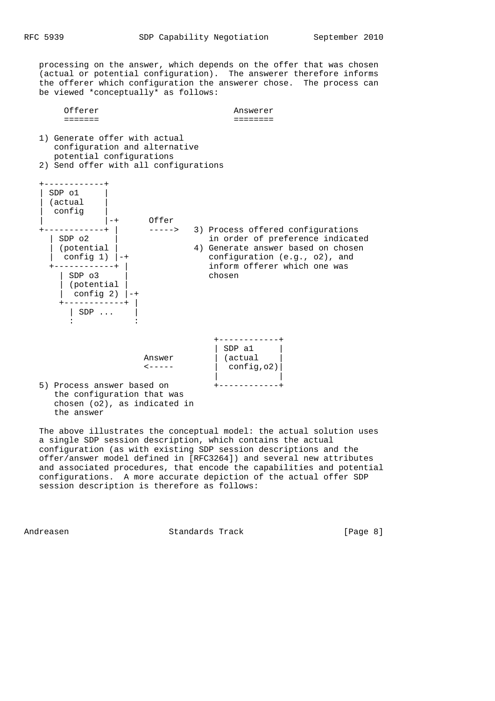processing on the answer, which depends on the offer that was chosen (actual or potential configuration). The answerer therefore informs the offerer which configuration the answerer chose. The process can be viewed \*conceptually\* as follows:

Offerer answerer ======= ======== 1) Generate offer with actual configuration and alternative potential configurations 2) Send offer with all configurations +------------+ | SDP o1 | | (actual | config | |-+ Offer ----------+ | -----> 3) Process offered configurations<br>| SDP o2 | in order of preference indicated | SDP o2 | in order of preference indicated | (potential | 4) Generate answer based on chosen | config 1) |-+ configuration (e.g., o2), and<br>+-----------+ | inform offerer which one was inform offerer which one was | SDP o3 | chosen | (potential | | config 2)  $|-+$  +------------+ |  $\vert$  SDP  $\ldots$   $\vert$ in the second control of the second second +------------+ | SDP a1 | Answer | (actual |  $\leftarrow \leftarrow \left\{ \text{config}, o2 \right\}$  | | 5) Process answer based on +------------+

 the configuration that was chosen (o2), as indicated in the answer

 The above illustrates the conceptual model: the actual solution uses a single SDP session description, which contains the actual configuration (as with existing SDP session descriptions and the offer/answer model defined in [RFC3264]) and several new attributes and associated procedures, that encode the capabilities and potential configurations. A more accurate depiction of the actual offer SDP session description is therefore as follows:

Andreasen and Standards Track (Page 8)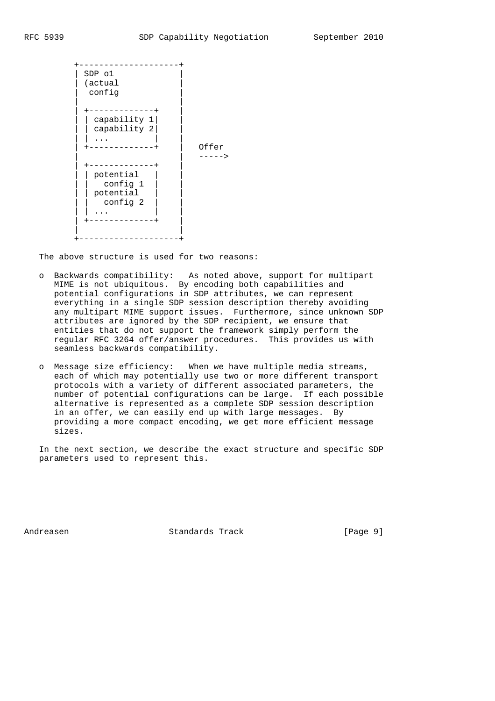

The above structure is used for two reasons:

- o Backwards compatibility: As noted above, support for multipart MIME is not ubiquitous. By encoding both capabilities and potential configurations in SDP attributes, we can represent everything in a single SDP session description thereby avoiding any multipart MIME support issues. Furthermore, since unknown SDP attributes are ignored by the SDP recipient, we ensure that entities that do not support the framework simply perform the regular RFC 3264 offer/answer procedures. This provides us with seamless backwards compatibility.
- o Message size efficiency: When we have multiple media streams, each of which may potentially use two or more different transport protocols with a variety of different associated parameters, the number of potential configurations can be large. If each possible alternative is represented as a complete SDP session description in an offer, we can easily end up with large messages. By providing a more compact encoding, we get more efficient message sizes.

 In the next section, we describe the exact structure and specific SDP parameters used to represent this.

Andreasen Standards Track [Page 9]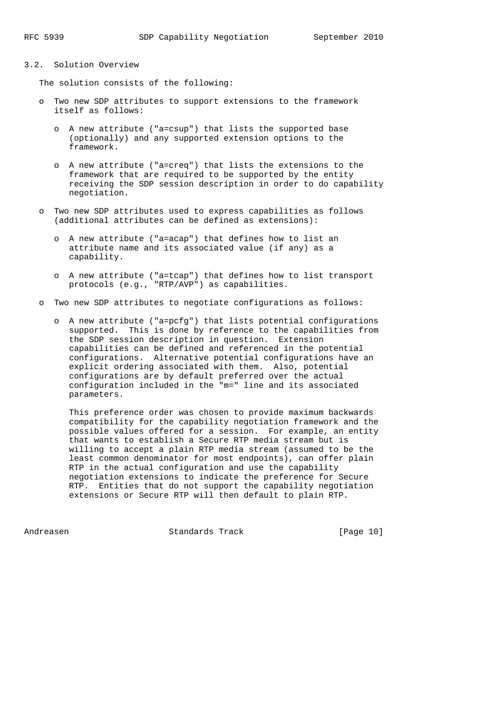#### 3.2. Solution Overview

The solution consists of the following:

- o Two new SDP attributes to support extensions to the framework itself as follows:
	- o A new attribute ("a=csup") that lists the supported base (optionally) and any supported extension options to the framework.
	- o A new attribute ("a=creq") that lists the extensions to the framework that are required to be supported by the entity receiving the SDP session description in order to do capability negotiation.
- o Two new SDP attributes used to express capabilities as follows (additional attributes can be defined as extensions):
	- o A new attribute ("a=acap") that defines how to list an attribute name and its associated value (if any) as a capability.
	- o A new attribute ("a=tcap") that defines how to list transport protocols (e.g., "RTP/AVP") as capabilities.
- o Two new SDP attributes to negotiate configurations as follows:
	- o A new attribute ("a=pcfg") that lists potential configurations supported. This is done by reference to the capabilities from the SDP session description in question. Extension capabilities can be defined and referenced in the potential configurations. Alternative potential configurations have an explicit ordering associated with them. Also, potential configurations are by default preferred over the actual configuration included in the "m=" line and its associated parameters.

 This preference order was chosen to provide maximum backwards compatibility for the capability negotiation framework and the possible values offered for a session. For example, an entity that wants to establish a Secure RTP media stream but is willing to accept a plain RTP media stream (assumed to be the least common denominator for most endpoints), can offer plain RTP in the actual configuration and use the capability negotiation extensions to indicate the preference for Secure RTP. Entities that do not support the capability negotiation extensions or Secure RTP will then default to plain RTP.

Andreasen Standards Track [Page 10]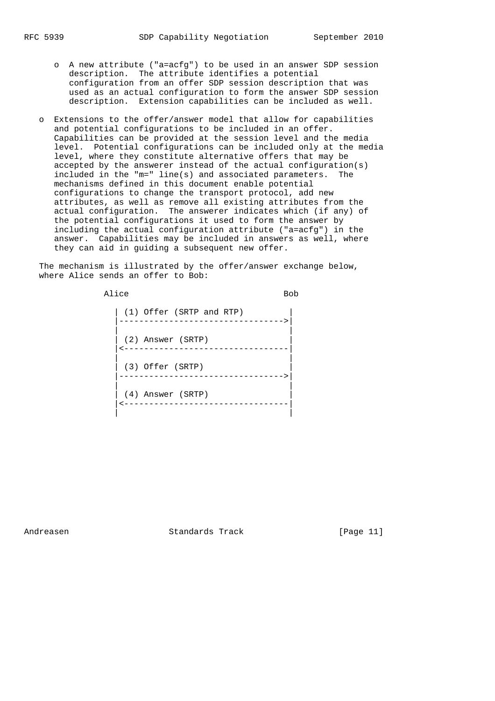- o A new attribute ("a=acfg") to be used in an answer SDP session description. The attribute identifies a potential configuration from an offer SDP session description that was used as an actual configuration to form the answer SDP session description. Extension capabilities can be included as well.
- o Extensions to the offer/answer model that allow for capabilities and potential configurations to be included in an offer. Capabilities can be provided at the session level and the media level. Potential configurations can be included only at the media level, where they constitute alternative offers that may be accepted by the answerer instead of the actual configuration(s) included in the "m=" line(s) and associated parameters. The mechanisms defined in this document enable potential configurations to change the transport protocol, add new attributes, as well as remove all existing attributes from the actual configuration. The answerer indicates which (if any) of the potential configurations it used to form the answer by including the actual configuration attribute ("a=acfg") in the answer. Capabilities may be included in answers as well, where they can aid in guiding a subsequent new offer.

 The mechanism is illustrated by the offer/answer exchange below, where Alice sends an offer to Bob:

#### Alice Bob

```
(1) Offer (SRTP and RTP)
           |--------------------------------->|
 | |
          (2) Answer (SRTP)
           |<---------------------------------|
 | |
          (3) Offer (SRTP)
           |--------------------------------->|
 | |
          (4) Answer (SRTP)
           |<---------------------------------|
 | |
```
Andreasen Standards Track [Page 11]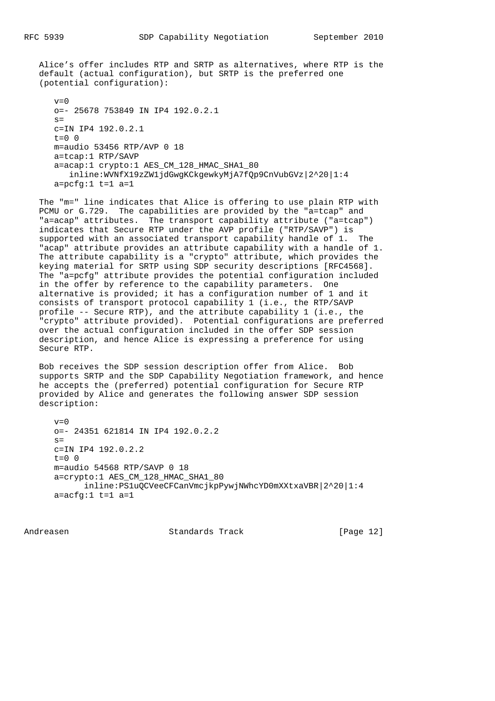Alice's offer includes RTP and SRTP as alternatives, where RTP is the default (actual configuration), but SRTP is the preferred one (potential configuration):

```
v=0 o=- 25678 753849 IN IP4 192.0.2.1
s= c=IN IP4 192.0.2.1
t=0 0
 m=audio 53456 RTP/AVP 0 18
 a=tcap:1 RTP/SAVP
a=acap:1 crypto:1 AES CM 128 HMAC SHA1 80
   inline:WVNfX19zZW1jdGwgKCkgewkyMjA7fQp9CnVubGVz|2^20|1:4
a = pcfq:1 t = 1 a = 1
```
 The "m=" line indicates that Alice is offering to use plain RTP with PCMU or G.729. The capabilities are provided by the "a=tcap" and "a=acap" attributes. The transport capability attribute ("a=tcap") indicates that Secure RTP under the AVP profile ("RTP/SAVP") is supported with an associated transport capability handle of 1. The "acap" attribute provides an attribute capability with a handle of 1. The attribute capability is a "crypto" attribute, which provides the keying material for SRTP using SDP security descriptions [RFC4568]. The "a=pcfg" attribute provides the potential configuration included in the offer by reference to the capability parameters. One alternative is provided; it has a configuration number of 1 and it consists of transport protocol capability 1 (i.e., the RTP/SAVP profile -- Secure RTP), and the attribute capability 1 (i.e., the "crypto" attribute provided). Potential configurations are preferred over the actual configuration included in the offer SDP session description, and hence Alice is expressing a preference for using Secure RTP.

 Bob receives the SDP session description offer from Alice. Bob supports SRTP and the SDP Capability Negotiation framework, and hence he accepts the (preferred) potential configuration for Secure RTP provided by Alice and generates the following answer SDP session description:

```
v=0 o=- 24351 621814 IN IP4 192.0.2.2
s= c=IN IP4 192.0.2.2
t=0 0
 m=audio 54568 RTP/SAVP 0 18
 a=crypto:1 AES_CM_128_HMAC_SHA1_80
       inline:PS1uQCVeeCFCanVmcjkpPywjNWhcYD0mXXtxaVBR|2^20|1:4
a = acfg:1 t=1 a=1
```
Andreasen Standards Track [Page 12]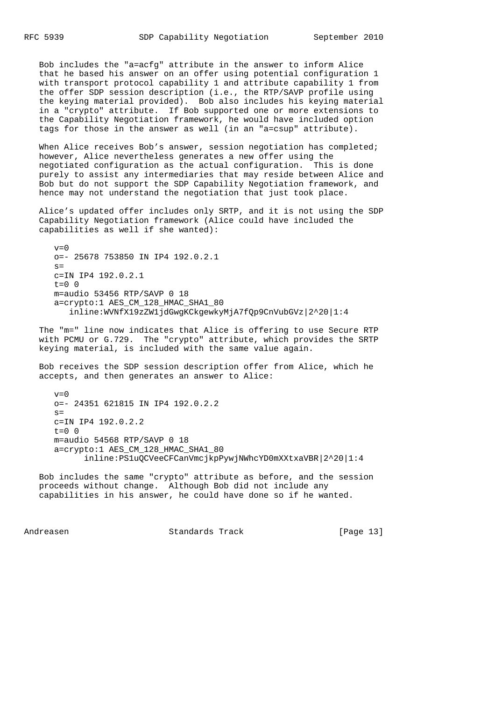Bob includes the "a=acfg" attribute in the answer to inform Alice that he based his answer on an offer using potential configuration 1 with transport protocol capability 1 and attribute capability 1 from the offer SDP session description (i.e., the RTP/SAVP profile using the keying material provided). Bob also includes his keying material in a "crypto" attribute. If Bob supported one or more extensions to the Capability Negotiation framework, he would have included option tags for those in the answer as well (in an "a=csup" attribute).

When Alice receives Bob's answer, session negotiation has completed; however, Alice nevertheless generates a new offer using the negotiated configuration as the actual configuration. This is done purely to assist any intermediaries that may reside between Alice and Bob but do not support the SDP Capability Negotiation framework, and hence may not understand the negotiation that just took place.

 Alice's updated offer includes only SRTP, and it is not using the SDP Capability Negotiation framework (Alice could have included the capabilities as well if she wanted):

 $v=0$  o=- 25678 753850 IN IP4 192.0.2.1  $s=$  c=IN IP4 192.0.2.1 t=0 0 m=audio 53456 RTP/SAVP 0 18 a=crypto:1 AES\_CM\_128\_HMAC\_SHA1\_80 inline:WVNfX19zZW1jdGwgKCkgewkyMjA7fQp9CnVubGVz|2^20|1:4

 The "m=" line now indicates that Alice is offering to use Secure RTP with PCMU or G.729. The "crypto" attribute, which provides the SRTP keying material, is included with the same value again.

 Bob receives the SDP session description offer from Alice, which he accepts, and then generates an answer to Alice:

 $v=0$  o=- 24351 621815 IN IP4 192.0.2.2  $s=$  c=IN IP4 192.0.2.2  $t=0$  0 m=audio 54568 RTP/SAVP 0 18 a=crypto:1 AES\_CM\_128\_HMAC\_SHA1\_80 inline:PS1uQCVeeCFCanVmcjkpPywjNWhcYD0mXXtxaVBR|2^20|1:4

 Bob includes the same "crypto" attribute as before, and the session proceeds without change. Although Bob did not include any capabilities in his answer, he could have done so if he wanted.

Andreasen Standards Track [Page 13]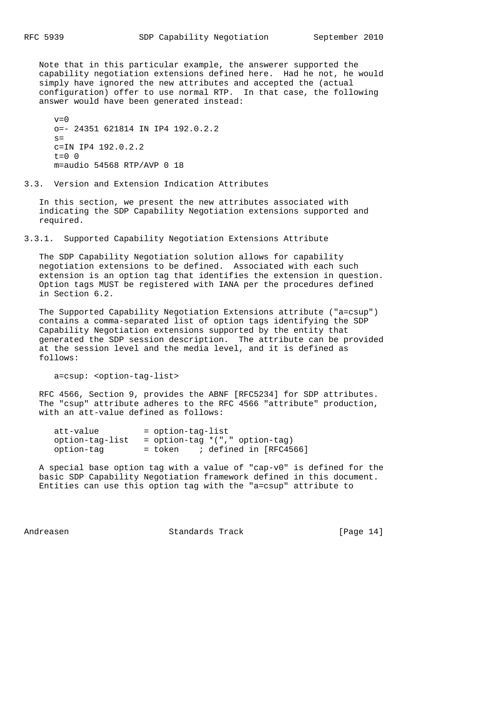Note that in this particular example, the answerer supported the capability negotiation extensions defined here. Had he not, he would simply have ignored the new attributes and accepted the (actual configuration) offer to use normal RTP. In that case, the following answer would have been generated instead:

```
v=0 o=- 24351 621814 IN IP4 192.0.2.2
s= c=IN IP4 192.0.2.2
t=0 0
 m=audio 54568 RTP/AVP 0 18
```
3.3. Version and Extension Indication Attributes

 In this section, we present the new attributes associated with indicating the SDP Capability Negotiation extensions supported and required.

3.3.1. Supported Capability Negotiation Extensions Attribute

 The SDP Capability Negotiation solution allows for capability negotiation extensions to be defined. Associated with each such extension is an option tag that identifies the extension in question. Option tags MUST be registered with IANA per the procedures defined in Section 6.2.

 The Supported Capability Negotiation Extensions attribute ("a=csup") contains a comma-separated list of option tags identifying the SDP Capability Negotiation extensions supported by the entity that generated the SDP session description. The attribute can be provided at the session level and the media level, and it is defined as follows:

a=csup: <option-tag-list>

 RFC 4566, Section 9, provides the ABNF [RFC5234] for SDP attributes. The "csup" attribute adheres to the RFC 4566 "attribute" production, with an att-value defined as follows:

| att-value       | = option-tag-list                 |
|-----------------|-----------------------------------|
| option-tag-list | = $option-taq * ("," option-taq)$ |
| option-tag      | ; defined in [RFC4566]<br>= token |

 A special base option tag with a value of "cap-v0" is defined for the basic SDP Capability Negotiation framework defined in this document. Entities can use this option tag with the "a=csup" attribute to

Andreasen Standards Track [Page 14]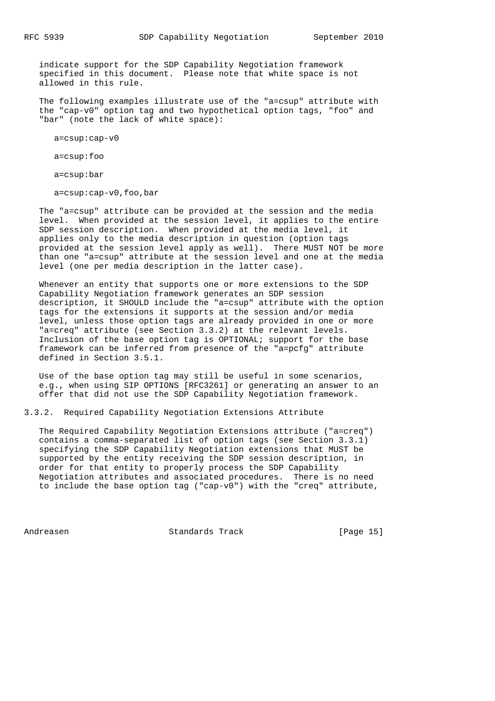indicate support for the SDP Capability Negotiation framework specified in this document. Please note that white space is not allowed in this rule.

 The following examples illustrate use of the "a=csup" attribute with the "cap-v0" option tag and two hypothetical option tags, "foo" and "bar" (note the lack of white space):

a=csup:cap-v0

a=csup:foo

a=csup:bar

a=csup:cap-v0,foo,bar

 The "a=csup" attribute can be provided at the session and the media level. When provided at the session level, it applies to the entire SDP session description. When provided at the media level, it applies only to the media description in question (option tags provided at the session level apply as well). There MUST NOT be more than one "a=csup" attribute at the session level and one at the media level (one per media description in the latter case).

 Whenever an entity that supports one or more extensions to the SDP Capability Negotiation framework generates an SDP session description, it SHOULD include the "a=csup" attribute with the option tags for the extensions it supports at the session and/or media level, unless those option tags are already provided in one or more "a=creq" attribute (see Section 3.3.2) at the relevant levels. Inclusion of the base option tag is OPTIONAL; support for the base framework can be inferred from presence of the "a=pcfg" attribute defined in Section 3.5.1.

 Use of the base option tag may still be useful in some scenarios, e.g., when using SIP OPTIONS [RFC3261] or generating an answer to an offer that did not use the SDP Capability Negotiation framework.

3.3.2. Required Capability Negotiation Extensions Attribute

 The Required Capability Negotiation Extensions attribute ("a=creq") contains a comma-separated list of option tags (see Section 3.3.1) specifying the SDP Capability Negotiation extensions that MUST be supported by the entity receiving the SDP session description, in order for that entity to properly process the SDP Capability Negotiation attributes and associated procedures. There is no need to include the base option tag ("cap-v0") with the "creq" attribute,

Andreasen Standards Track [Page 15]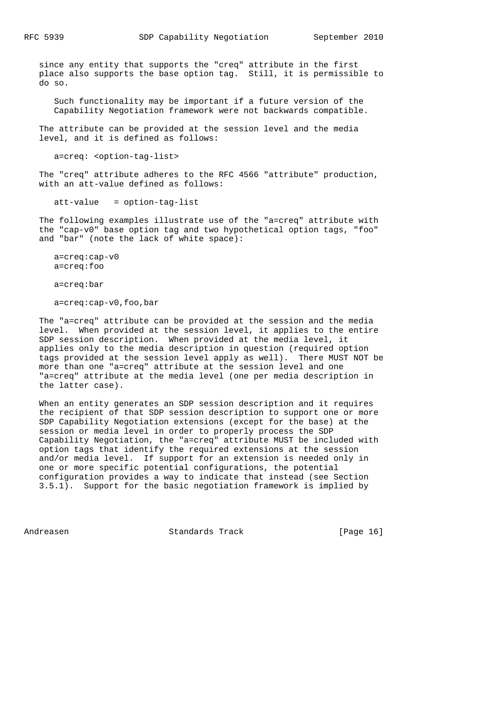since any entity that supports the "creq" attribute in the first place also supports the base option tag. Still, it is permissible to do so.

 Such functionality may be important if a future version of the Capability Negotiation framework were not backwards compatible.

 The attribute can be provided at the session level and the media level, and it is defined as follows:

a=creq: <option-tag-list>

 The "creq" attribute adheres to the RFC 4566 "attribute" production, with an att-value defined as follows:

att-value = option-tag-list

 The following examples illustrate use of the "a=creq" attribute with the "cap-v0" base option tag and two hypothetical option tags, "foo" and "bar" (note the lack of white space):

 a=creq:cap-v0 a=creq:foo

a=creq:bar

a=creq:cap-v0,foo,bar

 The "a=creq" attribute can be provided at the session and the media level. When provided at the session level, it applies to the entire SDP session description. When provided at the media level, it applies only to the media description in question (required option tags provided at the session level apply as well). There MUST NOT be more than one "a=creq" attribute at the session level and one "a=creq" attribute at the media level (one per media description in the latter case).

 When an entity generates an SDP session description and it requires the recipient of that SDP session description to support one or more SDP Capability Negotiation extensions (except for the base) at the session or media level in order to properly process the SDP Capability Negotiation, the "a=creq" attribute MUST be included with option tags that identify the required extensions at the session and/or media level. If support for an extension is needed only in one or more specific potential configurations, the potential configuration provides a way to indicate that instead (see Section 3.5.1). Support for the basic negotiation framework is implied by

Andreasen Standards Track [Page 16]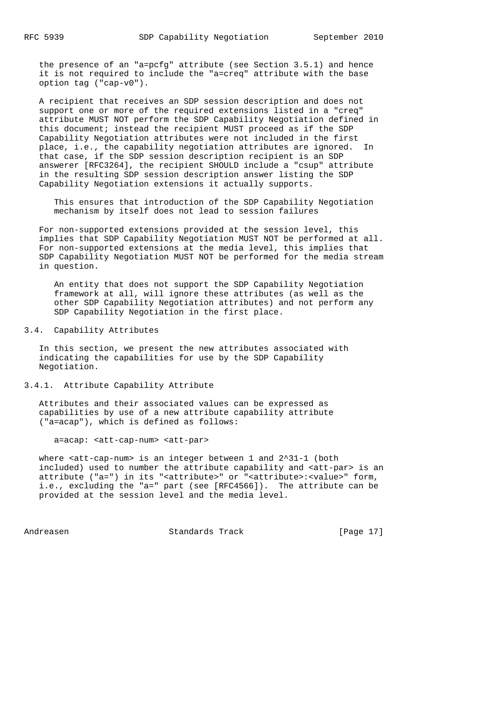the presence of an "a=pcfg" attribute (see Section 3.5.1) and hence it is not required to include the "a=creq" attribute with the base option tag ("cap-v0").

 A recipient that receives an SDP session description and does not support one or more of the required extensions listed in a "creq" attribute MUST NOT perform the SDP Capability Negotiation defined in this document; instead the recipient MUST proceed as if the SDP Capability Negotiation attributes were not included in the first place, i.e., the capability negotiation attributes are ignored. In that case, if the SDP session description recipient is an SDP answerer [RFC3264], the recipient SHOULD include a "csup" attribute in the resulting SDP session description answer listing the SDP Capability Negotiation extensions it actually supports.

 This ensures that introduction of the SDP Capability Negotiation mechanism by itself does not lead to session failures

 For non-supported extensions provided at the session level, this implies that SDP Capability Negotiation MUST NOT be performed at all. For non-supported extensions at the media level, this implies that SDP Capability Negotiation MUST NOT be performed for the media stream in question.

 An entity that does not support the SDP Capability Negotiation framework at all, will ignore these attributes (as well as the other SDP Capability Negotiation attributes) and not perform any SDP Capability Negotiation in the first place.

3.4. Capability Attributes

 In this section, we present the new attributes associated with indicating the capabilities for use by the SDP Capability Negotiation.

3.4.1. Attribute Capability Attribute

 Attributes and their associated values can be expressed as capabilities by use of a new attribute capability attribute ("a=acap"), which is defined as follows:

a=acap: <att-cap-num> <att-par>

 where <att-cap-num> is an integer between 1 and 2^31-1 (both included) used to number the attribute capability and <att-par> is an attribute ("a=") in its "<attribute>" or "<attribute>:<value>" form, i.e., excluding the "a=" part (see [RFC4566]). The attribute can be provided at the session level and the media level.

Andreasen Standards Track [Page 17]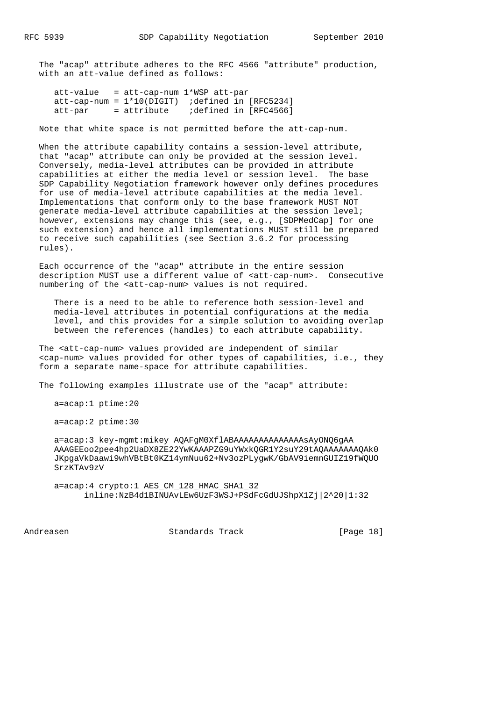The "acap" attribute adheres to the RFC 4566 "attribute" production, with an att-value defined as follows:

 $att-value = att-cap-num 1*WSP att-par$  att-cap-num = 1\*10(DIGIT) ;defined in [RFC5234] att-par = attribute ;defined in [RFC4566]

Note that white space is not permitted before the att-cap-num.

When the attribute capability contains a session-level attribute, that "acap" attribute can only be provided at the session level. Conversely, media-level attributes can be provided in attribute capabilities at either the media level or session level. The base SDP Capability Negotiation framework however only defines procedures for use of media-level attribute capabilities at the media level. Implementations that conform only to the base framework MUST NOT generate media-level attribute capabilities at the session level; however, extensions may change this (see, e.g., [SDPMedCap] for one such extension) and hence all implementations MUST still be prepared to receive such capabilities (see Section 3.6.2 for processing rules).

 Each occurrence of the "acap" attribute in the entire session description MUST use a different value of <att-cap-num>. Consecutive numbering of the <att-cap-num> values is not required.

 There is a need to be able to reference both session-level and media-level attributes in potential configurations at the media level, and this provides for a simple solution to avoiding overlap between the references (handles) to each attribute capability.

 The <att-cap-num> values provided are independent of similar <cap-num> values provided for other types of capabilities, i.e., they form a separate name-space for attribute capabilities.

The following examples illustrate use of the "acap" attribute:

a=acap:1 ptime:20

a=acap:2 ptime:30

 a=acap:3 key-mgmt:mikey AQAFgM0XflABAAAAAAAAAAAAAAsAyONQ6gAA AAAGEEoo2pee4hp2UaDX8ZE22YwKAAAPZG9uYWxkQGR1Y2suY29tAQAAAAAAAQAk0 JKpgaVkDaawi9whVBtBt0KZ14ymNuu62+Nv3ozPLygwK/GbAV9iemnGUIZ19fWQUO SrzKTAv9zV

 a=acap:4 crypto:1 AES\_CM\_128\_HMAC\_SHA1\_32 inline:NzB4d1BINUAvLEw6UzF3WSJ+PSdFcGdUJShpX1Zj|2^20|1:32

Andreasen Standards Track [Page 18]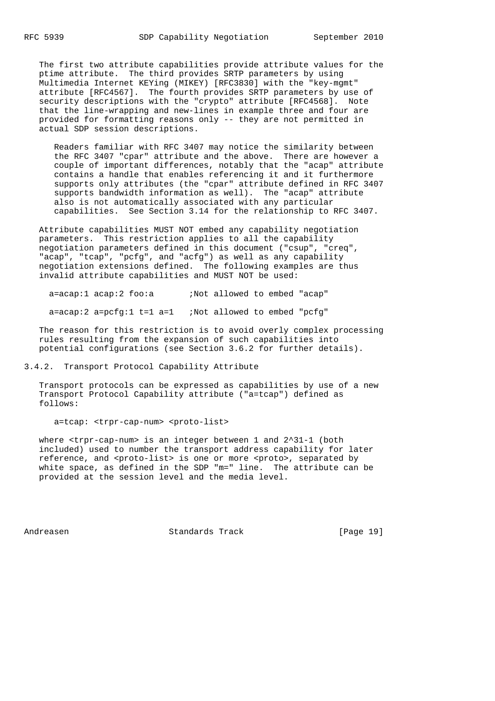The first two attribute capabilities provide attribute values for the ptime attribute. The third provides SRTP parameters by using Multimedia Internet KEYing (MIKEY) [RFC3830] with the "key-mgmt" attribute [RFC4567]. The fourth provides SRTP parameters by use of security descriptions with the "crypto" attribute [RFC4568]. Note that the line-wrapping and new-lines in example three and four are provided for formatting reasons only -- they are not permitted in actual SDP session descriptions.

 Readers familiar with RFC 3407 may notice the similarity between the RFC 3407 "cpar" attribute and the above. There are however a couple of important differences, notably that the "acap" attribute contains a handle that enables referencing it and it furthermore supports only attributes (the "cpar" attribute defined in RFC 3407 supports bandwidth information as well). The "acap" attribute also is not automatically associated with any particular capabilities. See Section 3.14 for the relationship to RFC 3407.

 Attribute capabilities MUST NOT embed any capability negotiation parameters. This restriction applies to all the capability negotiation parameters defined in this document ("csup", "creq", "acap", "tcap", "pcfg", and "acfg") as well as any capability negotiation extensions defined. The following examples are thus invalid attribute capabilities and MUST NOT be used:

a=acap:1 acap:2 foo:a ;Not allowed to embed "acap"

a=acap:2 a=pcfg:1 t=1 a=1 ;Not allowed to embed "pcfg"

 The reason for this restriction is to avoid overly complex processing rules resulting from the expansion of such capabilities into potential configurations (see Section 3.6.2 for further details).

3.4.2. Transport Protocol Capability Attribute

 Transport protocols can be expressed as capabilities by use of a new Transport Protocol Capability attribute ("a=tcap") defined as follows:

a=tcap: <trpr-cap-num> <proto-list>

 where <trpr-cap-num> is an integer between 1 and 2^31-1 (both included) used to number the transport address capability for later reference, and <proto-list> is one or more <proto>, separated by white space, as defined in the SDP "m=" line. The attribute can be provided at the session level and the media level.

Andreasen Standards Track [Page 19]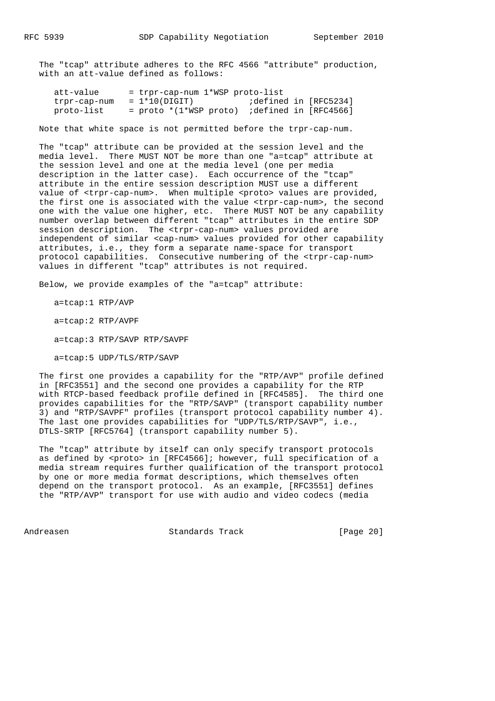The "tcap" attribute adheres to the RFC 4566 "attribute" production, with an att-value defined as follows:

| att-value    | = trpr-cap-num 1*WSP proto-list                         |  |                       |
|--------------|---------------------------------------------------------|--|-----------------------|
| trpr-cap-num | $= 1*10(DIGIT)$                                         |  | defined in [RFC5234]; |
| proto-list   | = proto $*(1*WSP \text{ proto})$ ; defined in [RFC4566] |  |                       |

Note that white space is not permitted before the trpr-cap-num.

 The "tcap" attribute can be provided at the session level and the media level. There MUST NOT be more than one "a=tcap" attribute at the session level and one at the media level (one per media description in the latter case). Each occurrence of the "tcap" attribute in the entire session description MUST use a different value of <trpr-cap-num>. When multiple <proto> values are provided, the first one is associated with the value <trpr-cap-num>, the second one with the value one higher, etc. There MUST NOT be any capability number overlap between different "tcap" attributes in the entire SDP session description. The <trpr-cap-num> values provided are independent of similar <cap-num> values provided for other capability attributes, i.e., they form a separate name-space for transport protocol capabilities. Consecutive numbering of the <trpr-cap-num> values in different "tcap" attributes is not required.

Below, we provide examples of the "a=tcap" attribute:

a=tcap:1 RTP/AVP

a=tcap:2 RTP/AVPF

a=tcap:3 RTP/SAVP RTP/SAVPF

a=tcap:5 UDP/TLS/RTP/SAVP

 The first one provides a capability for the "RTP/AVP" profile defined in [RFC3551] and the second one provides a capability for the RTP with RTCP-based feedback profile defined in [RFC4585]. The third one provides capabilities for the "RTP/SAVP" (transport capability number 3) and "RTP/SAVPF" profiles (transport protocol capability number 4). The last one provides capabilities for "UDP/TLS/RTP/SAVP", i.e., DTLS-SRTP [RFC5764] (transport capability number 5).

 The "tcap" attribute by itself can only specify transport protocols as defined by <proto> in [RFC4566]; however, full specification of a media stream requires further qualification of the transport protocol by one or more media format descriptions, which themselves often depend on the transport protocol. As an example, [RFC3551] defines the "RTP/AVP" transport for use with audio and video codecs (media

Andreasen Standards Track [Page 20]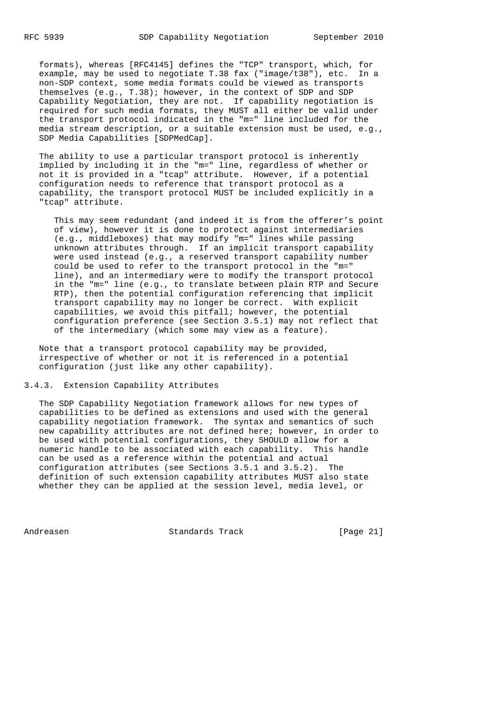formats), whereas [RFC4145] defines the "TCP" transport, which, for example, may be used to negotiate T.38 fax ("image/t38"), etc. In a non-SDP context, some media formats could be viewed as transports themselves (e.g., T.38); however, in the context of SDP and SDP Capability Negotiation, they are not. If capability negotiation is required for such media formats, they MUST all either be valid under the transport protocol indicated in the "m=" line included for the media stream description, or a suitable extension must be used, e.g., SDP Media Capabilities [SDPMedCap].

 The ability to use a particular transport protocol is inherently implied by including it in the "m=" line, regardless of whether or not it is provided in a "tcap" attribute. However, if a potential configuration needs to reference that transport protocol as a capability, the transport protocol MUST be included explicitly in a "tcap" attribute.

 This may seem redundant (and indeed it is from the offerer's point of view), however it is done to protect against intermediaries (e.g., middleboxes) that may modify "m=" lines while passing unknown attributes through. If an implicit transport capability were used instead (e.g., a reserved transport capability number could be used to refer to the transport protocol in the "m=" line), and an intermediary were to modify the transport protocol in the "m=" line (e.g., to translate between plain RTP and Secure RTP), then the potential configuration referencing that implicit transport capability may no longer be correct. With explicit capabilities, we avoid this pitfall; however, the potential configuration preference (see Section 3.5.1) may not reflect that of the intermediary (which some may view as a feature).

 Note that a transport protocol capability may be provided, irrespective of whether or not it is referenced in a potential configuration (just like any other capability).

## 3.4.3. Extension Capability Attributes

 The SDP Capability Negotiation framework allows for new types of capabilities to be defined as extensions and used with the general capability negotiation framework. The syntax and semantics of such new capability attributes are not defined here; however, in order to be used with potential configurations, they SHOULD allow for a numeric handle to be associated with each capability. This handle can be used as a reference within the potential and actual configuration attributes (see Sections 3.5.1 and 3.5.2). The definition of such extension capability attributes MUST also state whether they can be applied at the session level, media level, or

Andreasen Standards Track [Page 21]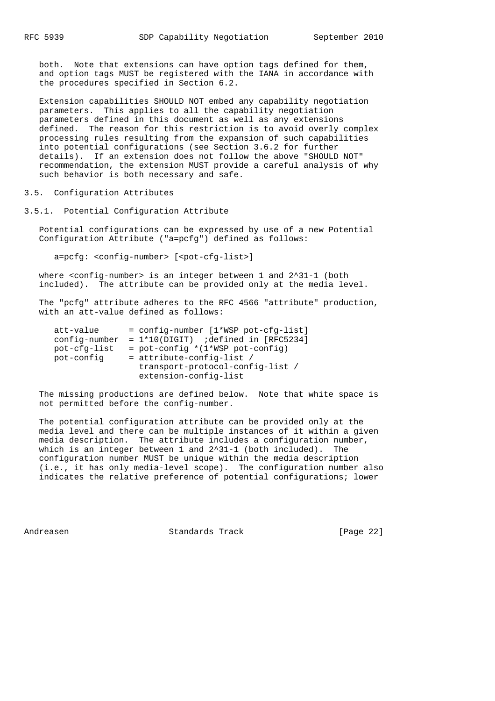both. Note that extensions can have option tags defined for them, and option tags MUST be registered with the IANA in accordance with the procedures specified in Section 6.2.

 Extension capabilities SHOULD NOT embed any capability negotiation parameters. This applies to all the capability negotiation parameters defined in this document as well as any extensions defined. The reason for this restriction is to avoid overly complex processing rules resulting from the expansion of such capabilities into potential configurations (see Section 3.6.2 for further details). If an extension does not follow the above "SHOULD NOT" recommendation, the extension MUST provide a careful analysis of why such behavior is both necessary and safe.

#### 3.5. Configuration Attributes

3.5.1. Potential Configuration Attribute

 Potential configurations can be expressed by use of a new Potential Configuration Attribute ("a=pcfg") defined as follows:

a=pcfg: <config-number> [<pot-cfg-list>]

where <config-number> is an integer between 1 and 2^31-1 (both included). The attribute can be provided only at the media level.

 The "pcfg" attribute adheres to the RFC 4566 "attribute" production, with an att-value defined as follows:

| = config-number [1*WSP pot-cfg-list]   |
|----------------------------------------|
| $= 1*10(DIGIT)$ ; defined in [RFC5234] |
| = $pot$ -config *(1*WSP pot-config)    |
| = attribute-config-list /              |
| transport-protocol-config-list /       |
| extension-config-list                  |
|                                        |

 The missing productions are defined below. Note that white space is not permitted before the config-number.

 The potential configuration attribute can be provided only at the media level and there can be multiple instances of it within a given media description. The attribute includes a configuration number, which is an integer between 1 and 2^31-1 (both included). The configuration number MUST be unique within the media description (i.e., it has only media-level scope). The configuration number also indicates the relative preference of potential configurations; lower

Andreasen Standards Track [Page 22]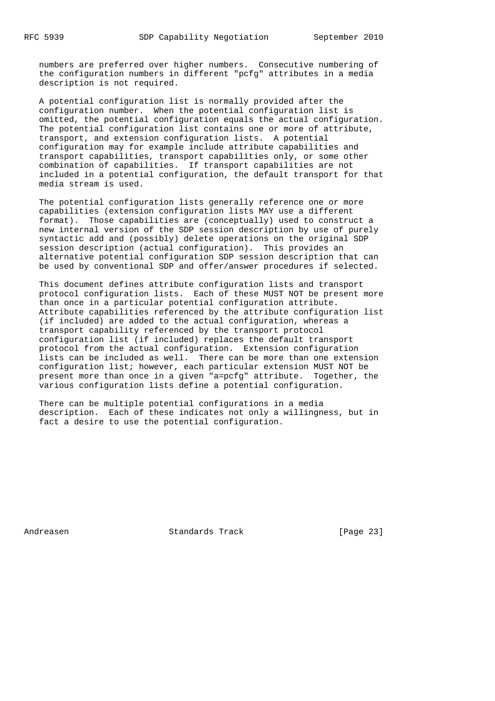numbers are preferred over higher numbers. Consecutive numbering of the configuration numbers in different "pcfg" attributes in a media description is not required.

 A potential configuration list is normally provided after the configuration number. When the potential configuration list is omitted, the potential configuration equals the actual configuration. The potential configuration list contains one or more of attribute, transport, and extension configuration lists. A potential configuration may for example include attribute capabilities and transport capabilities, transport capabilities only, or some other combination of capabilities. If transport capabilities are not included in a potential configuration, the default transport for that media stream is used.

 The potential configuration lists generally reference one or more capabilities (extension configuration lists MAY use a different format). Those capabilities are (conceptually) used to construct a new internal version of the SDP session description by use of purely syntactic add and (possibly) delete operations on the original SDP session description (actual configuration). This provides an alternative potential configuration SDP session description that can be used by conventional SDP and offer/answer procedures if selected.

 This document defines attribute configuration lists and transport protocol configuration lists. Each of these MUST NOT be present more than once in a particular potential configuration attribute. Attribute capabilities referenced by the attribute configuration list (if included) are added to the actual configuration, whereas a transport capability referenced by the transport protocol configuration list (if included) replaces the default transport protocol from the actual configuration. Extension configuration lists can be included as well. There can be more than one extension configuration list; however, each particular extension MUST NOT be present more than once in a given "a=pcfg" attribute. Together, the various configuration lists define a potential configuration.

 There can be multiple potential configurations in a media description. Each of these indicates not only a willingness, but in fact a desire to use the potential configuration.

Andreasen Standards Track [Page 23]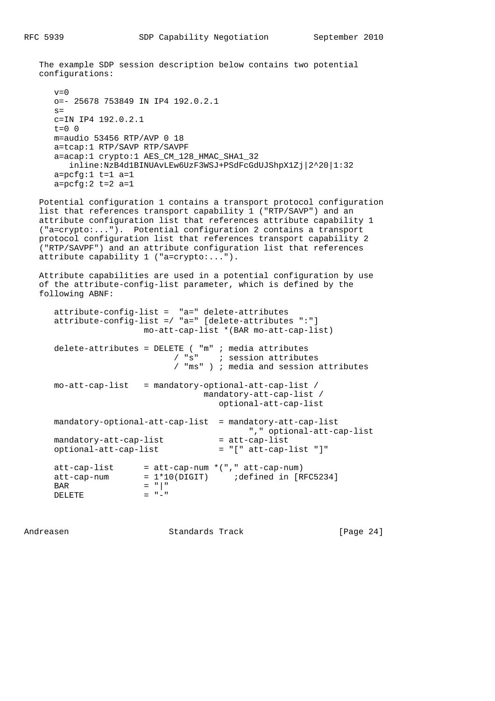The example SDP session description below contains two potential configurations:

```
v=0 o=- 25678 753849 IN IP4 192.0.2.1
s= c=IN IP4 192.0.2.1
t=0 0
 m=audio 53456 RTP/AVP 0 18
 a=tcap:1 RTP/SAVP RTP/SAVPF
a=acap:1 crypto:1 AES CM 128 HMAC SHA1 32
   inline:NzB4d1BINUAvLEw6UzF3WSJ+PSdFcGdUJShpX1Zj|2^20|1:32
a = pcfg:1 t=1 a=1a = pcfg:2 t = 2 a = 1
```
 Potential configuration 1 contains a transport protocol configuration list that references transport capability 1 ("RTP/SAVP") and an attribute configuration list that references attribute capability 1 ("a=crypto:..."). Potential configuration 2 contains a transport protocol configuration list that references transport capability 2 ("RTP/SAVPF") and an attribute configuration list that references attribute capability 1 ("a=crypto:...").

 Attribute capabilities are used in a potential configuration by use of the attribute-config-list parameter, which is defined by the following ABNF:

```
 attribute-config-list = "a=" delete-attributes
       attribute-config-list =/ "a=" [delete-attributes ":"]
                          mo-att-cap-list *(BAR mo-att-cap-list)
      delete-attributes = DELETE ( "m" ; media attributes
                                 / "s" ; session attributes
                                 / "ms" ) ; media and session attributes
      mo-att-cap-list = mandatory-optional-att-cap-list /
                                        mandatory-att-cap-list /
                                           optional-att-cap-list
       mandatory-optional-att-cap-list = mandatory-att-cap-list
                                             "," optional-att-cap-list
mandatory-att-cap-list = att-cap-list
 optional-att-cap-list = "[" att-cap-list "]"
 att-cap-list = att-cap-num *("," att-cap-num)
 att-cap-num = 1*10(DIGIT) ;defined in [RFC5234]
\begin{array}{ccc} \text{BAR} & \text{=} & \text{"} \end{array}\begin{array}{ccc}\n\text{BAR} & = & \text{``} \mid \text{''} \\
\text{DELETE} & = & \text{``} - \text{''}\n\end{array}
```
Andreasen Standards Track [Page 24]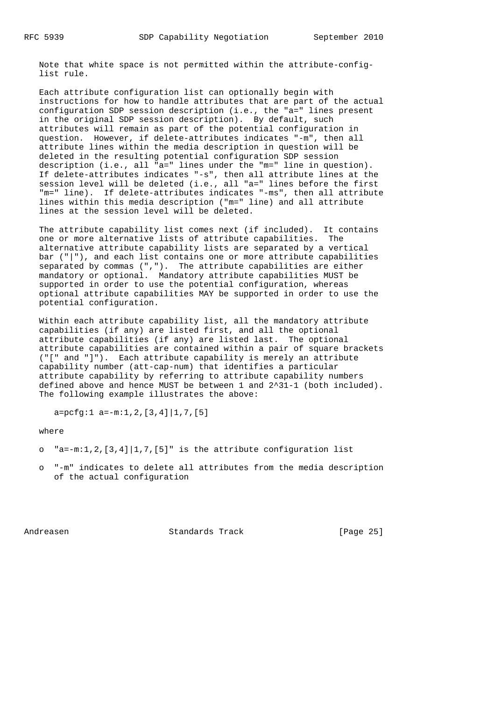Note that white space is not permitted within the attribute-config list rule.

 Each attribute configuration list can optionally begin with instructions for how to handle attributes that are part of the actual configuration SDP session description (i.e., the "a=" lines present in the original SDP session description). By default, such attributes will remain as part of the potential configuration in question. However, if delete-attributes indicates "-m", then all attribute lines within the media description in question will be deleted in the resulting potential configuration SDP session description (i.e., all "a=" lines under the "m=" line in question). If delete-attributes indicates "-s", then all attribute lines at the session level will be deleted (i.e., all "a=" lines before the first "m=" line). If delete-attributes indicates "-ms", then all attribute lines within this media description ("m=" line) and all attribute lines at the session level will be deleted.

 The attribute capability list comes next (if included). It contains one or more alternative lists of attribute capabilities. The alternative attribute capability lists are separated by a vertical bar  $(\n\cdot \| \cdot)$ , and each list contains one or more attribute capabilities separated by commas (","). The attribute capabilities are either mandatory or optional. Mandatory attribute capabilities MUST be supported in order to use the potential configuration, whereas optional attribute capabilities MAY be supported in order to use the potential configuration.

 Within each attribute capability list, all the mandatory attribute capabilities (if any) are listed first, and all the optional attribute capabilities (if any) are listed last. The optional attribute capabilities are contained within a pair of square brackets ("[" and "]"). Each attribute capability is merely an attribute capability number (att-cap-num) that identifies a particular attribute capability by referring to attribute capability numbers defined above and hence MUST be between 1 and 2^31-1 (both included). The following example illustrates the above:

```
 a=pcfg:1 a=-m:1,2,[3,4]|1,7,[5]
```
where

- o  $\texttt{m} = -\texttt{m}: 1, 2, [3, 4] | 1, 7, [5]$  is the attribute configuration list
- o "-m" indicates to delete all attributes from the media description of the actual configuration

Andreasen Standards Track [Page 25]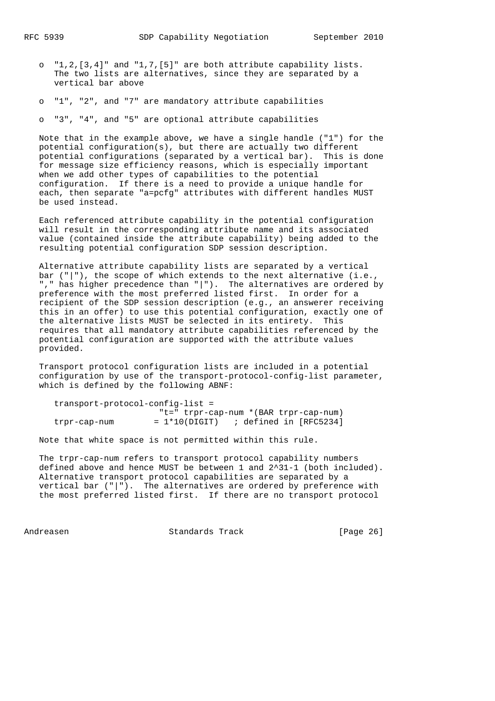- o "1,2,[3,4]" and "1,7,[5]" are both attribute capability lists. The two lists are alternatives, since they are separated by a vertical bar above
- o "1", "2", and "7" are mandatory attribute capabilities

o "3", "4", and "5" are optional attribute capabilities

 Note that in the example above, we have a single handle ("1") for the potential configuration(s), but there are actually two different potential configurations (separated by a vertical bar). This is done for message size efficiency reasons, which is especially important when we add other types of capabilities to the potential configuration. If there is a need to provide a unique handle for each, then separate "a=pcfg" attributes with different handles MUST be used instead.

 Each referenced attribute capability in the potential configuration will result in the corresponding attribute name and its associated value (contained inside the attribute capability) being added to the resulting potential configuration SDP session description.

 Alternative attribute capability lists are separated by a vertical bar  $(\n\cdot\mid \cdot)$ , the scope of which extends to the next alternative (i.e., "," has higher precedence than "|"). The alternatives are ordered by preference with the most preferred listed first. In order for a recipient of the SDP session description (e.g., an answerer receiving this in an offer) to use this potential configuration, exactly one of the alternative lists MUST be selected in its entirety. This requires that all mandatory attribute capabilities referenced by the potential configuration are supported with the attribute values provided.

 Transport protocol configuration lists are included in a potential configuration by use of the transport-protocol-config-list parameter, which is defined by the following ABNF:

| transport-protocol-config-list = |                                        |  |  |
|----------------------------------|----------------------------------------|--|--|
|                                  | "t=" trpr-cap-num *(BAR trpr-cap-num)  |  |  |
| trpr-cap-num                     | $= 1*10(DIGIT)$ ; defined in [RFC5234] |  |  |

Note that white space is not permitted within this rule.

 The trpr-cap-num refers to transport protocol capability numbers defined above and hence MUST be between 1 and 2^31-1 (both included). Alternative transport protocol capabilities are separated by a vertical bar  $(\n\cdot\mid \cdot)$ . The alternatives are ordered by preference with the most preferred listed first. If there are no transport protocol

Andreasen Standards Track [Page 26]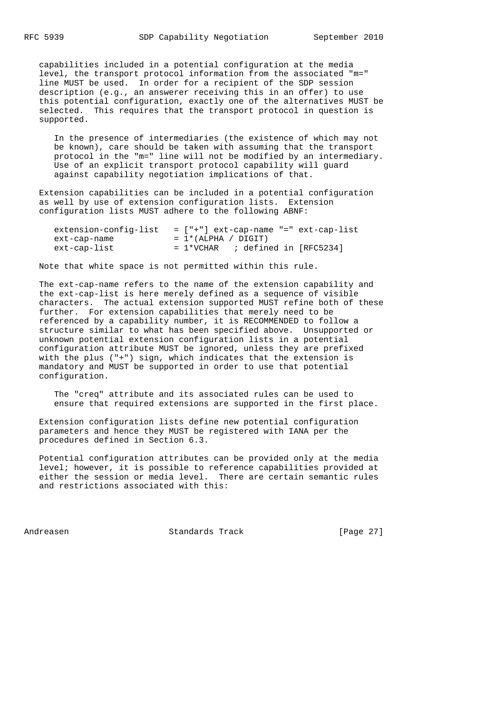capabilities included in a potential configuration at the media level, the transport protocol information from the associated "m=" line MUST be used. In order for a recipient of the SDP session description (e.g., an answerer receiving this in an offer) to use this potential configuration, exactly one of the alternatives MUST be selected. This requires that the transport protocol in question is supported.

 In the presence of intermediaries (the existence of which may not be known), care should be taken with assuming that the transport protocol in the "m=" line will not be modified by an intermediary. Use of an explicit transport protocol capability will guard against capability negotiation implications of that.

 Extension capabilities can be included in a potential configuration as well by use of extension configuration lists. Extension configuration lists MUST adhere to the following ABNF:

| extension-confiq-list | $=$ $[$ "+"] ext-cap-name "=" ext-cap-list |
|-----------------------|--------------------------------------------|
| ext-cap-name          | $= 1$ *(ALPHA / DIGIT)                     |
| ext-cap-list          | $= 1*VCHAR$ ; defined in [RFC5234]         |

Note that white space is not permitted within this rule.

 The ext-cap-name refers to the name of the extension capability and the ext-cap-list is here merely defined as a sequence of visible characters. The actual extension supported MUST refine both of these further. For extension capabilities that merely need to be referenced by a capability number, it is RECOMMENDED to follow a structure similar to what has been specified above. Unsupported or unknown potential extension configuration lists in a potential configuration attribute MUST be ignored, unless they are prefixed with the plus ("+") sign, which indicates that the extension is mandatory and MUST be supported in order to use that potential configuration.

 The "creq" attribute and its associated rules can be used to ensure that required extensions are supported in the first place.

 Extension configuration lists define new potential configuration parameters and hence they MUST be registered with IANA per the procedures defined in Section 6.3.

 Potential configuration attributes can be provided only at the media level; however, it is possible to reference capabilities provided at either the session or media level. There are certain semantic rules and restrictions associated with this:

Andreasen Standards Track [Page 27]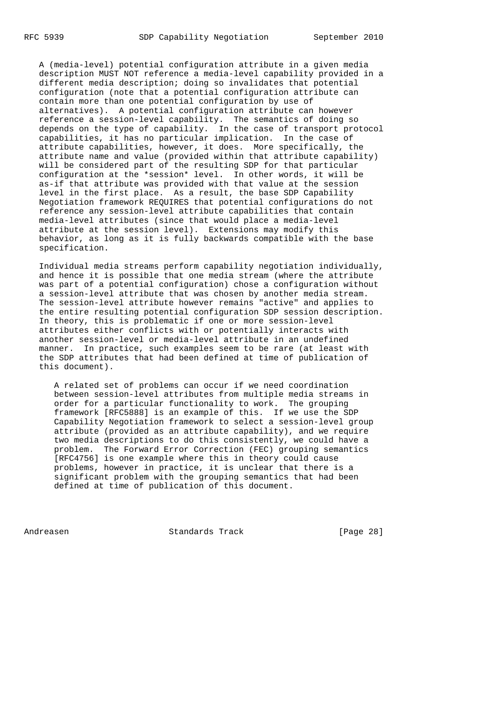A (media-level) potential configuration attribute in a given media description MUST NOT reference a media-level capability provided in a different media description; doing so invalidates that potential configuration (note that a potential configuration attribute can contain more than one potential configuration by use of alternatives). A potential configuration attribute can however reference a session-level capability. The semantics of doing so depends on the type of capability. In the case of transport protocol capabilities, it has no particular implication. In the case of attribute capabilities, however, it does. More specifically, the attribute name and value (provided within that attribute capability) will be considered part of the resulting SDP for that particular configuration at the \*session\* level. In other words, it will be as-if that attribute was provided with that value at the session level in the first place. As a result, the base SDP Capability Negotiation framework REQUIRES that potential configurations do not reference any session-level attribute capabilities that contain media-level attributes (since that would place a media-level attribute at the session level). Extensions may modify this behavior, as long as it is fully backwards compatible with the base specification.

 Individual media streams perform capability negotiation individually, and hence it is possible that one media stream (where the attribute was part of a potential configuration) chose a configuration without a session-level attribute that was chosen by another media stream. The session-level attribute however remains "active" and applies to the entire resulting potential configuration SDP session description. In theory, this is problematic if one or more session-level attributes either conflicts with or potentially interacts with another session-level or media-level attribute in an undefined manner. In practice, such examples seem to be rare (at least with the SDP attributes that had been defined at time of publication of this document).

 A related set of problems can occur if we need coordination between session-level attributes from multiple media streams in order for a particular functionality to work. The grouping framework [RFC5888] is an example of this. If we use the SDP Capability Negotiation framework to select a session-level group attribute (provided as an attribute capability), and we require two media descriptions to do this consistently, we could have a problem. The Forward Error Correction (FEC) grouping semantics [RFC4756] is one example where this in theory could cause problems, however in practice, it is unclear that there is a significant problem with the grouping semantics that had been defined at time of publication of this document.

Andreasen Standards Track [Page 28]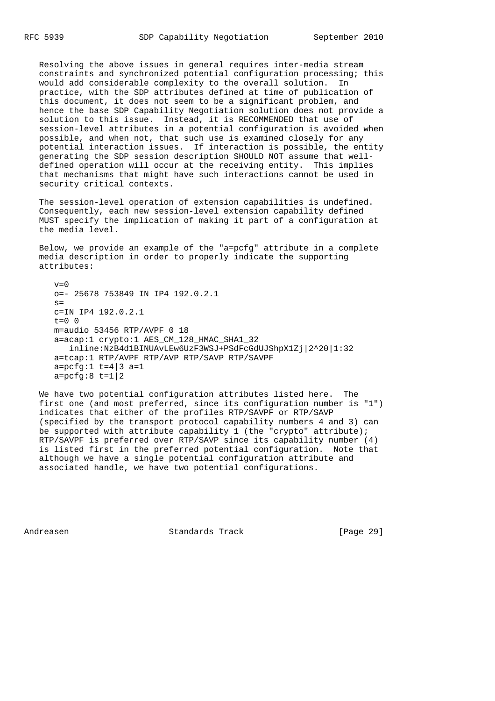Resolving the above issues in general requires inter-media stream constraints and synchronized potential configuration processing; this would add considerable complexity to the overall solution. In practice, with the SDP attributes defined at time of publication of this document, it does not seem to be a significant problem, and hence the base SDP Capability Negotiation solution does not provide a solution to this issue. Instead, it is RECOMMENDED that use of session-level attributes in a potential configuration is avoided when possible, and when not, that such use is examined closely for any potential interaction issues. If interaction is possible, the entity generating the SDP session description SHOULD NOT assume that well defined operation will occur at the receiving entity. This implies that mechanisms that might have such interactions cannot be used in security critical contexts.

 The session-level operation of extension capabilities is undefined. Consequently, each new session-level extension capability defined MUST specify the implication of making it part of a configuration at the media level.

 Below, we provide an example of the "a=pcfg" attribute in a complete media description in order to properly indicate the supporting attributes:

 $v=0$  o=- 25678 753849 IN IP4 192.0.2.1  $s=$  c=IN IP4 192.0.2.1  $t=0$  0 m=audio 53456 RTP/AVPF 0 18 a=acap:1 crypto:1 AES\_CM\_128\_HMAC\_SHA1\_32 inline:NzB4d1BINUAvLEw6UzF3WSJ+PSdFcGdUJShpX1Zj|2^20|1:32 a=tcap:1 RTP/AVPF RTP/AVP RTP/SAVP RTP/SAVPF  $a = pcfq:1 t = 4|3 a = 1$  $a = pcfg:8 t = 1/2$ 

 We have two potential configuration attributes listed here. The first one (and most preferred, since its configuration number is "1") indicates that either of the profiles RTP/SAVPF or RTP/SAVP (specified by the transport protocol capability numbers 4 and 3) can be supported with attribute capability 1 (the "crypto" attribute); RTP/SAVPF is preferred over RTP/SAVP since its capability number (4) is listed first in the preferred potential configuration. Note that although we have a single potential configuration attribute and associated handle, we have two potential configurations.

Andreasen Standards Track [Page 29]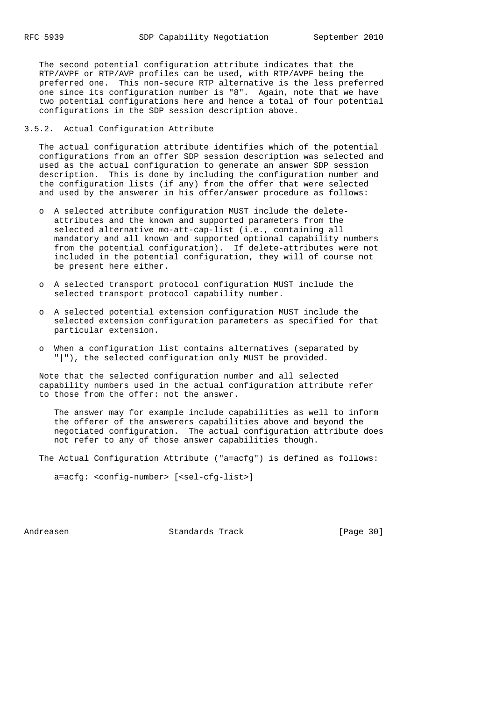The second potential configuration attribute indicates that the RTP/AVPF or RTP/AVP profiles can be used, with RTP/AVPF being the preferred one. This non-secure RTP alternative is the less preferred one since its configuration number is "8". Again, note that we have two potential configurations here and hence a total of four potential configurations in the SDP session description above.

## 3.5.2. Actual Configuration Attribute

 The actual configuration attribute identifies which of the potential configurations from an offer SDP session description was selected and used as the actual configuration to generate an answer SDP session description. This is done by including the configuration number and the configuration lists (if any) from the offer that were selected and used by the answerer in his offer/answer procedure as follows:

- o A selected attribute configuration MUST include the delete attributes and the known and supported parameters from the selected alternative mo-att-cap-list (i.e., containing all mandatory and all known and supported optional capability numbers from the potential configuration). If delete-attributes were not included in the potential configuration, they will of course not be present here either.
- o A selected transport protocol configuration MUST include the selected transport protocol capability number.
- o A selected potential extension configuration MUST include the selected extension configuration parameters as specified for that particular extension.
- o When a configuration list contains alternatives (separated by "|"), the selected configuration only MUST be provided.

 Note that the selected configuration number and all selected capability numbers used in the actual configuration attribute refer to those from the offer: not the answer.

 The answer may for example include capabilities as well to inform the offerer of the answerers capabilities above and beyond the negotiated configuration. The actual configuration attribute does not refer to any of those answer capabilities though.

The Actual Configuration Attribute ("a=acfg") is defined as follows:

a=acfg: <config-number> [<sel-cfg-list>]

Andreasen Standards Track [Page 30]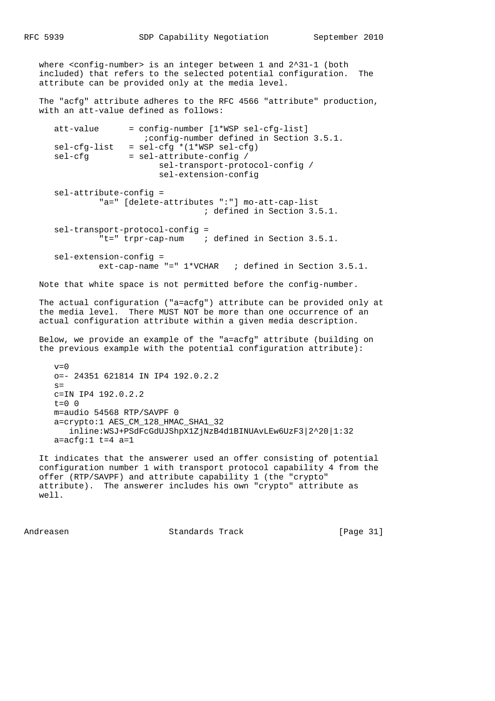where <config-number> is an integer between 1 and 2^31-1 (both included) that refers to the selected potential configuration. The attribute can be provided only at the media level.

 The "acfg" attribute adheres to the RFC 4566 "attribute" production, with an att-value defined as follows:

```
 att-value = config-number [1*WSP sel-cfg-list]
                 ;config-number defined in Section 3.5.1.
self-cfq-list = self-cfq * (1*WSP sel-cfq)self-cfq = self-attribute-config / sel-transport-protocol-config /
                     sel-extension-config
 sel-attribute-config =
```
 "a=" [delete-attributes ":"] mo-att-cap-list ; defined in Section 3.5.1.

sel-transport-protocol-config =

"t=" trpr-cap-num ; defined in Section 3.5.1.

 sel-extension-config = ext-cap-name "="  $1*VCHAR$  ; defined in Section 3.5.1.

Note that white space is not permitted before the config-number.

 The actual configuration ("a=acfg") attribute can be provided only at the media level. There MUST NOT be more than one occurrence of an actual configuration attribute within a given media description.

 Below, we provide an example of the "a=acfg" attribute (building on the previous example with the potential configuration attribute):

```
v=0 o=- 24351 621814 IN IP4 192.0.2.2
s= c=IN IP4 192.0.2.2
t=0 0
 m=audio 54568 RTP/SAVPF 0
 a=crypto:1 AES_CM_128_HMAC_SHA1_32
   inline:WSJ+PSdFcGdUJShpX1ZjNzB4d1BINUAvLEw6UzF3|2^20|1:32
a = acfg:1 t=4 a=1
```
 It indicates that the answerer used an offer consisting of potential configuration number 1 with transport protocol capability 4 from the offer (RTP/SAVPF) and attribute capability 1 (the "crypto" attribute). The answerer includes his own "crypto" attribute as well.

Andreasen Standards Track [Page 31]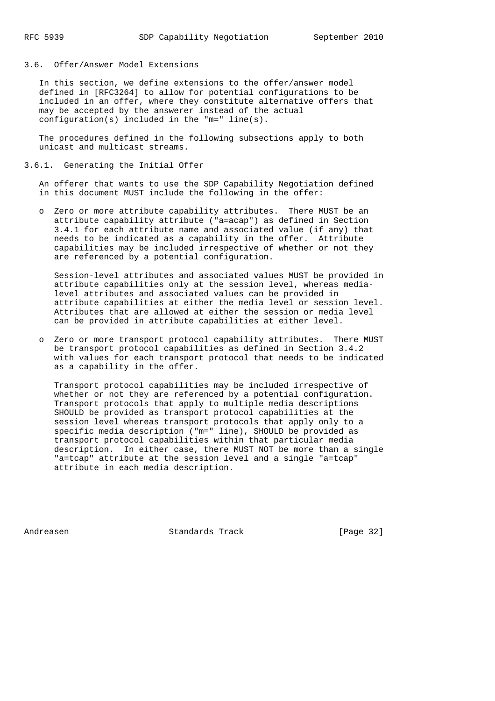## 3.6. Offer/Answer Model Extensions

 In this section, we define extensions to the offer/answer model defined in [RFC3264] to allow for potential configurations to be included in an offer, where they constitute alternative offers that may be accepted by the answerer instead of the actual configuration(s) included in the "m=" line(s).

 The procedures defined in the following subsections apply to both unicast and multicast streams.

#### 3.6.1. Generating the Initial Offer

 An offerer that wants to use the SDP Capability Negotiation defined in this document MUST include the following in the offer:

 o Zero or more attribute capability attributes. There MUST be an attribute capability attribute ("a=acap") as defined in Section 3.4.1 for each attribute name and associated value (if any) that needs to be indicated as a capability in the offer. Attribute capabilities may be included irrespective of whether or not they are referenced by a potential configuration.

 Session-level attributes and associated values MUST be provided in attribute capabilities only at the session level, whereas media level attributes and associated values can be provided in attribute capabilities at either the media level or session level. Attributes that are allowed at either the session or media level can be provided in attribute capabilities at either level.

 o Zero or more transport protocol capability attributes. There MUST be transport protocol capabilities as defined in Section 3.4.2 with values for each transport protocol that needs to be indicated as a capability in the offer.

 Transport protocol capabilities may be included irrespective of whether or not they are referenced by a potential configuration. Transport protocols that apply to multiple media descriptions SHOULD be provided as transport protocol capabilities at the session level whereas transport protocols that apply only to a specific media description ("m=" line), SHOULD be provided as transport protocol capabilities within that particular media description. In either case, there MUST NOT be more than a single "a=tcap" attribute at the session level and a single "a=tcap" attribute in each media description.

Andreasen Standards Track [Page 32]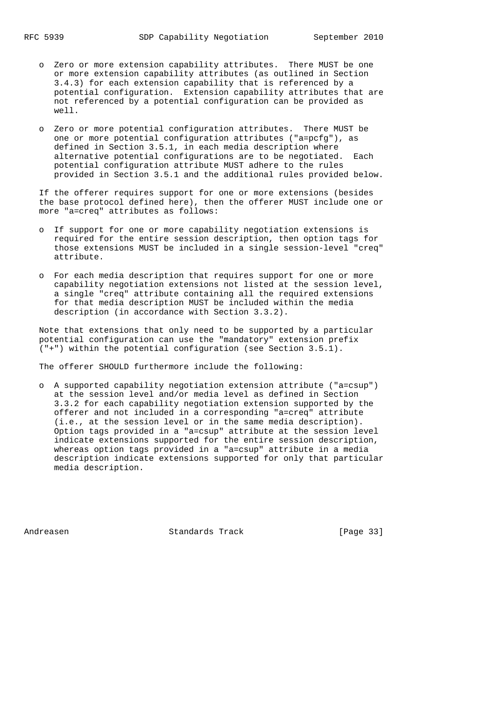- o Zero or more extension capability attributes. There MUST be one or more extension capability attributes (as outlined in Section 3.4.3) for each extension capability that is referenced by a potential configuration. Extension capability attributes that are not referenced by a potential configuration can be provided as well.
- o Zero or more potential configuration attributes. There MUST be one or more potential configuration attributes ("a=pcfg"), as defined in Section 3.5.1, in each media description where alternative potential configurations are to be negotiated. Each potential configuration attribute MUST adhere to the rules provided in Section 3.5.1 and the additional rules provided below.

 If the offerer requires support for one or more extensions (besides the base protocol defined here), then the offerer MUST include one or more "a=creq" attributes as follows:

- o If support for one or more capability negotiation extensions is required for the entire session description, then option tags for those extensions MUST be included in a single session-level "creq" attribute.
- o For each media description that requires support for one or more capability negotiation extensions not listed at the session level, a single "creq" attribute containing all the required extensions for that media description MUST be included within the media description (in accordance with Section 3.3.2).

 Note that extensions that only need to be supported by a particular potential configuration can use the "mandatory" extension prefix ("+") within the potential configuration (see Section 3.5.1).

The offerer SHOULD furthermore include the following:

 o A supported capability negotiation extension attribute ("a=csup") at the session level and/or media level as defined in Section 3.3.2 for each capability negotiation extension supported by the offerer and not included in a corresponding "a=creq" attribute (i.e., at the session level or in the same media description). Option tags provided in a "a=csup" attribute at the session level indicate extensions supported for the entire session description, whereas option tags provided in a "a=csup" attribute in a media description indicate extensions supported for only that particular media description.

Andreasen Standards Track [Page 33]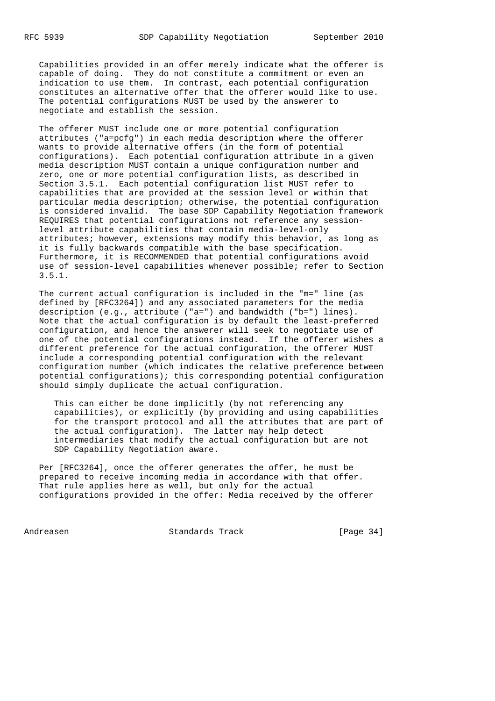Capabilities provided in an offer merely indicate what the offerer is capable of doing. They do not constitute a commitment or even an indication to use them. In contrast, each potential configuration constitutes an alternative offer that the offerer would like to use. The potential configurations MUST be used by the answerer to negotiate and establish the session.

 The offerer MUST include one or more potential configuration attributes ("a=pcfg") in each media description where the offerer wants to provide alternative offers (in the form of potential configurations). Each potential configuration attribute in a given media description MUST contain a unique configuration number and zero, one or more potential configuration lists, as described in Section 3.5.1. Each potential configuration list MUST refer to capabilities that are provided at the session level or within that particular media description; otherwise, the potential configuration is considered invalid. The base SDP Capability Negotiation framework REQUIRES that potential configurations not reference any session level attribute capabilities that contain media-level-only attributes; however, extensions may modify this behavior, as long as it is fully backwards compatible with the base specification. Furthermore, it is RECOMMENDED that potential configurations avoid use of session-level capabilities whenever possible; refer to Section 3.5.1.

 The current actual configuration is included in the "m=" line (as defined by [RFC3264]) and any associated parameters for the media description (e.g., attribute ("a=") and bandwidth ("b=") lines). Note that the actual configuration is by default the least-preferred configuration, and hence the answerer will seek to negotiate use of one of the potential configurations instead. If the offerer wishes a different preference for the actual configuration, the offerer MUST include a corresponding potential configuration with the relevant configuration number (which indicates the relative preference between potential configurations); this corresponding potential configuration should simply duplicate the actual configuration.

 This can either be done implicitly (by not referencing any capabilities), or explicitly (by providing and using capabilities for the transport protocol and all the attributes that are part of the actual configuration). The latter may help detect intermediaries that modify the actual configuration but are not SDP Capability Negotiation aware.

 Per [RFC3264], once the offerer generates the offer, he must be prepared to receive incoming media in accordance with that offer. That rule applies here as well, but only for the actual configurations provided in the offer: Media received by the offerer

Andreasen Standards Track [Page 34]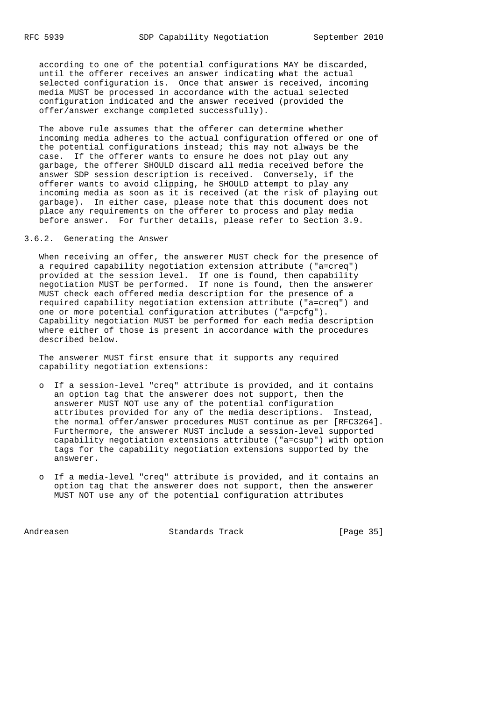according to one of the potential configurations MAY be discarded, until the offerer receives an answer indicating what the actual selected configuration is. Once that answer is received, incoming media MUST be processed in accordance with the actual selected configuration indicated and the answer received (provided the offer/answer exchange completed successfully).

 The above rule assumes that the offerer can determine whether incoming media adheres to the actual configuration offered or one of the potential configurations instead; this may not always be the case. If the offerer wants to ensure he does not play out any garbage, the offerer SHOULD discard all media received before the answer SDP session description is received. Conversely, if the offerer wants to avoid clipping, he SHOULD attempt to play any incoming media as soon as it is received (at the risk of playing out garbage). In either case, please note that this document does not place any requirements on the offerer to process and play media before answer. For further details, please refer to Section 3.9.

## 3.6.2. Generating the Answer

 When receiving an offer, the answerer MUST check for the presence of a required capability negotiation extension attribute ("a=creq") provided at the session level. If one is found, then capability negotiation MUST be performed. If none is found, then the answerer MUST check each offered media description for the presence of a required capability negotiation extension attribute ("a=creq") and one or more potential configuration attributes ("a=pcfg"). Capability negotiation MUST be performed for each media description where either of those is present in accordance with the procedures described below.

 The answerer MUST first ensure that it supports any required capability negotiation extensions:

- o If a session-level "creq" attribute is provided, and it contains an option tag that the answerer does not support, then the answerer MUST NOT use any of the potential configuration attributes provided for any of the media descriptions. Instead, the normal offer/answer procedures MUST continue as per [RFC3264]. Furthermore, the answerer MUST include a session-level supported capability negotiation extensions attribute ("a=csup") with option tags for the capability negotiation extensions supported by the answerer.
- o If a media-level "creq" attribute is provided, and it contains an option tag that the answerer does not support, then the answerer MUST NOT use any of the potential configuration attributes

Andreasen Standards Track [Page 35]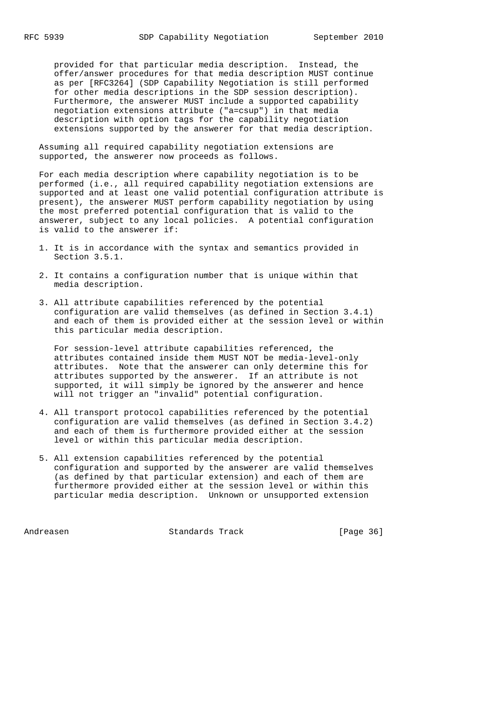provided for that particular media description. Instead, the offer/answer procedures for that media description MUST continue as per [RFC3264] (SDP Capability Negotiation is still performed for other media descriptions in the SDP session description). Furthermore, the answerer MUST include a supported capability negotiation extensions attribute ("a=csup") in that media description with option tags for the capability negotiation extensions supported by the answerer for that media description.

 Assuming all required capability negotiation extensions are supported, the answerer now proceeds as follows.

 For each media description where capability negotiation is to be performed (i.e., all required capability negotiation extensions are supported and at least one valid potential configuration attribute is present), the answerer MUST perform capability negotiation by using the most preferred potential configuration that is valid to the answerer, subject to any local policies. A potential configuration is valid to the answerer if:

- 1. It is in accordance with the syntax and semantics provided in Section 3.5.1.
- 2. It contains a configuration number that is unique within that media description.
- 3. All attribute capabilities referenced by the potential configuration are valid themselves (as defined in Section 3.4.1) and each of them is provided either at the session level or within this particular media description.

 For session-level attribute capabilities referenced, the attributes contained inside them MUST NOT be media-level-only attributes. Note that the answerer can only determine this for attributes supported by the answerer. If an attribute is not supported, it will simply be ignored by the answerer and hence will not trigger an "invalid" potential configuration.

- 4. All transport protocol capabilities referenced by the potential configuration are valid themselves (as defined in Section 3.4.2) and each of them is furthermore provided either at the session level or within this particular media description.
- 5. All extension capabilities referenced by the potential configuration and supported by the answerer are valid themselves (as defined by that particular extension) and each of them are furthermore provided either at the session level or within this particular media description. Unknown or unsupported extension

Andreasen Standards Track [Page 36]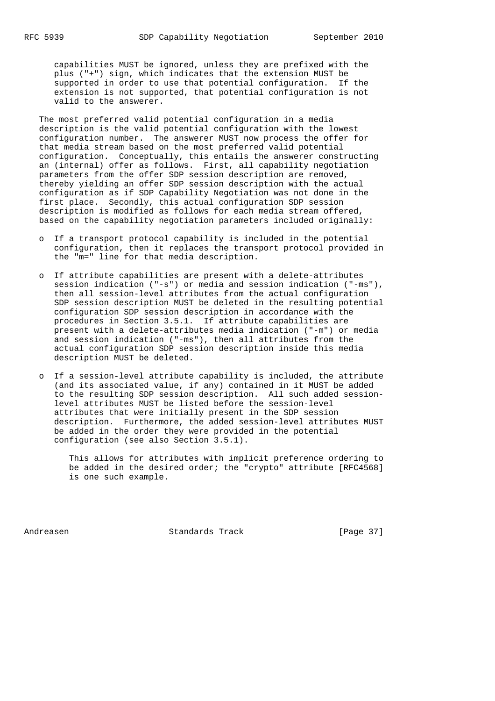capabilities MUST be ignored, unless they are prefixed with the plus ("+") sign, which indicates that the extension MUST be supported in order to use that potential configuration. If the extension is not supported, that potential configuration is not valid to the answerer.

 The most preferred valid potential configuration in a media description is the valid potential configuration with the lowest configuration number. The answerer MUST now process the offer for that media stream based on the most preferred valid potential configuration. Conceptually, this entails the answerer constructing an (internal) offer as follows. First, all capability negotiation parameters from the offer SDP session description are removed, thereby yielding an offer SDP session description with the actual configuration as if SDP Capability Negotiation was not done in the first place. Secondly, this actual configuration SDP session description is modified as follows for each media stream offered, based on the capability negotiation parameters included originally:

- o If a transport protocol capability is included in the potential configuration, then it replaces the transport protocol provided in the "m=" line for that media description.
- o If attribute capabilities are present with a delete-attributes session indication ("-s") or media and session indication ("-ms"), then all session-level attributes from the actual configuration SDP session description MUST be deleted in the resulting potential configuration SDP session description in accordance with the procedures in Section 3.5.1. If attribute capabilities are present with a delete-attributes media indication ("-m") or media and session indication ("-ms"), then all attributes from the actual configuration SDP session description inside this media description MUST be deleted.
- o If a session-level attribute capability is included, the attribute (and its associated value, if any) contained in it MUST be added to the resulting SDP session description. All such added session level attributes MUST be listed before the session-level attributes that were initially present in the SDP session description. Furthermore, the added session-level attributes MUST be added in the order they were provided in the potential configuration (see also Section 3.5.1).

 This allows for attributes with implicit preference ordering to be added in the desired order; the "crypto" attribute [RFC4568] is one such example.

Andreasen Standards Track [Page 37]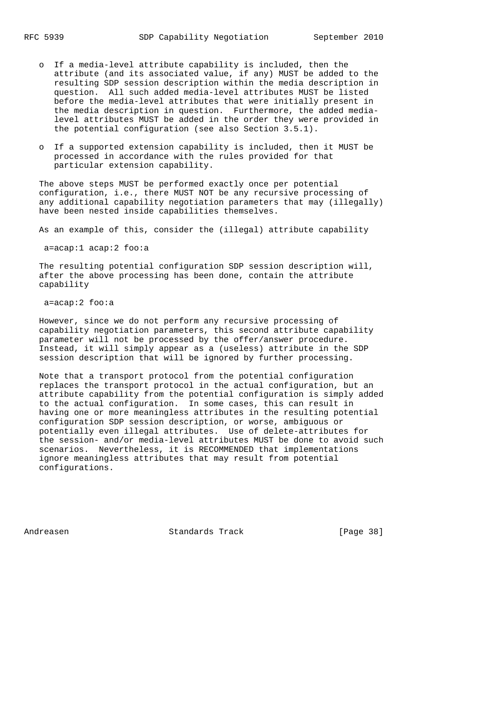- o If a media-level attribute capability is included, then the attribute (and its associated value, if any) MUST be added to the resulting SDP session description within the media description in question. All such added media-level attributes MUST be listed before the media-level attributes that were initially present in the media description in question. Furthermore, the added media level attributes MUST be added in the order they were provided in the potential configuration (see also Section 3.5.1).
- o If a supported extension capability is included, then it MUST be processed in accordance with the rules provided for that particular extension capability.

 The above steps MUST be performed exactly once per potential configuration, i.e., there MUST NOT be any recursive processing of any additional capability negotiation parameters that may (illegally) have been nested inside capabilities themselves.

As an example of this, consider the (illegal) attribute capability

a=acap:1 acap:2 foo:a

 The resulting potential configuration SDP session description will, after the above processing has been done, contain the attribute capability

a=acap:2 foo:a

 However, since we do not perform any recursive processing of capability negotiation parameters, this second attribute capability parameter will not be processed by the offer/answer procedure. Instead, it will simply appear as a (useless) attribute in the SDP session description that will be ignored by further processing.

 Note that a transport protocol from the potential configuration replaces the transport protocol in the actual configuration, but an attribute capability from the potential configuration is simply added to the actual configuration. In some cases, this can result in having one or more meaningless attributes in the resulting potential configuration SDP session description, or worse, ambiguous or potentially even illegal attributes. Use of delete-attributes for the session- and/or media-level attributes MUST be done to avoid such scenarios. Nevertheless, it is RECOMMENDED that implementations ignore meaningless attributes that may result from potential configurations.

Andreasen Standards Track [Page 38]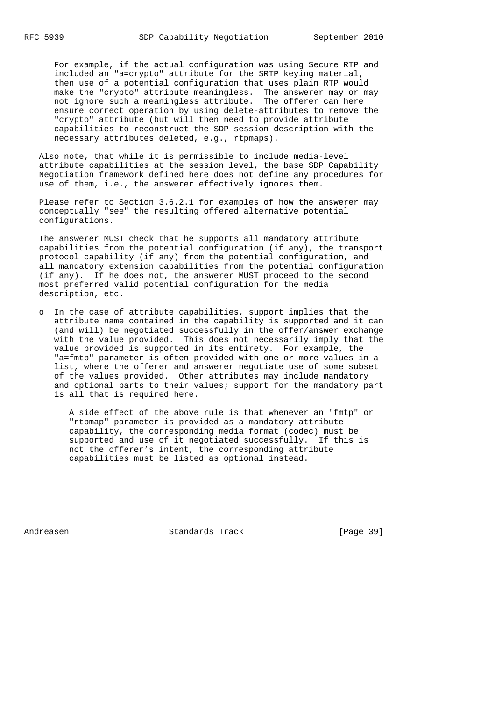For example, if the actual configuration was using Secure RTP and included an "a=crypto" attribute for the SRTP keying material, then use of a potential configuration that uses plain RTP would make the "crypto" attribute meaningless. The answerer may or may not ignore such a meaningless attribute. The offerer can here ensure correct operation by using delete-attributes to remove the "crypto" attribute (but will then need to provide attribute capabilities to reconstruct the SDP session description with the necessary attributes deleted, e.g., rtpmaps).

 Also note, that while it is permissible to include media-level attribute capabilities at the session level, the base SDP Capability Negotiation framework defined here does not define any procedures for use of them, i.e., the answerer effectively ignores them.

 Please refer to Section 3.6.2.1 for examples of how the answerer may conceptually "see" the resulting offered alternative potential configurations.

 The answerer MUST check that he supports all mandatory attribute capabilities from the potential configuration (if any), the transport protocol capability (if any) from the potential configuration, and all mandatory extension capabilities from the potential configuration (if any). If he does not, the answerer MUST proceed to the second most preferred valid potential configuration for the media description, etc.

 o In the case of attribute capabilities, support implies that the attribute name contained in the capability is supported and it can (and will) be negotiated successfully in the offer/answer exchange with the value provided. This does not necessarily imply that the value provided is supported in its entirety. For example, the "a=fmtp" parameter is often provided with one or more values in a list, where the offerer and answerer negotiate use of some subset of the values provided. Other attributes may include mandatory and optional parts to their values; support for the mandatory part is all that is required here.

 A side effect of the above rule is that whenever an "fmtp" or "rtpmap" parameter is provided as a mandatory attribute capability, the corresponding media format (codec) must be supported and use of it negotiated successfully. If this is not the offerer's intent, the corresponding attribute capabilities must be listed as optional instead.

Andreasen Standards Track [Page 39]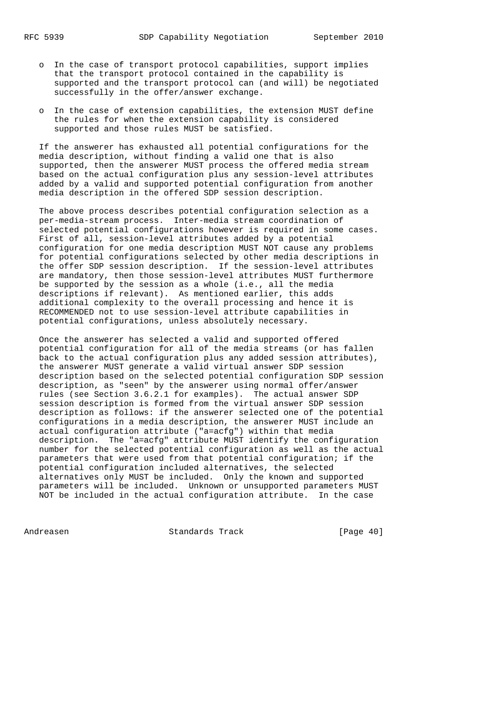- o In the case of transport protocol capabilities, support implies that the transport protocol contained in the capability is supported and the transport protocol can (and will) be negotiated successfully in the offer/answer exchange.
- o In the case of extension capabilities, the extension MUST define the rules for when the extension capability is considered supported and those rules MUST be satisfied.

 If the answerer has exhausted all potential configurations for the media description, without finding a valid one that is also supported, then the answerer MUST process the offered media stream based on the actual configuration plus any session-level attributes added by a valid and supported potential configuration from another media description in the offered SDP session description.

 The above process describes potential configuration selection as a per-media-stream process. Inter-media stream coordination of selected potential configurations however is required in some cases. First of all, session-level attributes added by a potential configuration for one media description MUST NOT cause any problems for potential configurations selected by other media descriptions in the offer SDP session description. If the session-level attributes are mandatory, then those session-level attributes MUST furthermore be supported by the session as a whole (i.e., all the media descriptions if relevant). As mentioned earlier, this adds additional complexity to the overall processing and hence it is RECOMMENDED not to use session-level attribute capabilities in potential configurations, unless absolutely necessary.

 Once the answerer has selected a valid and supported offered potential configuration for all of the media streams (or has fallen back to the actual configuration plus any added session attributes), the answerer MUST generate a valid virtual answer SDP session description based on the selected potential configuration SDP session description, as "seen" by the answerer using normal offer/answer rules (see Section 3.6.2.1 for examples). The actual answer SDP session description is formed from the virtual answer SDP session description as follows: if the answerer selected one of the potential configurations in a media description, the answerer MUST include an actual configuration attribute ("a=acfg") within that media description. The "a=acfg" attribute MUST identify the configuration number for the selected potential configuration as well as the actual parameters that were used from that potential configuration; if the potential configuration included alternatives, the selected alternatives only MUST be included. Only the known and supported parameters will be included. Unknown or unsupported parameters MUST NOT be included in the actual configuration attribute. In the case

Andreasen Standards Track [Page 40]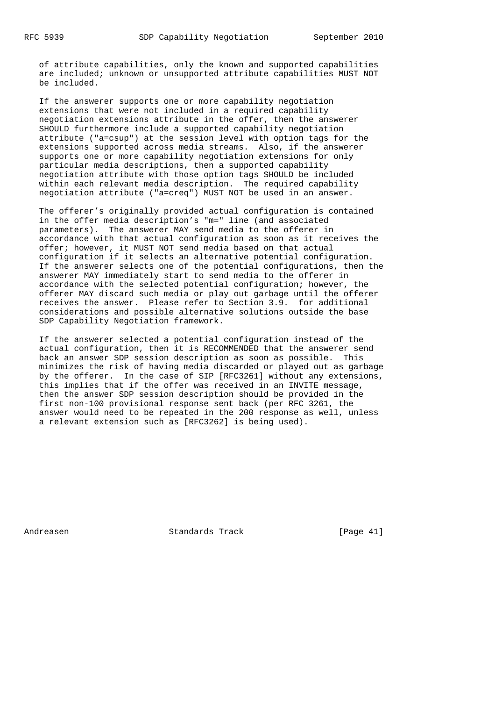of attribute capabilities, only the known and supported capabilities are included; unknown or unsupported attribute capabilities MUST NOT be included.

 If the answerer supports one or more capability negotiation extensions that were not included in a required capability negotiation extensions attribute in the offer, then the answerer SHOULD furthermore include a supported capability negotiation attribute ("a=csup") at the session level with option tags for the extensions supported across media streams. Also, if the answerer supports one or more capability negotiation extensions for only particular media descriptions, then a supported capability negotiation attribute with those option tags SHOULD be included within each relevant media description. The required capability negotiation attribute ("a=creq") MUST NOT be used in an answer.

 The offerer's originally provided actual configuration is contained in the offer media description's "m=" line (and associated parameters). The answerer MAY send media to the offerer in accordance with that actual configuration as soon as it receives the offer; however, it MUST NOT send media based on that actual configuration if it selects an alternative potential configuration. If the answerer selects one of the potential configurations, then the answerer MAY immediately start to send media to the offerer in accordance with the selected potential configuration; however, the offerer MAY discard such media or play out garbage until the offerer receives the answer. Please refer to Section 3.9. for additional considerations and possible alternative solutions outside the base SDP Capability Negotiation framework.

 If the answerer selected a potential configuration instead of the actual configuration, then it is RECOMMENDED that the answerer send back an answer SDP session description as soon as possible. This minimizes the risk of having media discarded or played out as garbage by the offerer. In the case of SIP [RFC3261] without any extensions, this implies that if the offer was received in an INVITE message, then the answer SDP session description should be provided in the first non-100 provisional response sent back (per RFC 3261, the answer would need to be repeated in the 200 response as well, unless a relevant extension such as [RFC3262] is being used).

Andreasen Standards Track [Page 41]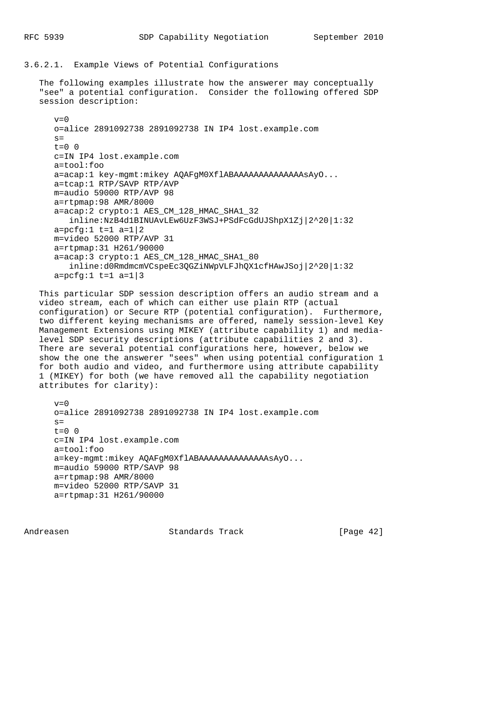3.6.2.1. Example Views of Potential Configurations

 The following examples illustrate how the answerer may conceptually "see" a potential configuration. Consider the following offered SDP session description:  $v=0$  o=alice 2891092738 2891092738 IN IP4 lost.example.com  $s=$  $t=0$  0 c=IN IP4 lost.example.com a=tool:foo a=acap:1 key-mgmt:mikey AQAFgM0XflABAAAAAAAAAAAAAAsAyO...

 a=tcap:1 RTP/SAVP RTP/AVP m=audio 59000 RTP/AVP 98 a=rtpmap:98 AMR/8000 a=acap:2 crypto:1 AES\_CM\_128\_HMAC\_SHA1\_32 inline:NzB4d1BINUAvLEw6UzF3WSJ+PSdFcGdUJShpX1Zj|2^20|1:32  $a = pcfg:1 t=1 a=1/2$  m=video 52000 RTP/AVP 31 a=rtpmap:31 H261/90000 a=acap:3 crypto:1 AES CM 128 HMAC SHA1 80 inline:d0RmdmcmVCspeEc3QGZiNWpVLFJhQX1cfHAwJSoj|2^20|1:32  $a = pcfq:1 t = 1 a = 1|3$ 

 This particular SDP session description offers an audio stream and a video stream, each of which can either use plain RTP (actual configuration) or Secure RTP (potential configuration). Furthermore, two different keying mechanisms are offered, namely session-level Key Management Extensions using MIKEY (attribute capability 1) and media level SDP security descriptions (attribute capabilities 2 and 3). There are several potential configurations here, however, below we show the one the answerer "sees" when using potential configuration 1 for both audio and video, and furthermore using attribute capability 1 (MIKEY) for both (we have removed all the capability negotiation attributes for clarity):

 $v=0$  o=alice 2891092738 2891092738 IN IP4 lost.example.com  $s=$  $t=0$  0 c=IN IP4 lost.example.com a=tool:foo a=key-mgmt:mikey AQAFgM0XflABAAAAAAAAAAAAAAsAyO... m=audio 59000 RTP/SAVP 98 a=rtpmap:98 AMR/8000 m=video 52000 RTP/SAVP 31 a=rtpmap:31 H261/90000

Andreasen Standards Track [Page 42]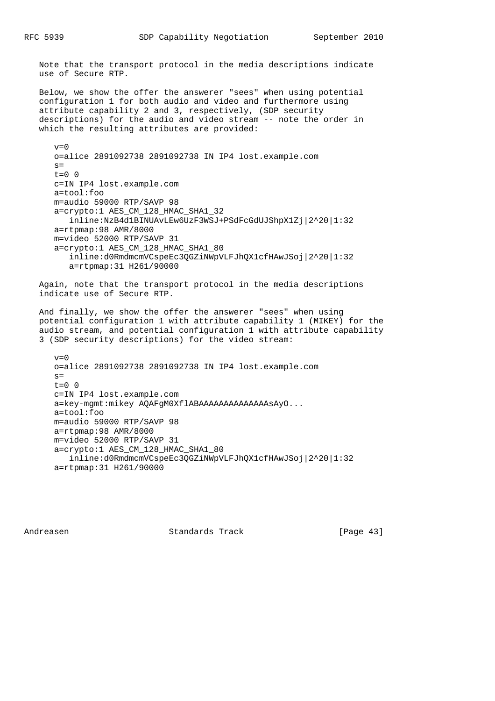Note that the transport protocol in the media descriptions indicate use of Secure RTP. Below, we show the offer the answerer "sees" when using potential configuration 1 for both audio and video and furthermore using attribute capability 2 and 3, respectively, (SDP security descriptions) for the audio and video stream -- note the order in which the resulting attributes are provided:  $v=0$  o=alice 2891092738 2891092738 IN IP4 lost.example.com  $s=$  $t=0$  0 c=IN IP4 lost.example.com a=tool:foo m=audio 59000 RTP/SAVP 98 a=crypto:1 AES\_CM\_128\_HMAC\_SHA1\_32 inline:NzB4d1BINUAvLEw6UzF3WSJ+PSdFcGdUJShpX1Zj|2^20|1:32 a=rtpmap:98 AMR/8000 m=video 52000 RTP/SAVP 31 a=crypto:1 AES\_CM\_128\_HMAC\_SHA1\_80 inline:d0RmdmcmVCspeEc3QGZiNWpVLFJhQX1cfHAwJSoj|2^20|1:32 a=rtpmap:31 H261/90000 Again, note that the transport protocol in the media descriptions indicate use of Secure RTP. And finally, we show the offer the answerer "sees" when using potential configuration 1 with attribute capability 1 (MIKEY) for the audio stream, and potential configuration 1 with attribute capability 3 (SDP security descriptions) for the video stream:  $v=0$  o=alice 2891092738 2891092738 IN IP4 lost.example.com  $s=$  $t=0$  0 c=IN IP4 lost.example.com a=key-mgmt:mikey AQAFgM0XflABAAAAAAAAAAAAAAsAyO... a=tool:foo m=audio 59000 RTP/SAVP 98 a=rtpmap:98 AMR/8000 m=video 52000 RTP/SAVP 31 a=crypto:1 AES\_CM\_128\_HMAC\_SHA1\_80 inline:d0RmdmcmVCspeEc3QGZiNWpVLFJhQX1cfHAwJSoj|2^20|1:32

a=rtpmap:31 H261/90000

Andreasen Standards Track [Page 43]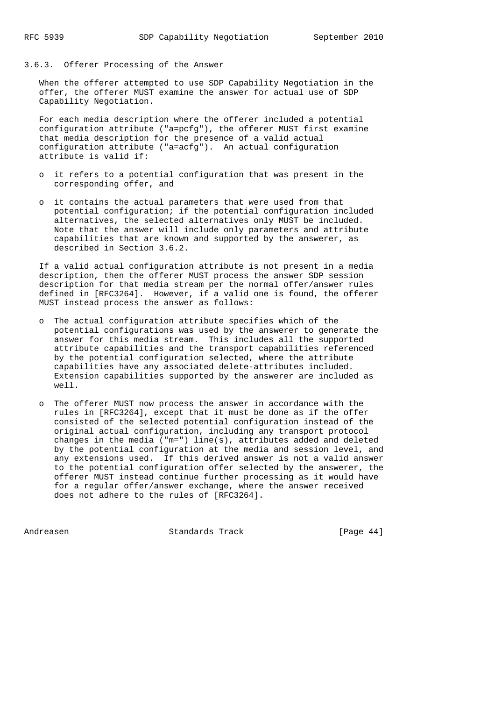3.6.3. Offerer Processing of the Answer

 When the offerer attempted to use SDP Capability Negotiation in the offer, the offerer MUST examine the answer for actual use of SDP Capability Negotiation.

 For each media description where the offerer included a potential configuration attribute ("a=pcfg"), the offerer MUST first examine that media description for the presence of a valid actual configuration attribute ("a=acfg"). An actual configuration attribute is valid if:

- o it refers to a potential configuration that was present in the corresponding offer, and
- o it contains the actual parameters that were used from that potential configuration; if the potential configuration included alternatives, the selected alternatives only MUST be included. Note that the answer will include only parameters and attribute capabilities that are known and supported by the answerer, as described in Section 3.6.2.

 If a valid actual configuration attribute is not present in a media description, then the offerer MUST process the answer SDP session description for that media stream per the normal offer/answer rules defined in [RFC3264]. However, if a valid one is found, the offerer MUST instead process the answer as follows:

- o The actual configuration attribute specifies which of the potential configurations was used by the answerer to generate the answer for this media stream. This includes all the supported attribute capabilities and the transport capabilities referenced by the potential configuration selected, where the attribute capabilities have any associated delete-attributes included. Extension capabilities supported by the answerer are included as well.
- o The offerer MUST now process the answer in accordance with the rules in [RFC3264], except that it must be done as if the offer consisted of the selected potential configuration instead of the original actual configuration, including any transport protocol changes in the media ("m=") line(s), attributes added and deleted by the potential configuration at the media and session level, and any extensions used. If this derived answer is not a valid answer to the potential configuration offer selected by the answerer, the offerer MUST instead continue further processing as it would have for a regular offer/answer exchange, where the answer received does not adhere to the rules of [RFC3264].

Andreasen Standards Track [Page 44]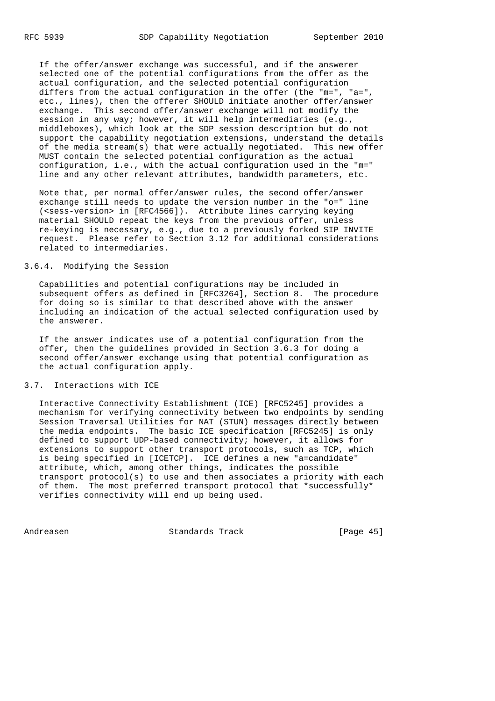If the offer/answer exchange was successful, and if the answerer selected one of the potential configurations from the offer as the actual configuration, and the selected potential configuration differs from the actual configuration in the offer (the "m=", "a=", etc., lines), then the offerer SHOULD initiate another offer/answer exchange. This second offer/answer exchange will not modify the session in any way; however, it will help intermediaries (e.g., middleboxes), which look at the SDP session description but do not support the capability negotiation extensions, understand the details of the media stream(s) that were actually negotiated. This new offer MUST contain the selected potential configuration as the actual configuration, i.e., with the actual configuration used in the "m=" line and any other relevant attributes, bandwidth parameters, etc.

 Note that, per normal offer/answer rules, the second offer/answer exchange still needs to update the version number in the "o=" line (<sess-version> in [RFC4566]). Attribute lines carrying keying material SHOULD repeat the keys from the previous offer, unless re-keying is necessary, e.g., due to a previously forked SIP INVITE request. Please refer to Section 3.12 for additional considerations related to intermediaries.

# 3.6.4. Modifying the Session

 Capabilities and potential configurations may be included in subsequent offers as defined in [RFC3264], Section 8. The procedure for doing so is similar to that described above with the answer including an indication of the actual selected configuration used by the answerer.

 If the answer indicates use of a potential configuration from the offer, then the guidelines provided in Section 3.6.3 for doing a second offer/answer exchange using that potential configuration as the actual configuration apply.

#### 3.7. Interactions with ICE

 Interactive Connectivity Establishment (ICE) [RFC5245] provides a mechanism for verifying connectivity between two endpoints by sending Session Traversal Utilities for NAT (STUN) messages directly between the media endpoints. The basic ICE specification [RFC5245] is only defined to support UDP-based connectivity; however, it allows for extensions to support other transport protocols, such as TCP, which is being specified in [ICETCP]. ICE defines a new "a=candidate" attribute, which, among other things, indicates the possible transport protocol(s) to use and then associates a priority with each of them. The most preferred transport protocol that \*successfully\* verifies connectivity will end up being used.

Andreasen Standards Track [Page 45]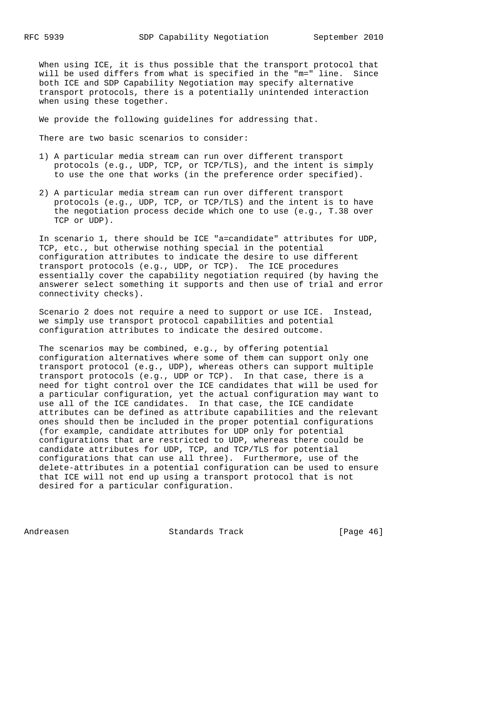When using ICE, it is thus possible that the transport protocol that will be used differs from what is specified in the "m=" line. Since both ICE and SDP Capability Negotiation may specify alternative transport protocols, there is a potentially unintended interaction when using these together.

We provide the following guidelines for addressing that.

There are two basic scenarios to consider:

- 1) A particular media stream can run over different transport protocols (e.g., UDP, TCP, or TCP/TLS), and the intent is simply to use the one that works (in the preference order specified).
- 2) A particular media stream can run over different transport protocols (e.g., UDP, TCP, or TCP/TLS) and the intent is to have the negotiation process decide which one to use (e.g., T.38 over TCP or UDP).

 In scenario 1, there should be ICE "a=candidate" attributes for UDP, TCP, etc., but otherwise nothing special in the potential configuration attributes to indicate the desire to use different transport protocols (e.g., UDP, or TCP). The ICE procedures essentially cover the capability negotiation required (by having the answerer select something it supports and then use of trial and error connectivity checks).

 Scenario 2 does not require a need to support or use ICE. Instead, we simply use transport protocol capabilities and potential configuration attributes to indicate the desired outcome.

 The scenarios may be combined, e.g., by offering potential configuration alternatives where some of them can support only one transport protocol (e.g., UDP), whereas others can support multiple transport protocols (e.g., UDP or TCP). In that case, there is a need for tight control over the ICE candidates that will be used for a particular configuration, yet the actual configuration may want to use all of the ICE candidates. In that case, the ICE candidate attributes can be defined as attribute capabilities and the relevant ones should then be included in the proper potential configurations (for example, candidate attributes for UDP only for potential configurations that are restricted to UDP, whereas there could be candidate attributes for UDP, TCP, and TCP/TLS for potential configurations that can use all three). Furthermore, use of the delete-attributes in a potential configuration can be used to ensure that ICE will not end up using a transport protocol that is not desired for a particular configuration.

Andreasen Standards Track [Page 46]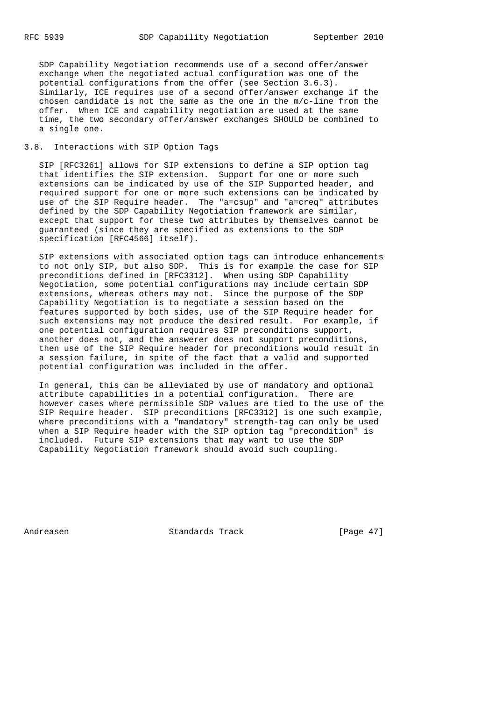SDP Capability Negotiation recommends use of a second offer/answer exchange when the negotiated actual configuration was one of the potential configurations from the offer (see Section 3.6.3). Similarly, ICE requires use of a second offer/answer exchange if the chosen candidate is not the same as the one in the m/c-line from the offer. When ICE and capability negotiation are used at the same time, the two secondary offer/answer exchanges SHOULD be combined to a single one.

### 3.8. Interactions with SIP Option Tags

 SIP [RFC3261] allows for SIP extensions to define a SIP option tag that identifies the SIP extension. Support for one or more such extensions can be indicated by use of the SIP Supported header, and required support for one or more such extensions can be indicated by use of the SIP Require header. The "a=csup" and "a=creq" attributes defined by the SDP Capability Negotiation framework are similar, except that support for these two attributes by themselves cannot be guaranteed (since they are specified as extensions to the SDP specification [RFC4566] itself).

 SIP extensions with associated option tags can introduce enhancements to not only SIP, but also SDP. This is for example the case for SIP preconditions defined in [RFC3312]. When using SDP Capability Negotiation, some potential configurations may include certain SDP extensions, whereas others may not. Since the purpose of the SDP Capability Negotiation is to negotiate a session based on the features supported by both sides, use of the SIP Require header for such extensions may not produce the desired result. For example, if one potential configuration requires SIP preconditions support, another does not, and the answerer does not support preconditions, then use of the SIP Require header for preconditions would result in a session failure, in spite of the fact that a valid and supported potential configuration was included in the offer.

 In general, this can be alleviated by use of mandatory and optional attribute capabilities in a potential configuration. There are however cases where permissible SDP values are tied to the use of the SIP Require header. SIP preconditions [RFC3312] is one such example, where preconditions with a "mandatory" strength-tag can only be used when a SIP Require header with the SIP option tag "precondition" is included. Future SIP extensions that may want to use the SDP Capability Negotiation framework should avoid such coupling.

Andreasen Standards Track [Page 47]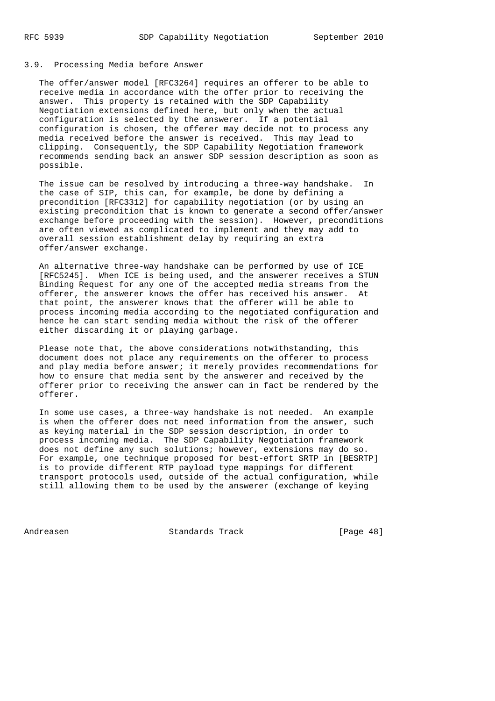#### 3.9. Processing Media before Answer

 The offer/answer model [RFC3264] requires an offerer to be able to receive media in accordance with the offer prior to receiving the answer. This property is retained with the SDP Capability Negotiation extensions defined here, but only when the actual configuration is selected by the answerer. If a potential configuration is chosen, the offerer may decide not to process any media received before the answer is received. This may lead to clipping. Consequently, the SDP Capability Negotiation framework recommends sending back an answer SDP session description as soon as possible.

 The issue can be resolved by introducing a three-way handshake. In the case of SIP, this can, for example, be done by defining a precondition [RFC3312] for capability negotiation (or by using an existing precondition that is known to generate a second offer/answer exchange before proceeding with the session). However, preconditions are often viewed as complicated to implement and they may add to overall session establishment delay by requiring an extra offer/answer exchange.

 An alternative three-way handshake can be performed by use of ICE [RFC5245]. When ICE is being used, and the answerer receives a STUN Binding Request for any one of the accepted media streams from the offerer, the answerer knows the offer has received his answer. At that point, the answerer knows that the offerer will be able to process incoming media according to the negotiated configuration and hence he can start sending media without the risk of the offerer either discarding it or playing garbage.

 Please note that, the above considerations notwithstanding, this document does not place any requirements on the offerer to process and play media before answer; it merely provides recommendations for how to ensure that media sent by the answerer and received by the offerer prior to receiving the answer can in fact be rendered by the offerer.

 In some use cases, a three-way handshake is not needed. An example is when the offerer does not need information from the answer, such as keying material in the SDP session description, in order to process incoming media. The SDP Capability Negotiation framework does not define any such solutions; however, extensions may do so. For example, one technique proposed for best-effort SRTP in [BESRTP] is to provide different RTP payload type mappings for different transport protocols used, outside of the actual configuration, while still allowing them to be used by the answerer (exchange of keying

Andreasen Standards Track [Page 48]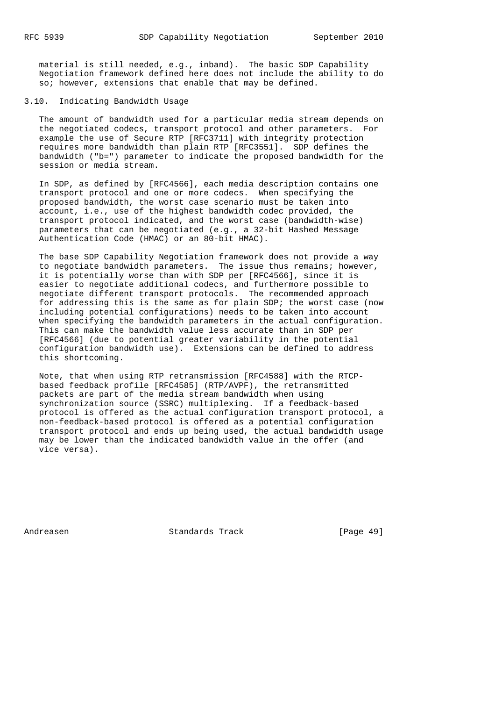material is still needed, e.g., inband). The basic SDP Capability Negotiation framework defined here does not include the ability to do so; however, extensions that enable that may be defined.

#### 3.10. Indicating Bandwidth Usage

 The amount of bandwidth used for a particular media stream depends on the negotiated codecs, transport protocol and other parameters. For example the use of Secure RTP [RFC3711] with integrity protection requires more bandwidth than plain RTP [RFC3551]. SDP defines the bandwidth ("b=") parameter to indicate the proposed bandwidth for the session or media stream.

 In SDP, as defined by [RFC4566], each media description contains one transport protocol and one or more codecs. When specifying the proposed bandwidth, the worst case scenario must be taken into account, i.e., use of the highest bandwidth codec provided, the transport protocol indicated, and the worst case (bandwidth-wise) parameters that can be negotiated (e.g., a 32-bit Hashed Message Authentication Code (HMAC) or an 80-bit HMAC).

 The base SDP Capability Negotiation framework does not provide a way to negotiate bandwidth parameters. The issue thus remains; however, it is potentially worse than with SDP per [RFC4566], since it is easier to negotiate additional codecs, and furthermore possible to negotiate different transport protocols. The recommended approach for addressing this is the same as for plain SDP; the worst case (now including potential configurations) needs to be taken into account when specifying the bandwidth parameters in the actual configuration. This can make the bandwidth value less accurate than in SDP per [RFC4566] (due to potential greater variability in the potential configuration bandwidth use). Extensions can be defined to address this shortcoming.

 Note, that when using RTP retransmission [RFC4588] with the RTCP based feedback profile [RFC4585] (RTP/AVPF), the retransmitted packets are part of the media stream bandwidth when using synchronization source (SSRC) multiplexing. If a feedback-based protocol is offered as the actual configuration transport protocol, a non-feedback-based protocol is offered as a potential configuration transport protocol and ends up being used, the actual bandwidth usage may be lower than the indicated bandwidth value in the offer (and vice versa).

Andreasen Standards Track [Page 49]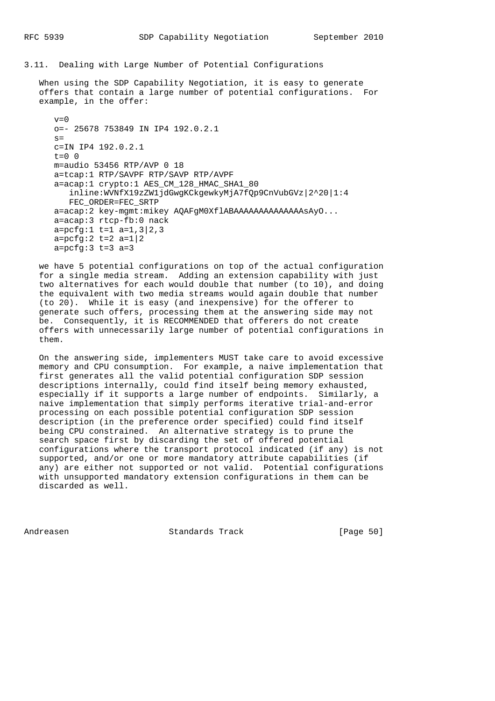3.11. Dealing with Large Number of Potential Configurations

 When using the SDP Capability Negotiation, it is easy to generate offers that contain a large number of potential configurations. For example, in the offer:

```
v=0 o=- 25678 753849 IN IP4 192.0.2.1
s= c=IN IP4 192.0.2.1
t=0 0
 m=audio 53456 RTP/AVP 0 18
 a=tcap:1 RTP/SAVPF RTP/SAVP RTP/AVPF
 a=acap:1 crypto:1 AES_CM_128_HMAC_SHA1_80
   inline:WVNfX19zZW1jdGwgKCkgewkyMjA7fQp9CnVubGVz|2^20|1:4
   FEC_ORDER=FEC_SRTP
 a=acap:2 key-mgmt:mikey AQAFgM0XflABAAAAAAAAAAAAAAsAyO...
 a=acap:3 rtcp-fb:0 nack
a = pcfg:1 t=1 a=1,3|2,3a = pcfg:2 t = 2 a = 1/2a = pcfq:3 t = 3 a = 3
```
 we have 5 potential configurations on top of the actual configuration for a single media stream. Adding an extension capability with just two alternatives for each would double that number (to 10), and doing the equivalent with two media streams would again double that number (to 20). While it is easy (and inexpensive) for the offerer to generate such offers, processing them at the answering side may not be. Consequently, it is RECOMMENDED that offerers do not create offers with unnecessarily large number of potential configurations in them.

 On the answering side, implementers MUST take care to avoid excessive memory and CPU consumption. For example, a naive implementation that first generates all the valid potential configuration SDP session descriptions internally, could find itself being memory exhausted, especially if it supports a large number of endpoints. Similarly, a naive implementation that simply performs iterative trial-and-error processing on each possible potential configuration SDP session description (in the preference order specified) could find itself being CPU constrained. An alternative strategy is to prune the search space first by discarding the set of offered potential configurations where the transport protocol indicated (if any) is not supported, and/or one or more mandatory attribute capabilities (if any) are either not supported or not valid. Potential configurations with unsupported mandatory extension configurations in them can be discarded as well.

Andreasen Standards Track [Page 50]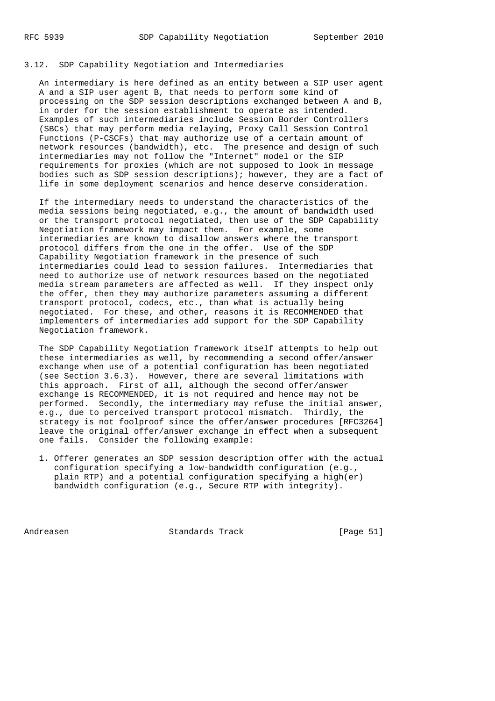# 3.12. SDP Capability Negotiation and Intermediaries

 An intermediary is here defined as an entity between a SIP user agent A and a SIP user agent B, that needs to perform some kind of processing on the SDP session descriptions exchanged between A and B, in order for the session establishment to operate as intended. Examples of such intermediaries include Session Border Controllers (SBCs) that may perform media relaying, Proxy Call Session Control Functions (P-CSCFs) that may authorize use of a certain amount of network resources (bandwidth), etc. The presence and design of such intermediaries may not follow the "Internet" model or the SIP requirements for proxies (which are not supposed to look in message bodies such as SDP session descriptions); however, they are a fact of life in some deployment scenarios and hence deserve consideration.

 If the intermediary needs to understand the characteristics of the media sessions being negotiated, e.g., the amount of bandwidth used or the transport protocol negotiated, then use of the SDP Capability Negotiation framework may impact them. For example, some intermediaries are known to disallow answers where the transport protocol differs from the one in the offer. Use of the SDP Capability Negotiation framework in the presence of such intermediaries could lead to session failures. Intermediaries that need to authorize use of network resources based on the negotiated media stream parameters are affected as well. If they inspect only the offer, then they may authorize parameters assuming a different transport protocol, codecs, etc., than what is actually being negotiated. For these, and other, reasons it is RECOMMENDED that implementers of intermediaries add support for the SDP Capability Negotiation framework.

 The SDP Capability Negotiation framework itself attempts to help out these intermediaries as well, by recommending a second offer/answer exchange when use of a potential configuration has been negotiated (see Section 3.6.3). However, there are several limitations with this approach. First of all, although the second offer/answer exchange is RECOMMENDED, it is not required and hence may not be performed. Secondly, the intermediary may refuse the initial answer, e.g., due to perceived transport protocol mismatch. Thirdly, the strategy is not foolproof since the offer/answer procedures [RFC3264] leave the original offer/answer exchange in effect when a subsequent one fails. Consider the following example:

 1. Offerer generates an SDP session description offer with the actual configuration specifying a low-bandwidth configuration (e.g., plain RTP) and a potential configuration specifying a high(er) bandwidth configuration (e.g., Secure RTP with integrity).

Andreasen Standards Track [Page 51]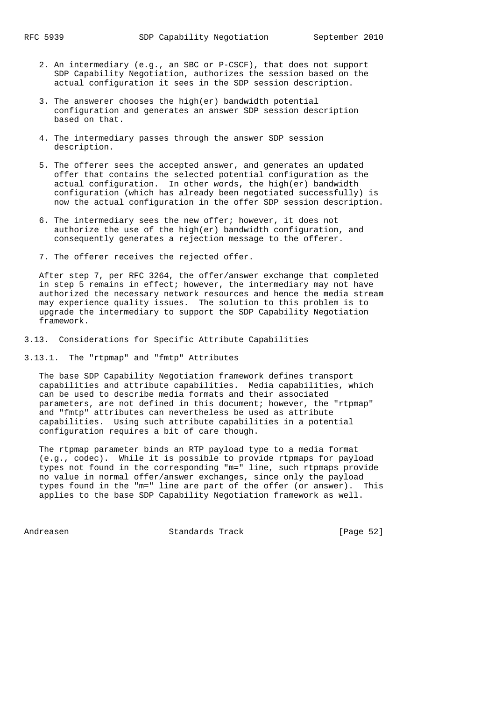- 2. An intermediary (e.g., an SBC or P-CSCF), that does not support SDP Capability Negotiation, authorizes the session based on the actual configuration it sees in the SDP session description.
- 3. The answerer chooses the high(er) bandwidth potential configuration and generates an answer SDP session description based on that.
- 4. The intermediary passes through the answer SDP session description.
- 5. The offerer sees the accepted answer, and generates an updated offer that contains the selected potential configuration as the actual configuration. In other words, the high(er) bandwidth configuration (which has already been negotiated successfully) is now the actual configuration in the offer SDP session description.
- 6. The intermediary sees the new offer; however, it does not authorize the use of the high(er) bandwidth configuration, and consequently generates a rejection message to the offerer.
- 7. The offerer receives the rejected offer.

 After step 7, per RFC 3264, the offer/answer exchange that completed in step 5 remains in effect; however, the intermediary may not have authorized the necessary network resources and hence the media stream may experience quality issues. The solution to this problem is to upgrade the intermediary to support the SDP Capability Negotiation framework.

3.13. Considerations for Specific Attribute Capabilities

3.13.1. The "rtpmap" and "fmtp" Attributes

 The base SDP Capability Negotiation framework defines transport capabilities and attribute capabilities. Media capabilities, which can be used to describe media formats and their associated parameters, are not defined in this document; however, the "rtpmap" and "fmtp" attributes can nevertheless be used as attribute capabilities. Using such attribute capabilities in a potential configuration requires a bit of care though.

 The rtpmap parameter binds an RTP payload type to a media format (e.g., codec). While it is possible to provide rtpmaps for payload types not found in the corresponding "m=" line, such rtpmaps provide no value in normal offer/answer exchanges, since only the payload types found in the "m=" line are part of the offer (or answer). This applies to the base SDP Capability Negotiation framework as well.

Andreasen Standards Track [Page 52]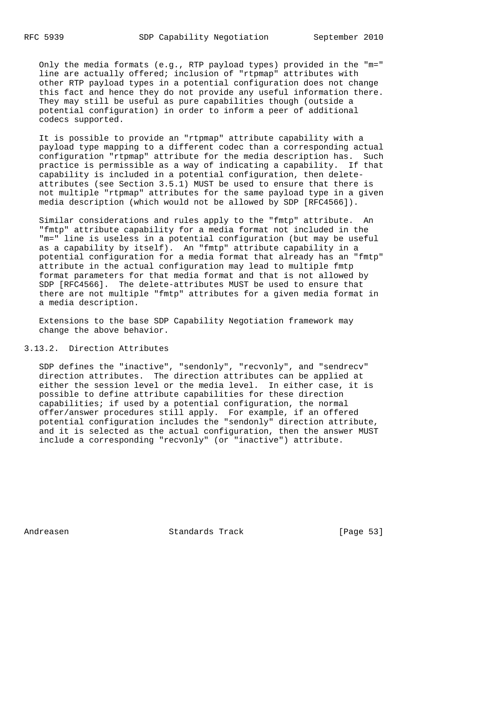Only the media formats (e.g., RTP payload types) provided in the "m=" line are actually offered; inclusion of "rtpmap" attributes with other RTP payload types in a potential configuration does not change this fact and hence they do not provide any useful information there. They may still be useful as pure capabilities though (outside a potential configuration) in order to inform a peer of additional codecs supported.

 It is possible to provide an "rtpmap" attribute capability with a payload type mapping to a different codec than a corresponding actual configuration "rtpmap" attribute for the media description has. Such practice is permissible as a way of indicating a capability. If that capability is included in a potential configuration, then delete attributes (see Section 3.5.1) MUST be used to ensure that there is not multiple "rtpmap" attributes for the same payload type in a given media description (which would not be allowed by SDP [RFC4566]).

 Similar considerations and rules apply to the "fmtp" attribute. An "fmtp" attribute capability for a media format not included in the "m=" line is useless in a potential configuration (but may be useful as a capability by itself). An "fmtp" attribute capability in a potential configuration for a media format that already has an "fmtp" attribute in the actual configuration may lead to multiple fmtp format parameters for that media format and that is not allowed by SDP [RFC4566]. The delete-attributes MUST be used to ensure that there are not multiple "fmtp" attributes for a given media format in a media description.

 Extensions to the base SDP Capability Negotiation framework may change the above behavior.

## 3.13.2. Direction Attributes

 SDP defines the "inactive", "sendonly", "recvonly", and "sendrecv" direction attributes. The direction attributes can be applied at either the session level or the media level. In either case, it is possible to define attribute capabilities for these direction capabilities; if used by a potential configuration, the normal offer/answer procedures still apply. For example, if an offered potential configuration includes the "sendonly" direction attribute, and it is selected as the actual configuration, then the answer MUST include a corresponding "recvonly" (or "inactive") attribute.

Andreasen Standards Track [Page 53]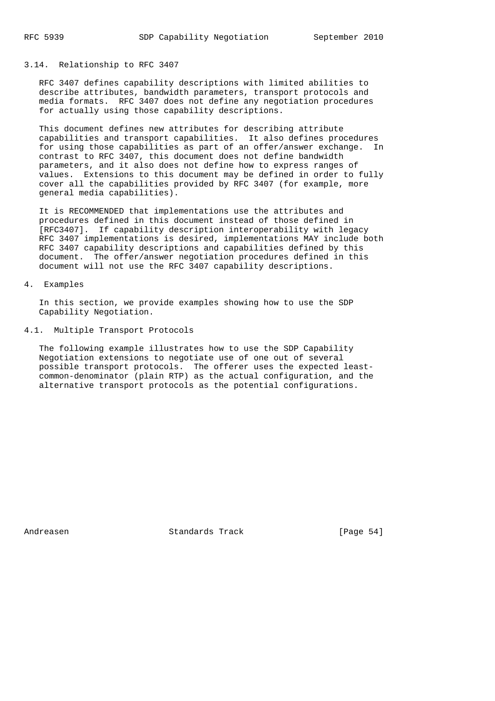#### 3.14. Relationship to RFC 3407

 RFC 3407 defines capability descriptions with limited abilities to describe attributes, bandwidth parameters, transport protocols and media formats. RFC 3407 does not define any negotiation procedures for actually using those capability descriptions.

 This document defines new attributes for describing attribute capabilities and transport capabilities. It also defines procedures for using those capabilities as part of an offer/answer exchange. In contrast to RFC 3407, this document does not define bandwidth parameters, and it also does not define how to express ranges of values. Extensions to this document may be defined in order to fully cover all the capabilities provided by RFC 3407 (for example, more general media capabilities).

 It is RECOMMENDED that implementations use the attributes and procedures defined in this document instead of those defined in [RFC3407]. If capability description interoperability with legacy RFC 3407 implementations is desired, implementations MAY include both RFC 3407 capability descriptions and capabilities defined by this document. The offer/answer negotiation procedures defined in this document will not use the RFC 3407 capability descriptions.

# 4. Examples

 In this section, we provide examples showing how to use the SDP Capability Negotiation.

#### 4.1. Multiple Transport Protocols

 The following example illustrates how to use the SDP Capability Negotiation extensions to negotiate use of one out of several possible transport protocols. The offerer uses the expected least common-denominator (plain RTP) as the actual configuration, and the alternative transport protocols as the potential configurations.

Andreasen Standards Track [Page 54]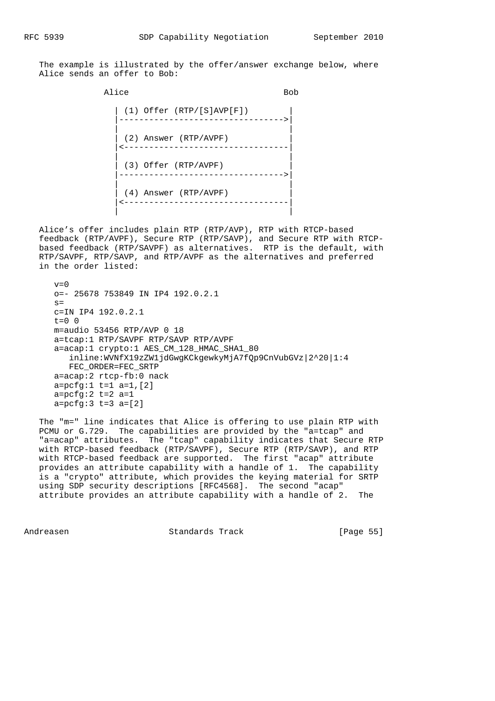The example is illustrated by the offer/answer exchange below, where Alice sends an offer to Bob:

Alice Bob

 | (1) Offer (RTP/[S]AVP[F]) | |--------------------------------->| | | | (2) Answer (RTP/AVPF) | |<---------------------------------| | | (3) Offer (RTP/AVPF) |--------------------------------->| | | (4) Answer (RTP/AVPF) |<---------------------------------| | |

 Alice's offer includes plain RTP (RTP/AVP), RTP with RTCP-based feedback (RTP/AVPF), Secure RTP (RTP/SAVP), and Secure RTP with RTCP based feedback (RTP/SAVPF) as alternatives. RTP is the default, with RTP/SAVPF, RTP/SAVP, and RTP/AVPF as the alternatives and preferred in the order listed:

 $v=0$  o=- 25678 753849 IN IP4 192.0.2.1  $s=$  c=IN IP4 192.0.2.1  $t=0$  0 m=audio 53456 RTP/AVP 0 18 a=tcap:1 RTP/SAVPF RTP/SAVP RTP/AVPF a=acap:1 crypto:1 AES\_CM\_128\_HMAC\_SHA1\_80 inline:WVNfX19zZW1jdGwgKCkgewkyMjA7fQp9CnVubGVz|2^20|1:4 FEC\_ORDER=FEC\_SRTP a=acap:2 rtcp-fb:0 nack  $a = pcfq:1 t=1 a=1, [2]$  $a = pcfg:2 t = 2 a = 1$  $a = pcfg:3 t = 3 a = [2]$ 

 The "m=" line indicates that Alice is offering to use plain RTP with PCMU or G.729. The capabilities are provided by the "a=tcap" and "a=acap" attributes. The "tcap" capability indicates that Secure RTP with RTCP-based feedback (RTP/SAVPF), Secure RTP (RTP/SAVP), and RTP with RTCP-based feedback are supported. The first "acap" attribute provides an attribute capability with a handle of 1. The capability is a "crypto" attribute, which provides the keying material for SRTP using SDP security descriptions [RFC4568]. The second "acap" attribute provides an attribute capability with a handle of 2. The

Andreasen Standards Track [Page 55]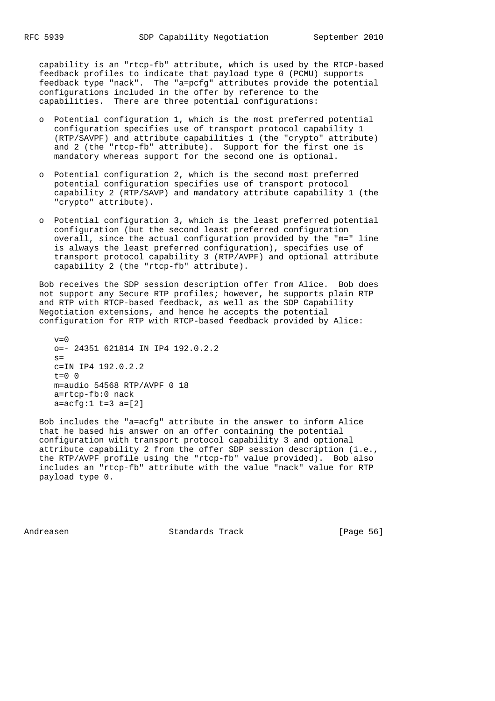capability is an "rtcp-fb" attribute, which is used by the RTCP-based feedback profiles to indicate that payload type 0 (PCMU) supports feedback type "nack". The "a=pcfg" attributes provide the potential configurations included in the offer by reference to the capabilities. There are three potential configurations:

- o Potential configuration 1, which is the most preferred potential configuration specifies use of transport protocol capability 1 (RTP/SAVPF) and attribute capabilities 1 (the "crypto" attribute) and 2 (the "rtcp-fb" attribute). Support for the first one is mandatory whereas support for the second one is optional.
- o Potential configuration 2, which is the second most preferred potential configuration specifies use of transport protocol capability 2 (RTP/SAVP) and mandatory attribute capability 1 (the "crypto" attribute).
- o Potential configuration 3, which is the least preferred potential configuration (but the second least preferred configuration overall, since the actual configuration provided by the "m=" line is always the least preferred configuration), specifies use of transport protocol capability 3 (RTP/AVPF) and optional attribute capability 2 (the "rtcp-fb" attribute).

 Bob receives the SDP session description offer from Alice. Bob does not support any Secure RTP profiles; however, he supports plain RTP and RTP with RTCP-based feedback, as well as the SDP Capability Negotiation extensions, and hence he accepts the potential configuration for RTP with RTCP-based feedback provided by Alice:

 $v=0$  o=- 24351 621814 IN IP4 192.0.2.2  $s=$  c=IN IP4 192.0.2.2  $t=0$  0 m=audio 54568 RTP/AVPF 0 18 a=rtcp-fb:0 nack  $a = acfg:1 t = 3 a = [2]$ 

 Bob includes the "a=acfg" attribute in the answer to inform Alice that he based his answer on an offer containing the potential configuration with transport protocol capability 3 and optional attribute capability 2 from the offer SDP session description (i.e., the RTP/AVPF profile using the "rtcp-fb" value provided). Bob also includes an "rtcp-fb" attribute with the value "nack" value for RTP payload type 0.

Andreasen Standards Track [Page 56]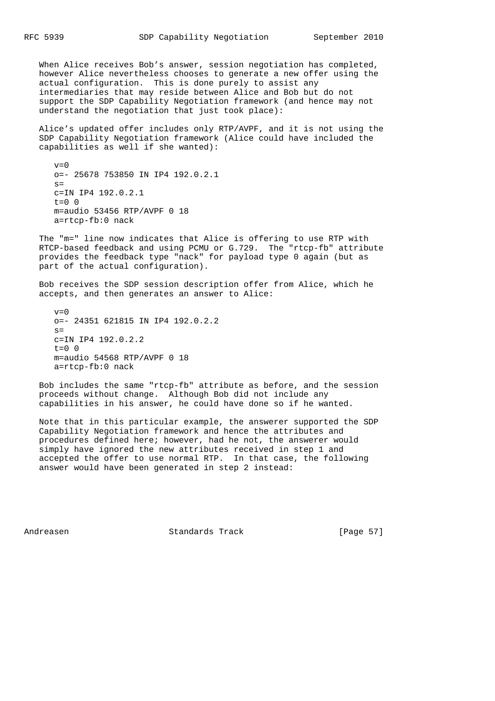When Alice receives Bob's answer, session negotiation has completed, however Alice nevertheless chooses to generate a new offer using the actual configuration. This is done purely to assist any intermediaries that may reside between Alice and Bob but do not support the SDP Capability Negotiation framework (and hence may not understand the negotiation that just took place):

 Alice's updated offer includes only RTP/AVPF, and it is not using the SDP Capability Negotiation framework (Alice could have included the capabilities as well if she wanted):

```
v=0 o=- 25678 753850 IN IP4 192.0.2.1
s= c=IN IP4 192.0.2.1
t=0 0
 m=audio 53456 RTP/AVPF 0 18
 a=rtcp-fb:0 nack
```
 The "m=" line now indicates that Alice is offering to use RTP with RTCP-based feedback and using PCMU or G.729. The "rtcp-fb" attribute provides the feedback type "nack" for payload type 0 again (but as part of the actual configuration).

 Bob receives the SDP session description offer from Alice, which he accepts, and then generates an answer to Alice:

 $v=0$  o=- 24351 621815 IN IP4 192.0.2.2  $s=$  c=IN IP4 192.0.2.2  $t=0$  0 m=audio 54568 RTP/AVPF 0 18 a=rtcp-fb:0 nack

 Bob includes the same "rtcp-fb" attribute as before, and the session proceeds without change. Although Bob did not include any capabilities in his answer, he could have done so if he wanted.

 Note that in this particular example, the answerer supported the SDP Capability Negotiation framework and hence the attributes and procedures defined here; however, had he not, the answerer would simply have ignored the new attributes received in step 1 and accepted the offer to use normal RTP. In that case, the following answer would have been generated in step 2 instead:

Andreasen Standards Track [Page 57]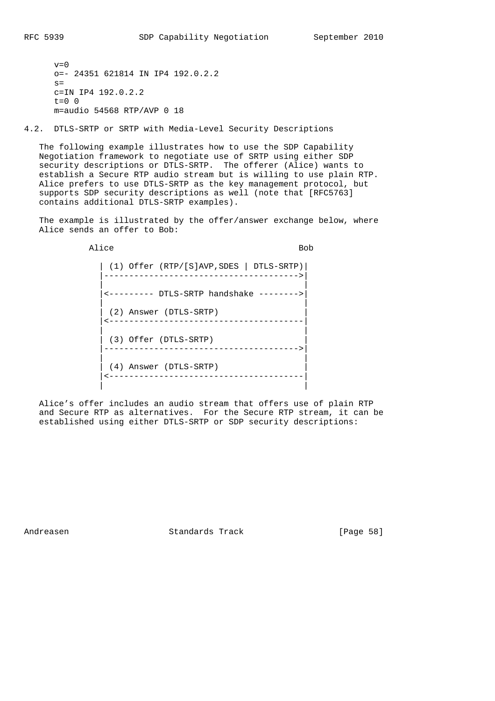$v=0$  o=- 24351 621814 IN IP4 192.0.2.2  $s=$  c=IN IP4 192.0.2.2  $t=0$  0 m=audio 54568 RTP/AVP 0 18

4.2. DTLS-SRTP or SRTP with Media-Level Security Descriptions

 The following example illustrates how to use the SDP Capability Negotiation framework to negotiate use of SRTP using either SDP security descriptions or DTLS-SRTP. The offerer (Alice) wants to establish a Secure RTP audio stream but is willing to use plain RTP. Alice prefers to use DTLS-SRTP as the key management protocol, but supports SDP security descriptions as well (note that [RFC5763] contains additional DTLS-SRTP examples).

 The example is illustrated by the offer/answer exchange below, where Alice sends an offer to Bob:

Alice Bob

 | (1) Offer (RTP/[S]AVP,SDES | DTLS-SRTP)| |--------------------------------------->| | | |<--------- DTLS-SRTP handshake -------->| | | | (2) Answer (DTLS-SRTP) | |<---------------------------------------| | | | (3) Offer (DTLS-SRTP) | |--------------------------------------->| | | (4) Answer (DTLS-SRTP) |<---------------------------------------| | |

 Alice's offer includes an audio stream that offers use of plain RTP and Secure RTP as alternatives. For the Secure RTP stream, it can be established using either DTLS-SRTP or SDP security descriptions:

Andreasen Standards Track [Page 58]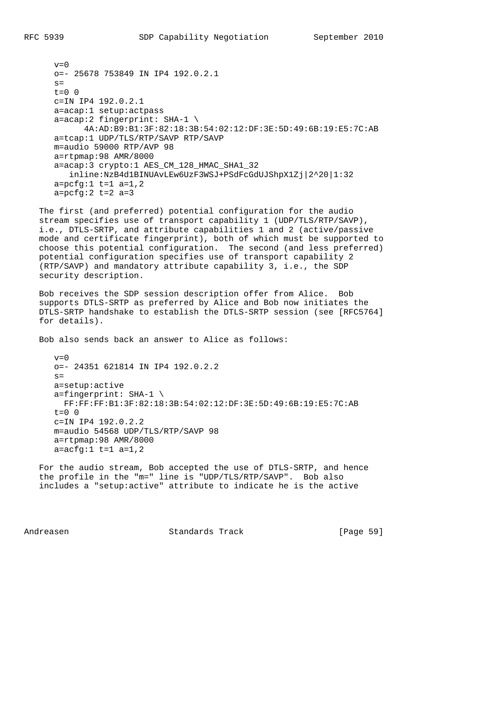```
v=0 o=- 25678 753849 IN IP4 192.0.2.1
\sigma =
t=0 0
 c=IN IP4 192.0.2.1
 a=acap:1 setup:actpass
 a=acap:2 fingerprint: SHA-1 \
      4A:AD:B9:B1:3F:82:18:3B:54:02:12:DF:3E:5D:49:6B:19:E5:7C:AB
 a=tcap:1 UDP/TLS/RTP/SAVP RTP/SAVP
 m=audio 59000 RTP/AVP 98
 a=rtpmap:98 AMR/8000
a=acap:3 crypto:1 AES CM 128 HMAC SHA1 32
    inline:NzB4d1BINUAvLEw6UzF3WSJ+PSdFcGdUJShpX1Zj|2^20|1:32
a = pcfg:1 t=1 a=1,2a = pcfq:2 t = 2 a = 3
```
 The first (and preferred) potential configuration for the audio stream specifies use of transport capability 1 (UDP/TLS/RTP/SAVP), i.e., DTLS-SRTP, and attribute capabilities 1 and 2 (active/passive mode and certificate fingerprint), both of which must be supported to choose this potential configuration. The second (and less preferred) potential configuration specifies use of transport capability 2 (RTP/SAVP) and mandatory attribute capability 3, i.e., the SDP security description.

 Bob receives the SDP session description offer from Alice. Bob supports DTLS-SRTP as preferred by Alice and Bob now initiates the DTLS-SRTP handshake to establish the DTLS-SRTP session (see [RFC5764] for details).

Bob also sends back an answer to Alice as follows:

 $v=0$  o=- 24351 621814 IN IP4 192.0.2.2  $s=$  a=setup:active a=fingerprint: SHA-1 \ FF:FF:FF:B1:3F:82:18:3B:54:02:12:DF:3E:5D:49:6B:19:E5:7C:AB  $t=0$  0 c=IN IP4 192.0.2.2 m=audio 54568 UDP/TLS/RTP/SAVP 98 a=rtpmap:98 AMR/8000  $a = acfg:1 t = 1 a = 1,2$ 

 For the audio stream, Bob accepted the use of DTLS-SRTP, and hence the profile in the "m=" line is "UDP/TLS/RTP/SAVP". Bob also includes a "setup:active" attribute to indicate he is the active

Andreasen Standards Track [Page 59]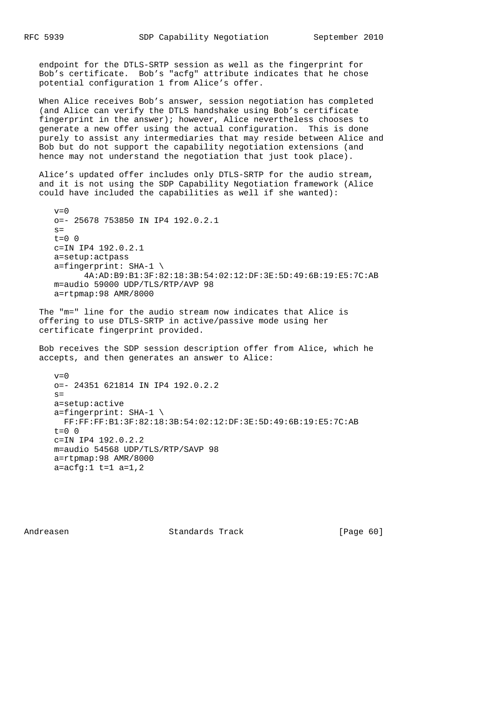endpoint for the DTLS-SRTP session as well as the fingerprint for Bob's certificate. Bob's "acfg" attribute indicates that he chose potential configuration 1 from Alice's offer.

 When Alice receives Bob's answer, session negotiation has completed (and Alice can verify the DTLS handshake using Bob's certificate fingerprint in the answer); however, Alice nevertheless chooses to generate a new offer using the actual configuration. This is done purely to assist any intermediaries that may reside between Alice and Bob but do not support the capability negotiation extensions (and hence may not understand the negotiation that just took place).

 Alice's updated offer includes only DTLS-SRTP for the audio stream, and it is not using the SDP Capability Negotiation framework (Alice could have included the capabilities as well if she wanted):

```
v=0 o=- 25678 753850 IN IP4 192.0.2.1
s=t=0 0
 c=IN IP4 192.0.2.1
 a=setup:actpass
 a=fingerprint: SHA-1 \
       4A:AD:B9:B1:3F:82:18:3B:54:02:12:DF:3E:5D:49:6B:19:E5:7C:AB
 m=audio 59000 UDP/TLS/RTP/AVP 98
 a=rtpmap:98 AMR/8000
```
 The "m=" line for the audio stream now indicates that Alice is offering to use DTLS-SRTP in active/passive mode using her certificate fingerprint provided.

 Bob receives the SDP session description offer from Alice, which he accepts, and then generates an answer to Alice:

```
v=0 o=- 24351 621814 IN IP4 192.0.2.2
s= a=setup:active
 a=fingerprint: SHA-1 \
  FF:FF:FF:B1:3F:82:18:3B:54:02:12:DF:3E:5D:49:6B:19:E5:7C:AB
t=0 0
 c=IN IP4 192.0.2.2
 m=audio 54568 UDP/TLS/RTP/SAVP 98
 a=rtpmap:98 AMR/8000
a = acfg:1 t = 1 a = 1,2
```
Andreasen Standards Track [Page 60]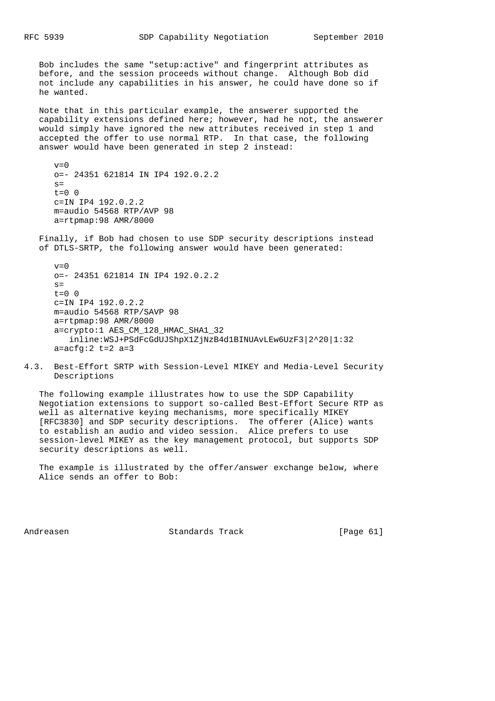Bob includes the same "setup:active" and fingerprint attributes as before, and the session proceeds without change. Although Bob did not include any capabilities in his answer, he could have done so if he wanted.

 Note that in this particular example, the answerer supported the capability extensions defined here; however, had he not, the answerer would simply have ignored the new attributes received in step 1 and accepted the offer to use normal RTP. In that case, the following answer would have been generated in step 2 instead:

```
v=0 o=- 24351 621814 IN IP4 192.0.2.2
s=t=0 0
 c=IN IP4 192.0.2.2
 m=audio 54568 RTP/AVP 98
 a=rtpmap:98 AMR/8000
```
 Finally, if Bob had chosen to use SDP security descriptions instead of DTLS-SRTP, the following answer would have been generated:

 $v=0$  o=- 24351 621814 IN IP4 192.0.2.2  $s=$  $t=0$  0 c=IN IP4 192.0.2.2 m=audio 54568 RTP/SAVP 98 a=rtpmap:98 AMR/8000 a=crypto:1 AES\_CM\_128\_HMAC\_SHA1\_32 inline:WSJ+PSdFcGdUJShpX1ZjNzB4d1BINUAvLEw6UzF3|2^20|1:32  $a=acfq:2 t=2 a=3$ 

4.3. Best-Effort SRTP with Session-Level MIKEY and Media-Level Security Descriptions

 The following example illustrates how to use the SDP Capability Negotiation extensions to support so-called Best-Effort Secure RTP as well as alternative keying mechanisms, more specifically MIKEY [RFC3830] and SDP security descriptions. The offerer (Alice) wants to establish an audio and video session. Alice prefers to use session-level MIKEY as the key management protocol, but supports SDP security descriptions as well.

 The example is illustrated by the offer/answer exchange below, where Alice sends an offer to Bob:

Andreasen Standards Track [Page 61]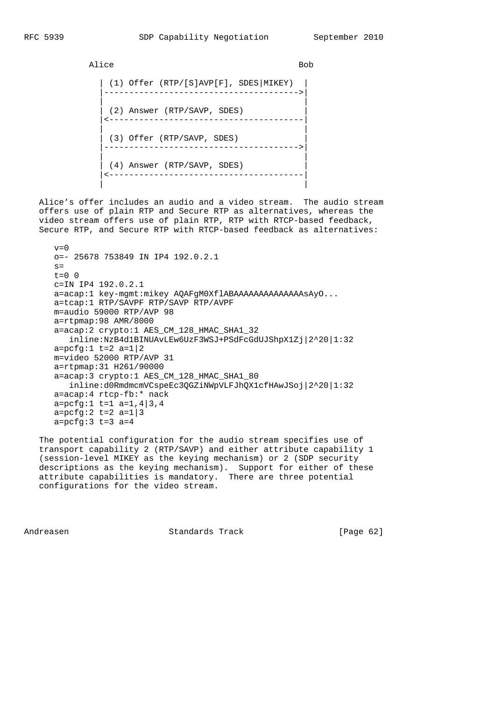# Alice Bob

```
 | (1) Offer (RTP/[S]AVP[F], SDES|MIKEY) |
           |--------------------------------------->|
 | |
           | (2) Answer (RTP/SAVP, SDES) |
           |<---------------------------------------|
 | |
           | (3) Offer (RTP/SAVP, SDES) |
           |--------------------------------------->|
 | |
           | (4) Answer (RTP/SAVP, SDES) |
           |<---------------------------------------|
 | |
```
 Alice's offer includes an audio and a video stream. The audio stream offers use of plain RTP and Secure RTP as alternatives, whereas the video stream offers use of plain RTP, RTP with RTCP-based feedback, Secure RTP, and Secure RTP with RTCP-based feedback as alternatives:

```
v=0 o=- 25678 753849 IN IP4 192.0.2.1
s=t=0 0
 c=IN IP4 192.0.2.1
 a=acap:1 key-mgmt:mikey AQAFgM0XflABAAAAAAAAAAAAAAsAyO...
 a=tcap:1 RTP/SAVPF RTP/SAVP RTP/AVPF
 m=audio 59000 RTP/AVP 98
 a=rtpmap:98 AMR/8000
a=acap:2 crypto:1 AES CM 128 HMAC SHA1 32
   inline:NzB4d1BINUAvLEw6UzF3WSJ+PSdFcGdUJShpX1Zj|2^20|1:32
a = pcfg:1 t = 2 a = 1/2 m=video 52000 RTP/AVP 31
 a=rtpmap:31 H261/90000
 a=acap:3 crypto:1 AES_CM_128_HMAC_SHA1_80
   inline:d0RmdmcmVCspeEc3QGZiNWpVLFJhQX1cfHAwJSoj|2^20|1:32
 a=acap:4 rtcp-fb:* nack
a = pcfg:1 t = 1 a = 1, 4 | 3, 4a = pcfg:2 t = 2 a = 1|3a = pcfg:3 t = 3 a = 4
```
 The potential configuration for the audio stream specifies use of transport capability 2 (RTP/SAVP) and either attribute capability 1 (session-level MIKEY as the keying mechanism) or 2 (SDP security descriptions as the keying mechanism). Support for either of these attribute capabilities is mandatory. There are three potential configurations for the video stream.

Andreasen Standards Track [Page 62]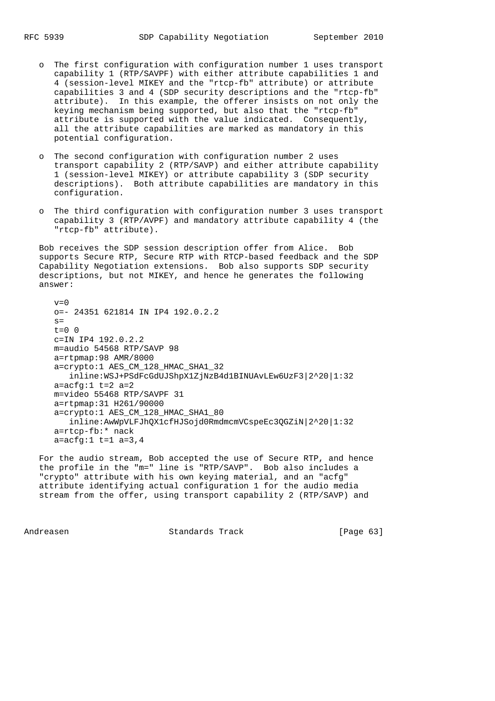- o The first configuration with configuration number 1 uses transport capability 1 (RTP/SAVPF) with either attribute capabilities 1 and 4 (session-level MIKEY and the "rtcp-fb" attribute) or attribute capabilities 3 and 4 (SDP security descriptions and the "rtcp-fb" attribute). In this example, the offerer insists on not only the keying mechanism being supported, but also that the "rtcp-fb" attribute is supported with the value indicated. Consequently, all the attribute capabilities are marked as mandatory in this potential configuration.
- The second configuration with configuration number 2 uses transport capability 2 (RTP/SAVP) and either attribute capability 1 (session-level MIKEY) or attribute capability 3 (SDP security descriptions). Both attribute capabilities are mandatory in this configuration.
- o The third configuration with configuration number 3 uses transport capability 3 (RTP/AVPF) and mandatory attribute capability 4 (the "rtcp-fb" attribute).

 Bob receives the SDP session description offer from Alice. Bob supports Secure RTP, Secure RTP with RTCP-based feedback and the SDP Capability Negotiation extensions. Bob also supports SDP security descriptions, but not MIKEY, and hence he generates the following answer:

```
\overline{v}=-0 o=- 24351 621814 IN IP4 192.0.2.2
s=t=0 0
 c=IN IP4 192.0.2.2
 m=audio 54568 RTP/SAVP 98
 a=rtpmap:98 AMR/8000
 a=crypto:1 AES_CM_128_HMAC_SHA1_32
    inline:WSJ+PSdFcGdUJShpX1ZjNzB4d1BINUAvLEw6UzF3|2^20|1:32
a=acfg:1 t=2 a=2 m=video 55468 RTP/SAVPF 31
 a=rtpmap:31 H261/90000
 a=crypto:1 AES_CM_128_HMAC_SHA1_80
    inline:AwWpVLFJhQX1cfHJSojd0RmdmcmVCspeEc3QGZiN|2^20|1:32
 a=rtcp-fb:* nack
a = acfg:1 t = 1 a = 3,4
```
 For the audio stream, Bob accepted the use of Secure RTP, and hence the profile in the "m=" line is "RTP/SAVP". Bob also includes a "crypto" attribute with his own keying material, and an "acfg" attribute identifying actual configuration 1 for the audio media stream from the offer, using transport capability 2 (RTP/SAVP) and

Andreasen Standards Track [Page 63]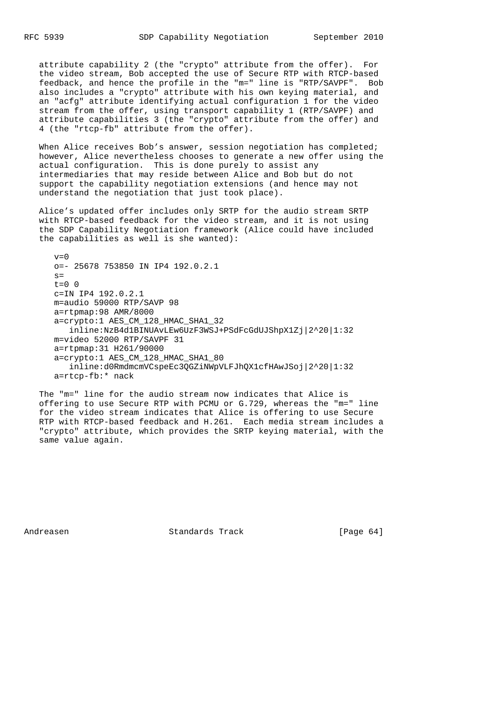attribute capability 2 (the "crypto" attribute from the offer). For the video stream, Bob accepted the use of Secure RTP with RTCP-based feedback, and hence the profile in the "m=" line is "RTP/SAVPF". Bob also includes a "crypto" attribute with his own keying material, and an "acfg" attribute identifying actual configuration 1 for the video stream from the offer, using transport capability 1 (RTP/SAVPF) and attribute capabilities 3 (the "crypto" attribute from the offer) and 4 (the "rtcp-fb" attribute from the offer).

When Alice receives Bob's answer, session negotiation has completed; however, Alice nevertheless chooses to generate a new offer using the actual configuration. This is done purely to assist any intermediaries that may reside between Alice and Bob but do not support the capability negotiation extensions (and hence may not understand the negotiation that just took place).

 Alice's updated offer includes only SRTP for the audio stream SRTP with RTCP-based feedback for the video stream, and it is not using the SDP Capability Negotiation framework (Alice could have included the capabilities as well is she wanted):

 $v=0$  o=- 25678 753850 IN IP4 192.0.2.1  $s=$  $t=0$  0 c=IN IP4 192.0.2.1 m=audio 59000 RTP/SAVP 98 a=rtpmap:98 AMR/8000 a=crypto:1 AES\_CM\_128\_HMAC\_SHA1\_32 inline:NzB4d1BINUAvLEw6UzF3WSJ+PSdFcGdUJShpX1Zj|2^20|1:32 m=video 52000 RTP/SAVPF 31 a=rtpmap:31 H261/90000 a=crypto:1 AES\_CM\_128\_HMAC\_SHA1\_80 inline:d0RmdmcmVCspeEc3QGZiNWpVLFJhQX1cfHAwJSoj|2^20|1:32 a=rtcp-fb:\* nack

 The "m=" line for the audio stream now indicates that Alice is offering to use Secure RTP with PCMU or G.729, whereas the "m=" line for the video stream indicates that Alice is offering to use Secure RTP with RTCP-based feedback and H.261. Each media stream includes a "crypto" attribute, which provides the SRTP keying material, with the same value again.

Andreasen Standards Track [Page 64]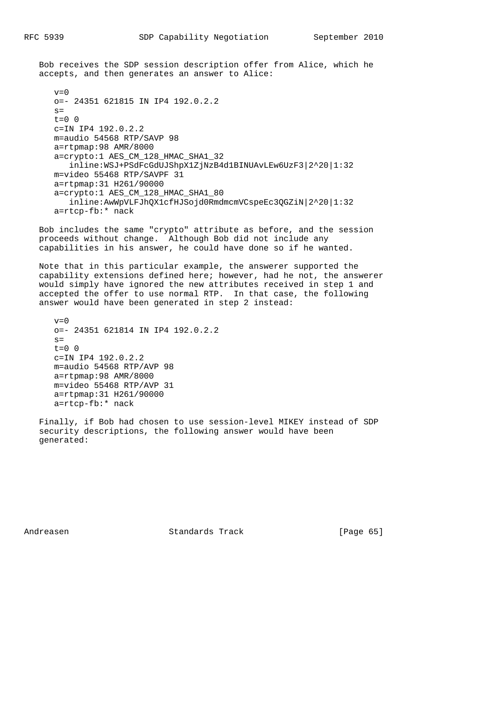Bob receives the SDP session description offer from Alice, which he accepts, and then generates an answer to Alice:

```
\overline{v} = 0 o=- 24351 621815 IN IP4 192.0.2.2
s=t=0 0
 c=IN IP4 192.0.2.2
 m=audio 54568 RTP/SAVP 98
 a=rtpmap:98 AMR/8000
 a=crypto:1 AES_CM_128_HMAC_SHA1_32
   inline:WSJ+PSdFcGdUJShpX1ZjNzB4d1BINUAvLEw6UzF3|2^20|1:32
 m=video 55468 RTP/SAVPF 31
 a=rtpmap:31 H261/90000
 a=crypto:1 AES_CM_128_HMAC_SHA1_80
    inline:AwWpVLFJhQX1cfHJSojd0RmdmcmVCspeEc3QGZiN|2^20|1:32
 a=rtcp-fb:* nack
```
 Bob includes the same "crypto" attribute as before, and the session proceeds without change. Although Bob did not include any capabilities in his answer, he could have done so if he wanted.

 Note that in this particular example, the answerer supported the capability extensions defined here; however, had he not, the answerer would simply have ignored the new attributes received in step 1 and accepted the offer to use normal RTP. In that case, the following answer would have been generated in step 2 instead:

```
v=0 o=- 24351 621814 IN IP4 192.0.2.2
s=t=0 0
 c=IN IP4 192.0.2.2
 m=audio 54568 RTP/AVP 98
 a=rtpmap:98 AMR/8000
 m=video 55468 RTP/AVP 31
 a=rtpmap:31 H261/90000
 a=rtcp-fb:* nack
```
 Finally, if Bob had chosen to use session-level MIKEY instead of SDP security descriptions, the following answer would have been generated:

Andreasen Standards Track [Page 65]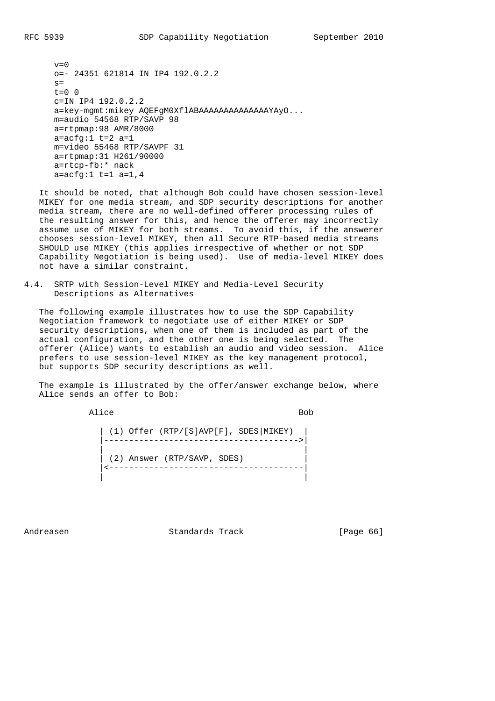$v=0$  o=- 24351 621814 IN IP4 192.0.2.2  $s=$  $t=0$  0 c=IN IP4 192.0.2.2 a=key-mgmt:mikey AQEFgM0XflABAAAAAAAAAAAAAAYAyO... m=audio 54568 RTP/SAVP 98 a=rtpmap:98 AMR/8000  $a = acfg:1 t=2 a=1$  m=video 55468 RTP/SAVPF 31 a=rtpmap:31 H261/90000 a=rtcp-fb:\* nack  $a = acfg:1 t = 1 a = 1,4$ 

 It should be noted, that although Bob could have chosen session-level MIKEY for one media stream, and SDP security descriptions for another media stream, there are no well-defined offerer processing rules of the resulting answer for this, and hence the offerer may incorrectly assume use of MIKEY for both streams. To avoid this, if the answerer chooses session-level MIKEY, then all Secure RTP-based media streams SHOULD use MIKEY (this applies irrespective of whether or not SDP Capability Negotiation is being used). Use of media-level MIKEY does not have a similar constraint.

4.4. SRTP with Session-Level MIKEY and Media-Level Security Descriptions as Alternatives

 The following example illustrates how to use the SDP Capability Negotiation framework to negotiate use of either MIKEY or SDP security descriptions, when one of them is included as part of the actual configuration, and the other one is being selected. The offerer (Alice) wants to establish an audio and video session. Alice prefers to use session-level MIKEY as the key management protocol, but supports SDP security descriptions as well.

 The example is illustrated by the offer/answer exchange below, where Alice sends an offer to Bob:

Alice Bob | (1) Offer (RTP/[S]AVP[F], SDES|MIKEY) | |--------------------------------------->| | | | (2) Answer (RTP/SAVP, SDES) | |<---------------------------------------| | |

Andreasen Standards Track [Page 66]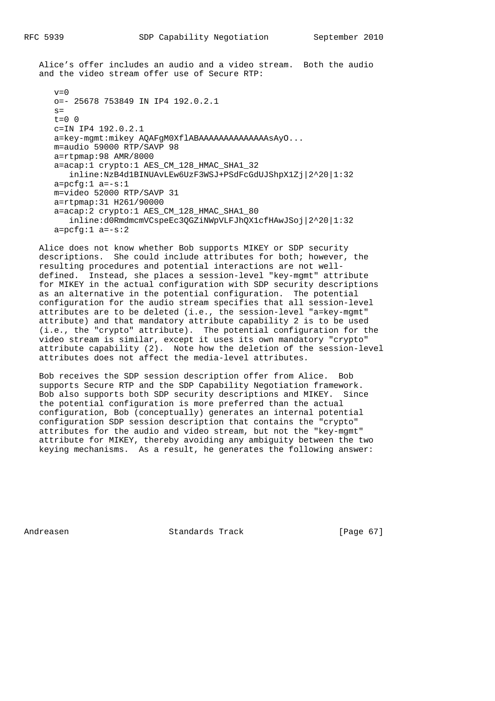Alice's offer includes an audio and a video stream. Both the audio and the video stream offer use of Secure RTP:  $\overline{v} = 0$  o=- 25678 753849 IN IP4 192.0.2.1  $s=$  $t=0$  0 c=IN IP4 192.0.2.1 a=key-mgmt:mikey AQAFgM0XflABAAAAAAAAAAAAAAsAyO... m=audio 59000 RTP/SAVP 98 a=rtpmap:98 AMR/8000 a=acap:1 crypto:1 AES CM 128 HMAC SHA1 32 inline:NzB4d1BINUAvLEw6UzF3WSJ+PSdFcGdUJShpX1Zj|2^20|1:32  $a = pcfq:1$   $a = -s:1$  m=video 52000 RTP/SAVP 31 a=rtpmap:31 H261/90000 a=acap:2 crypto:1 AES\_CM\_128\_HMAC\_SHA1\_80 inline:d0RmdmcmVCspeEc3QGZiNWpVLFJhQX1cfHAwJSoj|2^20|1:32  $a = pcfg:1 a = -s:2$ 

 Alice does not know whether Bob supports MIKEY or SDP security descriptions. She could include attributes for both; however, the resulting procedures and potential interactions are not well defined. Instead, she places a session-level "key-mgmt" attribute for MIKEY in the actual configuration with SDP security descriptions as an alternative in the potential configuration. The potential configuration for the audio stream specifies that all session-level attributes are to be deleted (i.e., the session-level "a=key-mgmt" attribute) and that mandatory attribute capability 2 is to be used (i.e., the "crypto" attribute). The potential configuration for the video stream is similar, except it uses its own mandatory "crypto" attribute capability (2). Note how the deletion of the session-level attributes does not affect the media-level attributes.

 Bob receives the SDP session description offer from Alice. Bob supports Secure RTP and the SDP Capability Negotiation framework. Bob also supports both SDP security descriptions and MIKEY. Since the potential configuration is more preferred than the actual configuration, Bob (conceptually) generates an internal potential configuration SDP session description that contains the "crypto" attributes for the audio and video stream, but not the "key-mgmt" attribute for MIKEY, thereby avoiding any ambiguity between the two keying mechanisms. As a result, he generates the following answer:

Andreasen Standards Track [Page 67]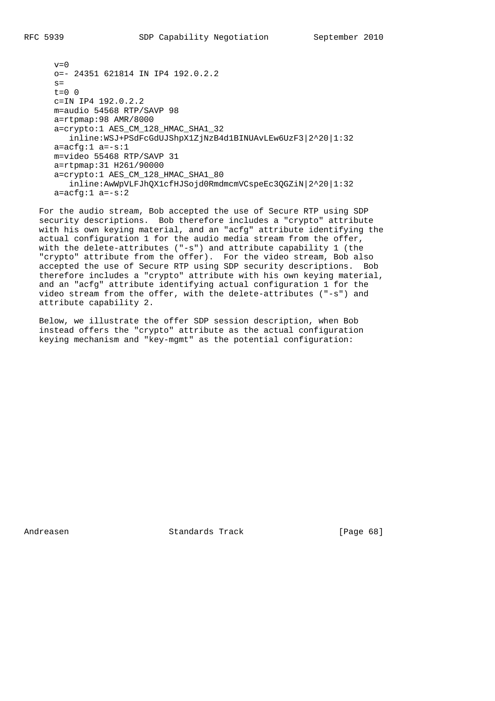```
v=0 o=- 24351 621814 IN IP4 192.0.2.2
s=t=0 0
 c=IN IP4 192.0.2.2
 m=audio 54568 RTP/SAVP 98
 a=rtpmap:98 AMR/8000
 a=crypto:1 AES_CM_128_HMAC_SHA1_32
   inline:WSJ+PSdFcGdUJShpX1ZjNzB4d1BINUAvLEw6UzF3|2^20|1:32
 a=acfg:1 a=-s:1
 m=video 55468 RTP/SAVP 31
 a=rtpmap:31 H261/90000
 a=crypto:1 AES_CM_128_HMAC_SHA1_80
   inline:AwWpVLFJhQX1cfHJSojd0RmdmcmVCspeEc3QGZiN|2^20|1:32
a = acfg:1 a = -s:2
```
 For the audio stream, Bob accepted the use of Secure RTP using SDP security descriptions. Bob therefore includes a "crypto" attribute with his own keying material, and an "acfg" attribute identifying the actual configuration 1 for the audio media stream from the offer, with the delete-attributes ("-s") and attribute capability 1 (the "crypto" attribute from the offer). For the video stream, Bob also accepted the use of Secure RTP using SDP security descriptions. Bob therefore includes a "crypto" attribute with his own keying material, and an "acfg" attribute identifying actual configuration 1 for the video stream from the offer, with the delete-attributes ("-s") and attribute capability 2.

 Below, we illustrate the offer SDP session description, when Bob instead offers the "crypto" attribute as the actual configuration keying mechanism and "key-mgmt" as the potential configuration:

Andreasen Standards Track [Page 68]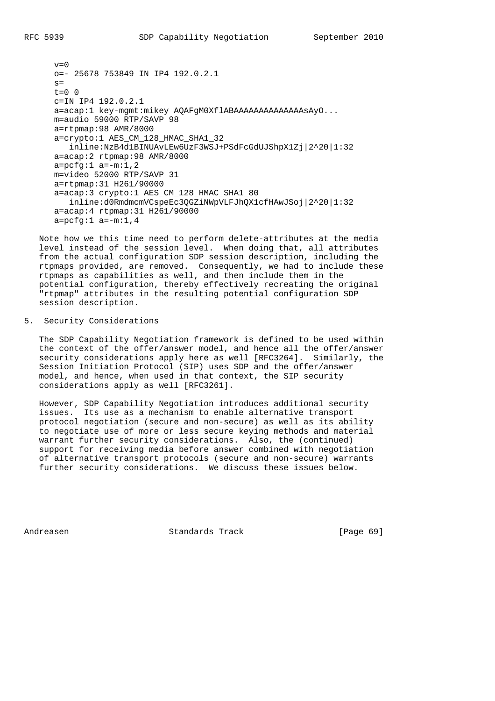```
v=0 o=- 25678 753849 IN IP4 192.0.2.1
\sigma =
t=0 0
 c=IN IP4 192.0.2.1
 a=acap:1 key-mgmt:mikey AQAFgM0XflABAAAAAAAAAAAAAAsAyO...
 m=audio 59000 RTP/SAVP 98
 a=rtpmap:98 AMR/8000
 a=crypto:1 AES_CM_128_HMAC_SHA1_32
   inline:NzB4d1BINUAvLEw6UzF3WSJ+PSdFcGdUJShpX1Zj|2^20|1:32
 a=acap:2 rtpmap:98 AMR/8000
a = pcfq:1 a = -m:1,2 m=video 52000 RTP/SAVP 31
 a=rtpmap:31 H261/90000
 a=acap:3 crypto:1 AES_CM_128_HMAC_SHA1_80
   inline:d0RmdmcmVCspeEc3QGZiNWpVLFJhQX1cfHAwJSoj|2^20|1:32
 a=acap:4 rtpmap:31 H261/90000
a = pcfq:1 a = -m:1,4
```
 Note how we this time need to perform delete-attributes at the media level instead of the session level. When doing that, all attributes from the actual configuration SDP session description, including the rtpmaps provided, are removed. Consequently, we had to include these rtpmaps as capabilities as well, and then include them in the potential configuration, thereby effectively recreating the original "rtpmap" attributes in the resulting potential configuration SDP session description.

# 5. Security Considerations

 The SDP Capability Negotiation framework is defined to be used within the context of the offer/answer model, and hence all the offer/answer security considerations apply here as well [RFC3264]. Similarly, the Session Initiation Protocol (SIP) uses SDP and the offer/answer model, and hence, when used in that context, the SIP security considerations apply as well [RFC3261].

 However, SDP Capability Negotiation introduces additional security issues. Its use as a mechanism to enable alternative transport protocol negotiation (secure and non-secure) as well as its ability to negotiate use of more or less secure keying methods and material warrant further security considerations. Also, the (continued) support for receiving media before answer combined with negotiation of alternative transport protocols (secure and non-secure) warrants further security considerations. We discuss these issues below.

Andreasen Standards Track [Page 69]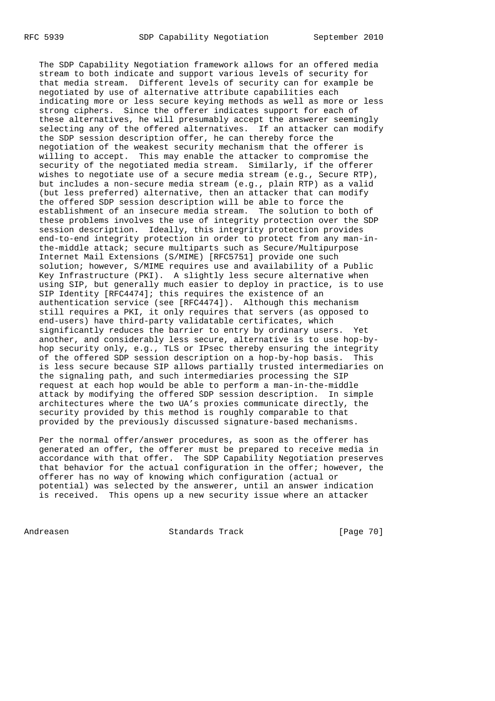The SDP Capability Negotiation framework allows for an offered media stream to both indicate and support various levels of security for that media stream. Different levels of security can for example be negotiated by use of alternative attribute capabilities each indicating more or less secure keying methods as well as more or less strong ciphers. Since the offerer indicates support for each of these alternatives, he will presumably accept the answerer seemingly selecting any of the offered alternatives. If an attacker can modify the SDP session description offer, he can thereby force the negotiation of the weakest security mechanism that the offerer is willing to accept. This may enable the attacker to compromise the security of the negotiated media stream. Similarly, if the offerer wishes to negotiate use of a secure media stream (e.g., Secure RTP), but includes a non-secure media stream (e.g., plain RTP) as a valid (but less preferred) alternative, then an attacker that can modify the offered SDP session description will be able to force the establishment of an insecure media stream. The solution to both of these problems involves the use of integrity protection over the SDP session description. Ideally, this integrity protection provides end-to-end integrity protection in order to protect from any man-in the-middle attack; secure multiparts such as Secure/Multipurpose Internet Mail Extensions (S/MIME) [RFC5751] provide one such solution; however, S/MIME requires use and availability of a Public Key Infrastructure (PKI). A slightly less secure alternative when using SIP, but generally much easier to deploy in practice, is to use SIP Identity [RFC4474]; this requires the existence of an authentication service (see [RFC4474]). Although this mechanism still requires a PKI, it only requires that servers (as opposed to end-users) have third-party validatable certificates, which significantly reduces the barrier to entry by ordinary users. Yet another, and considerably less secure, alternative is to use hop-by hop security only, e.g., TLS or IPsec thereby ensuring the integrity of the offered SDP session description on a hop-by-hop basis. This is less secure because SIP allows partially trusted intermediaries on the signaling path, and such intermediaries processing the SIP request at each hop would be able to perform a man-in-the-middle attack by modifying the offered SDP session description. In simple architectures where the two UA's proxies communicate directly, the security provided by this method is roughly comparable to that provided by the previously discussed signature-based mechanisms.

 Per the normal offer/answer procedures, as soon as the offerer has generated an offer, the offerer must be prepared to receive media in accordance with that offer. The SDP Capability Negotiation preserves that behavior for the actual configuration in the offer; however, the offerer has no way of knowing which configuration (actual or potential) was selected by the answerer, until an answer indication is received. This opens up a new security issue where an attacker

Andreasen Standards Track [Page 70]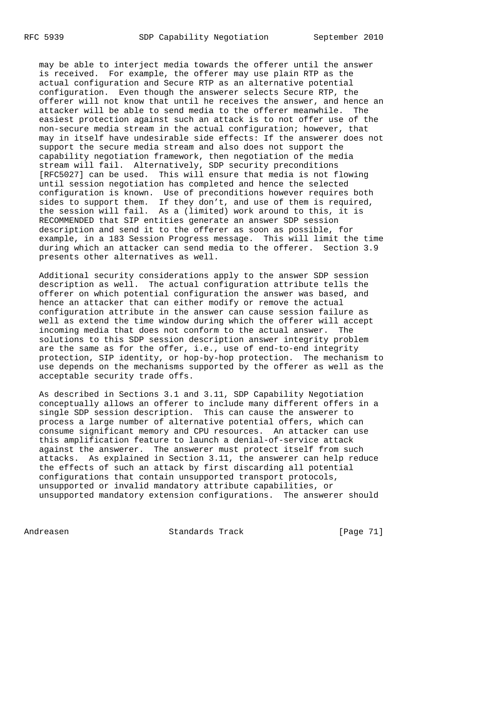may be able to interject media towards the offerer until the answer is received. For example, the offerer may use plain RTP as the actual configuration and Secure RTP as an alternative potential configuration. Even though the answerer selects Secure RTP, the offerer will not know that until he receives the answer, and hence an attacker will be able to send media to the offerer meanwhile. The easiest protection against such an attack is to not offer use of the non-secure media stream in the actual configuration; however, that may in itself have undesirable side effects: If the answerer does not support the secure media stream and also does not support the capability negotiation framework, then negotiation of the media stream will fail. Alternatively, SDP security preconditions [RFC5027] can be used. This will ensure that media is not flowing until session negotiation has completed and hence the selected configuration is known. Use of preconditions however requires both sides to support them. If they don't, and use of them is required, the session will fail. As a (limited) work around to this, it is RECOMMENDED that SIP entities generate an answer SDP session description and send it to the offerer as soon as possible, for example, in a 183 Session Progress message. This will limit the time during which an attacker can send media to the offerer. Section 3.9 presents other alternatives as well.

 Additional security considerations apply to the answer SDP session description as well. The actual configuration attribute tells the offerer on which potential configuration the answer was based, and hence an attacker that can either modify or remove the actual configuration attribute in the answer can cause session failure as well as extend the time window during which the offerer will accept incoming media that does not conform to the actual answer. The solutions to this SDP session description answer integrity problem are the same as for the offer, i.e., use of end-to-end integrity protection, SIP identity, or hop-by-hop protection. The mechanism to use depends on the mechanisms supported by the offerer as well as the acceptable security trade offs.

 As described in Sections 3.1 and 3.11, SDP Capability Negotiation conceptually allows an offerer to include many different offers in a single SDP session description. This can cause the answerer to process a large number of alternative potential offers, which can consume significant memory and CPU resources. An attacker can use this amplification feature to launch a denial-of-service attack against the answerer. The answerer must protect itself from such attacks. As explained in Section 3.11, the answerer can help reduce the effects of such an attack by first discarding all potential configurations that contain unsupported transport protocols, unsupported or invalid mandatory attribute capabilities, or unsupported mandatory extension configurations. The answerer should

Andreasen Standards Track [Page 71]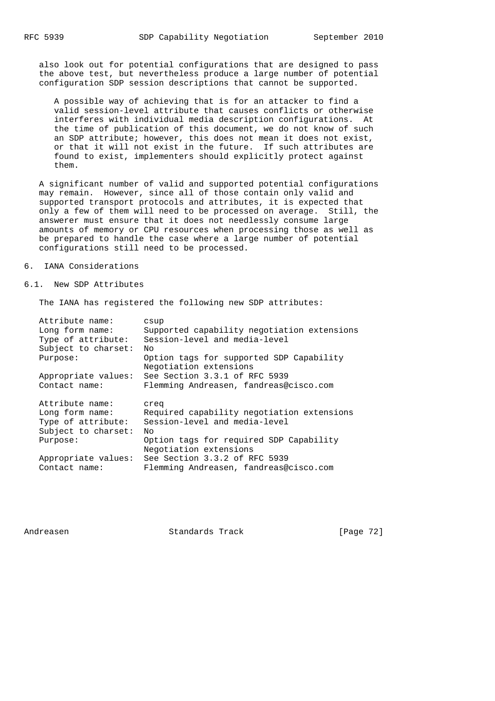also look out for potential configurations that are designed to pass the above test, but nevertheless produce a large number of potential configuration SDP session descriptions that cannot be supported.

 A possible way of achieving that is for an attacker to find a valid session-level attribute that causes conflicts or otherwise interferes with individual media description configurations. At the time of publication of this document, we do not know of such an SDP attribute; however, this does not mean it does not exist, or that it will not exist in the future. If such attributes are found to exist, implementers should explicitly protect against them.

 A significant number of valid and supported potential configurations may remain. However, since all of those contain only valid and supported transport protocols and attributes, it is expected that only a few of them will need to be processed on average. Still, the answerer must ensure that it does not needlessly consume large amounts of memory or CPU resources when processing those as well as be prepared to handle the case where a large number of potential configurations still need to be processed.

#### 6. IANA Considerations

#### 6.1. New SDP Attributes

The IANA has registered the following new SDP attributes:

|          | Attribute name:     | csup                                                               |
|----------|---------------------|--------------------------------------------------------------------|
|          | Long form name:     | Supported capability negotiation extensions                        |
|          | Type of attribute:  | Session-level and media-level                                      |
|          | Subject to charset: | Nο                                                                 |
| Purpose: |                     | Option tags for supported SDP Capability<br>Negotiation extensions |
|          | Appropriate values: | See Section 3.3.1 of RFC 5939                                      |
|          | Contact name:       | Flemming Andreasen, fandreas@cisco.com                             |
|          | Attribute name:     | creq                                                               |
|          | Long form name:     | Required capability negotiation extensions                         |
|          | Type of attribute:  | Session-level and media-level                                      |
|          | Subject to charset: | Nο                                                                 |
| Purpose: |                     | Option tags for required SDP Capability                            |
|          |                     | Negotiation extensions                                             |
|          | Appropriate values: | See Section 3.3.2 of RFC 5939                                      |
|          | Contact name:       | Flemming Andreasen, fandreas@cisco.com                             |

Andreasen Standards Track [Page 72]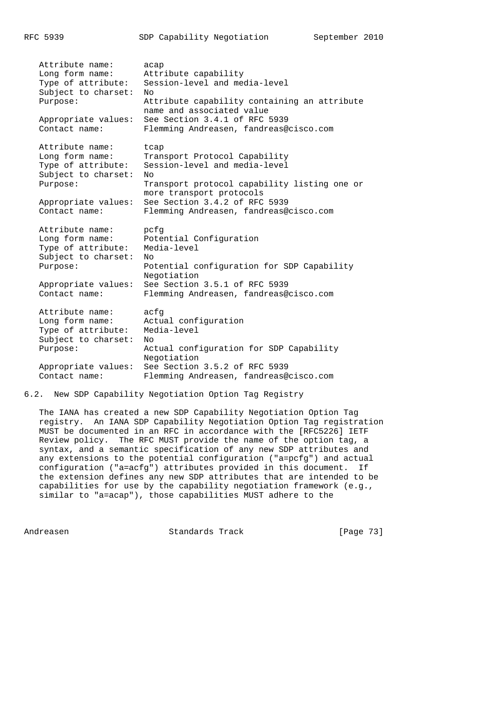| Attribute name:<br>Long form name:<br>Type of attribute:<br>Subject to charset:<br>Purpose:<br>Appropriate values:<br>Contact name: | acap<br>Attribute capability<br>Session-level and media-level<br>$N_{\bigcirc}$<br>Attribute capability containing an attribute<br>name and associated value<br>See Section 3.4.1 of RFC 5939<br>Flemming Andreasen, fandreas@cisco.com |
|-------------------------------------------------------------------------------------------------------------------------------------|-----------------------------------------------------------------------------------------------------------------------------------------------------------------------------------------------------------------------------------------|
| Attribute name:<br>Long form name:<br>Type of attribute:<br>Subject to charset:<br>Purpose:<br>Appropriate values:<br>Contact name: | tcap<br>Transport Protocol Capability<br>Session-level and media-level<br>NΟ<br>Transport protocol capability listing one or<br>more transport protocols<br>See Section 3.4.2 of RFC 5939<br>Flemming Andreasen, fandreas@cisco.com     |
| Attribute name:<br>Long form name:<br>Type of attribute:<br>Subject to charset:<br>Purpose:<br>Appropriate values:<br>Contact name: | pcfq<br>Potential Configuration<br>Media-level<br>NΟ<br>Potential configuration for SDP Capability<br>Negotiation<br>See Section 3.5.1 of RFC 5939<br>Flemming Andreasen, fandreas@cisco.com                                            |
| Attribute name:<br>Long form name:<br>Type of attribute:<br>Subject to charset:<br>Purpose:                                         | acfq<br>Actual configuration<br>Media-level<br>NΟ<br>Actual configuration for SDP Capability<br>Negotiation                                                                                                                             |
| Appropriate values:<br>Contact name:                                                                                                | See Section 3.5.2 of RFC 5939<br>Flemming Andreasen, fandreas@cisco.com                                                                                                                                                                 |

6.2. New SDP Capability Negotiation Option Tag Registry

 The IANA has created a new SDP Capability Negotiation Option Tag registry. An IANA SDP Capability Negotiation Option Tag registration MUST be documented in an RFC in accordance with the [RFC5226] IETF Review policy. The RFC MUST provide the name of the option tag, a syntax, and a semantic specification of any new SDP attributes and any extensions to the potential configuration ("a=pcfg") and actual configuration ("a=acfg") attributes provided in this document. If the extension defines any new SDP attributes that are intended to be capabilities for use by the capability negotiation framework (e.g., similar to "a=acap"), those capabilities MUST adhere to the

Andreasen Standards Track [Page 73]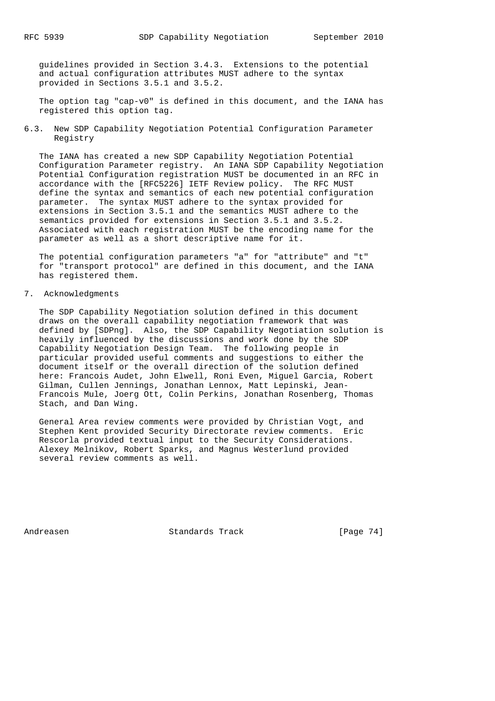guidelines provided in Section 3.4.3. Extensions to the potential and actual configuration attributes MUST adhere to the syntax provided in Sections 3.5.1 and 3.5.2.

 The option tag "cap-v0" is defined in this document, and the IANA has registered this option tag.

6.3. New SDP Capability Negotiation Potential Configuration Parameter Registry

 The IANA has created a new SDP Capability Negotiation Potential Configuration Parameter registry. An IANA SDP Capability Negotiation Potential Configuration registration MUST be documented in an RFC in accordance with the [RFC5226] IETF Review policy. The RFC MUST define the syntax and semantics of each new potential configuration parameter. The syntax MUST adhere to the syntax provided for extensions in Section 3.5.1 and the semantics MUST adhere to the semantics provided for extensions in Section 3.5.1 and 3.5.2. Associated with each registration MUST be the encoding name for the parameter as well as a short descriptive name for it.

 The potential configuration parameters "a" for "attribute" and "t" for "transport protocol" are defined in this document, and the IANA has registered them.

7. Acknowledgments

 The SDP Capability Negotiation solution defined in this document draws on the overall capability negotiation framework that was defined by [SDPng]. Also, the SDP Capability Negotiation solution is heavily influenced by the discussions and work done by the SDP Capability Negotiation Design Team. The following people in particular provided useful comments and suggestions to either the document itself or the overall direction of the solution defined here: Francois Audet, John Elwell, Roni Even, Miguel Garcia, Robert Gilman, Cullen Jennings, Jonathan Lennox, Matt Lepinski, Jean- Francois Mule, Joerg Ott, Colin Perkins, Jonathan Rosenberg, Thomas Stach, and Dan Wing.

 General Area review comments were provided by Christian Vogt, and Stephen Kent provided Security Directorate review comments. Eric Rescorla provided textual input to the Security Considerations. Alexey Melnikov, Robert Sparks, and Magnus Westerlund provided several review comments as well.

Andreasen Standards Track [Page 74]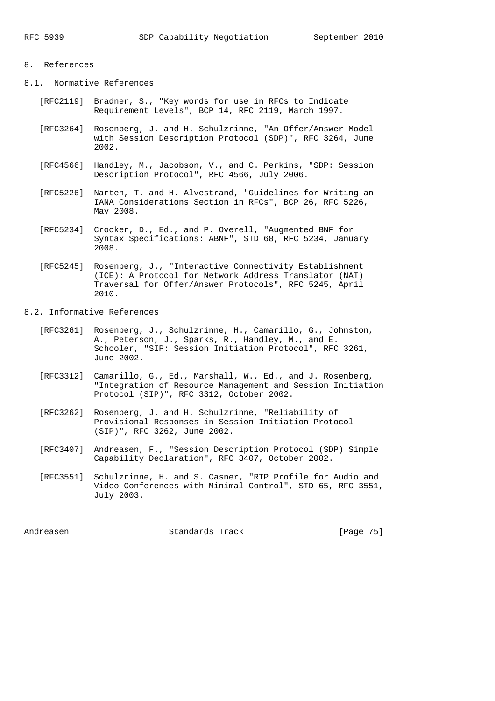## 8. References

8.1. Normative References

- [RFC2119] Bradner, S., "Key words for use in RFCs to Indicate Requirement Levels", BCP 14, RFC 2119, March 1997.
- [RFC3264] Rosenberg, J. and H. Schulzrinne, "An Offer/Answer Model with Session Description Protocol (SDP)", RFC 3264, June 2002.
- [RFC4566] Handley, M., Jacobson, V., and C. Perkins, "SDP: Session Description Protocol", RFC 4566, July 2006.
- [RFC5226] Narten, T. and H. Alvestrand, "Guidelines for Writing an IANA Considerations Section in RFCs", BCP 26, RFC 5226, May 2008.
- [RFC5234] Crocker, D., Ed., and P. Overell, "Augmented BNF for Syntax Specifications: ABNF", STD 68, RFC 5234, January 2008.
- [RFC5245] Rosenberg, J., "Interactive Connectivity Establishment (ICE): A Protocol for Network Address Translator (NAT) Traversal for Offer/Answer Protocols", RFC 5245, April 2010.
- 8.2. Informative References
	- [RFC3261] Rosenberg, J., Schulzrinne, H., Camarillo, G., Johnston, A., Peterson, J., Sparks, R., Handley, M., and E. Schooler, "SIP: Session Initiation Protocol", RFC 3261, June 2002.
	- [RFC3312] Camarillo, G., Ed., Marshall, W., Ed., and J. Rosenberg, "Integration of Resource Management and Session Initiation Protocol (SIP)", RFC 3312, October 2002.
	- [RFC3262] Rosenberg, J. and H. Schulzrinne, "Reliability of Provisional Responses in Session Initiation Protocol (SIP)", RFC 3262, June 2002.
	- [RFC3407] Andreasen, F., "Session Description Protocol (SDP) Simple Capability Declaration", RFC 3407, October 2002.
	- [RFC3551] Schulzrinne, H. and S. Casner, "RTP Profile for Audio and Video Conferences with Minimal Control", STD 65, RFC 3551, July 2003.

Andreasen Standards Track [Page 75]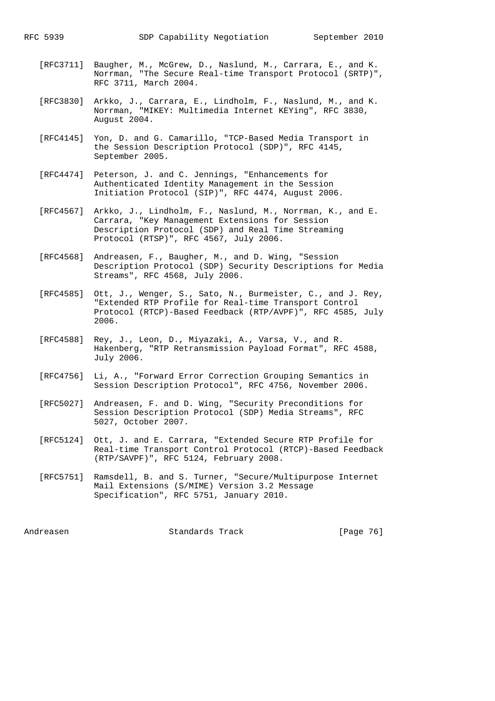- [RFC3711] Baugher, M., McGrew, D., Naslund, M., Carrara, E., and K. Norrman, "The Secure Real-time Transport Protocol (SRTP)", RFC 3711, March 2004.
- [RFC3830] Arkko, J., Carrara, E., Lindholm, F., Naslund, M., and K. Norrman, "MIKEY: Multimedia Internet KEYing", RFC 3830, August 2004.
- [RFC4145] Yon, D. and G. Camarillo, "TCP-Based Media Transport in the Session Description Protocol (SDP)", RFC 4145, September 2005.
- [RFC4474] Peterson, J. and C. Jennings, "Enhancements for Authenticated Identity Management in the Session Initiation Protocol (SIP)", RFC 4474, August 2006.
- [RFC4567] Arkko, J., Lindholm, F., Naslund, M., Norrman, K., and E. Carrara, "Key Management Extensions for Session Description Protocol (SDP) and Real Time Streaming Protocol (RTSP)", RFC 4567, July 2006.
- [RFC4568] Andreasen, F., Baugher, M., and D. Wing, "Session Description Protocol (SDP) Security Descriptions for Media Streams", RFC 4568, July 2006.
- [RFC4585] Ott, J., Wenger, S., Sato, N., Burmeister, C., and J. Rey, "Extended RTP Profile for Real-time Transport Control Protocol (RTCP)-Based Feedback (RTP/AVPF)", RFC 4585, July 2006.
- [RFC4588] Rey, J., Leon, D., Miyazaki, A., Varsa, V., and R. Hakenberg, "RTP Retransmission Payload Format", RFC 4588, July 2006.
- [RFC4756] Li, A., "Forward Error Correction Grouping Semantics in Session Description Protocol", RFC 4756, November 2006.
- [RFC5027] Andreasen, F. and D. Wing, "Security Preconditions for Session Description Protocol (SDP) Media Streams", RFC 5027, October 2007.
- [RFC5124] Ott, J. and E. Carrara, "Extended Secure RTP Profile for Real-time Transport Control Protocol (RTCP)-Based Feedback (RTP/SAVPF)", RFC 5124, February 2008.
- [RFC5751] Ramsdell, B. and S. Turner, "Secure/Multipurpose Internet Mail Extensions (S/MIME) Version 3.2 Message Specification", RFC 5751, January 2010.

Andreasen Standards Track [Page 76]